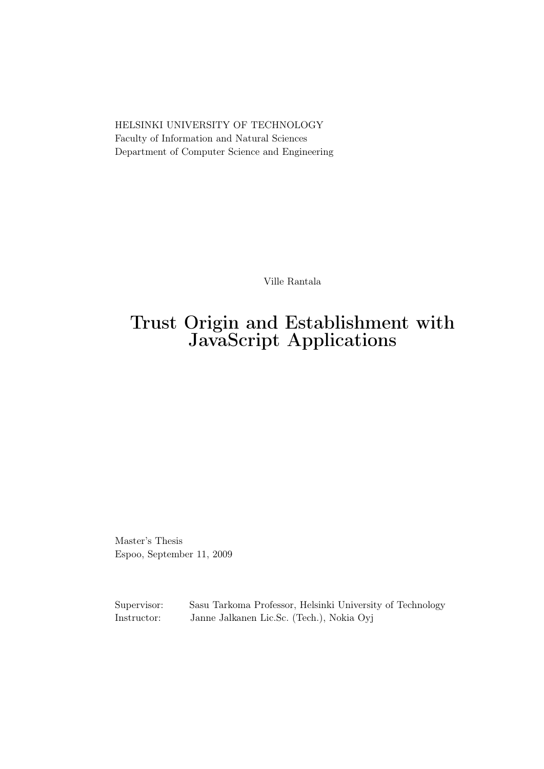HELSINKI UNIVERSITY OF TECHNOLOGY Faculty of Information and Natural Sciences Department of Computer Science and Engineering

Ville Rantala

### Trust Origin and Establishment with JavaScript Applications

Master's Thesis Espoo, September 11, 2009

Supervisor: Sasu Tarkoma Professor, Helsinki University of Technology Instructor: Janne Jalkanen Lic.Sc. (Tech.), Nokia Oyj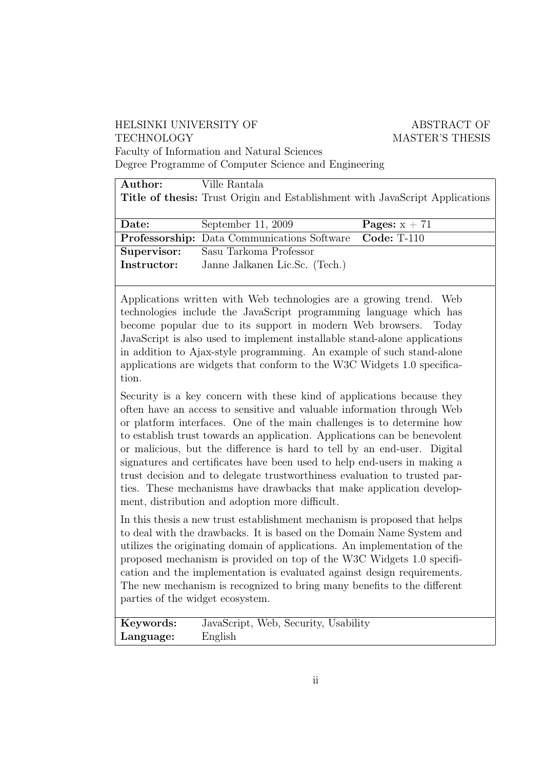#### HELSINKI UNIVERSITY OF ABSTRACT OF TECHNOLOGY MASTER'S THESIS Faculty of Information and Natural Sciences

Degree Programme of Computer Science and Engineering

| Author:     | Ville Rantala                                                                       |                 |  |  |  |
|-------------|-------------------------------------------------------------------------------------|-----------------|--|--|--|
|             | <b>Title of thesis:</b> Trust Origin and Establishment with JavaScript Applications |                 |  |  |  |
|             |                                                                                     |                 |  |  |  |
| Date:       | September 11, 2009                                                                  | Pages: $x + 71$ |  |  |  |
|             | <b>Professorship:</b> Data Communications Software Code: T-110                      |                 |  |  |  |
| Supervisor: | Sasu Tarkoma Professor                                                              |                 |  |  |  |
| Instructor: | Janne Jalkanen Lic.Sc. (Tech.)                                                      |                 |  |  |  |

Applications written with Web technologies are a growing trend. Web technologies include the JavaScript programming language which has become popular due to its support in modern Web browsers. Today JavaScript is also used to implement installable stand-alone applications in addition to Ajax-style programming. An example of such stand-alone applications are widgets that conform to the W3C Widgets 1.0 specification.

Security is a key concern with these kind of applications because they often have an access to sensitive and valuable information through Web or platform interfaces. One of the main challenges is to determine how to establish trust towards an application. Applications can be benevolent or malicious, but the difference is hard to tell by an end-user. Digital signatures and certificates have been used to help end-users in making a trust decision and to delegate trustworthiness evaluation to trusted parties. These mechanisms have drawbacks that make application development, distribution and adoption more difficult.

In this thesis a new trust establishment mechanism is proposed that helps to deal with the drawbacks. It is based on the Domain Name System and utilizes the originating domain of applications. An implementation of the proposed mechanism is provided on top of the W3C Widgets 1.0 specification and the implementation is evaluated against design requirements. The new mechanism is recognized to bring many benefits to the different parties of the widget ecosystem.

| Keywords: | JavaScript, Web, Security, Usability |
|-----------|--------------------------------------|
| Language: | English                              |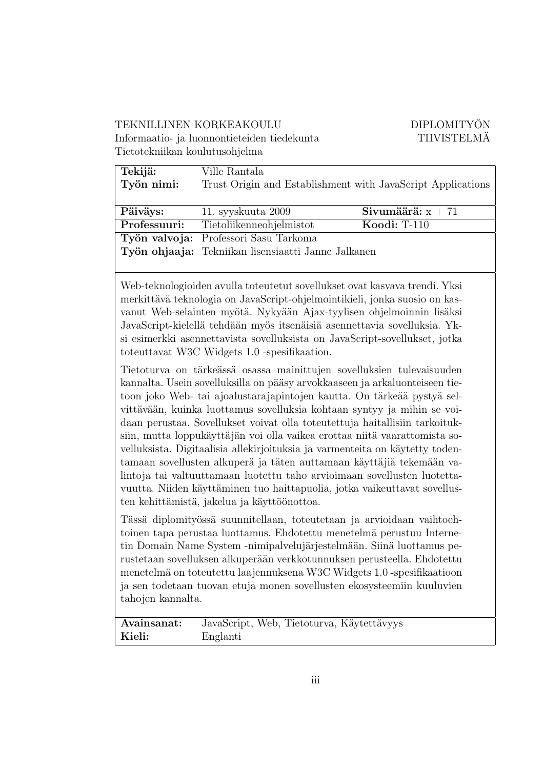#### TEKNILLINEN KORKEAKOULU DIPLOMITYÖN Informaatio- ja luonnontieteiden tiedekunta TIIVISTELMÄ

|  | Tietotekniikan koulutusohjelma |
|--|--------------------------------|
|  |                                |

| Tekijä:<br>Työn nimi: | Ville Rantala<br>Trust Origin and Establishment with JavaScript Applications |                     |  |
|-----------------------|------------------------------------------------------------------------------|---------------------|--|
| Päiväys:              | 11. syyskuuta 2009                                                           | Sivumäärä: $x + 71$ |  |
| Professuuri:          | Tietoliikenneohjelmistot                                                     | Koodi: $T-110$      |  |
|                       | Työn valvoja: Professori Sasu Tarkoma                                        |                     |  |
|                       | Työn ohjaaja: Tekniikan lisensiaatti Janne Jalkanen                          |                     |  |

Web-teknologioiden avulla toteutetut sovellukset ovat kasvava trendi. Yksi merkittävä teknologia on JavaScript-ohjelmointikieli, jonka suosio on kasvanut Web-selainten myötä. Nykyään Ajax-tyylisen ohjelmoinnin lisäksi JavaScript-kielellä tehdään myös itsenäisiä asennettavia sovelluksia. Yksi esimerkki asennettavista sovelluksista on JavaScript-sovellukset, jotka toteuttavat W3C Widgets 1.0 -spesifikaation.

Tietoturva on tärkeässä osassa mainittujen sovelluksien tulevaisuuden kannalta. Usein sovelluksilla on pääsy arvokkaaseen ja arkaluonteiseen tietoon joko Web- tai ajoalustarajapintojen kautta. On tärkeää pystyä selvittävään, kuinka luottamus sovelluksia kohtaan syntyy ja mihin se voidaan perustaa. Sovellukset voivat olla toteutettuja haitallisiin tarkoituksiin, mutta loppukäyttäjän voi olla vaikea erottaa niitä vaarattomista sovelluksista. Digitaalisia allekirjoituksia ja varmenteita on käytetty todentamaan sovellusten alkuperä ja täten auttamaan käyttäjiä tekemään valintoja tai valtuuttamaan luotettu taho arvioimaan sovellusten luotettavuutta. Niiden käyttäminen tuo haittapuolia, jotka vaikeuttavat sovellusten kehittämistä, jakelua ja käyttöönottoa.

Tässä diplomityössä suunnitellaan, toteutetaan ja arvioidaan vaihtoehtoinen tapa perustaa luottamus. Ehdotettu menetelmä perustuu Internetin Domain Name System -nimipalvelujärjestelmään. Siinä luottamus perustetaan sovelluksen alkuperään verkkotunnuksen perusteella. Ehdotettu menetelmä on toteutettu laajennuksena W3C Widgets 1.0 -spesifikaatioon ja sen todetaan tuovan etuja monen sovellusten ekosysteemiin kuuluvien tahojen kannalta.

Avainsanat: JavaScript, Web, Tietoturva, Käytettävyys Kieli: Englanti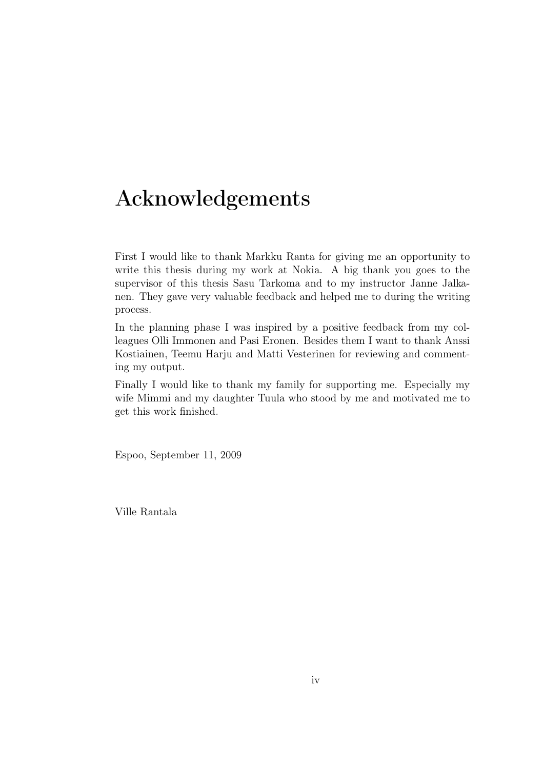### Acknowledgements

First I would like to thank Markku Ranta for giving me an opportunity to write this thesis during my work at Nokia. A big thank you goes to the supervisor of this thesis Sasu Tarkoma and to my instructor Janne Jalkanen. They gave very valuable feedback and helped me to during the writing process.

In the planning phase I was inspired by a positive feedback from my colleagues Olli Immonen and Pasi Eronen. Besides them I want to thank Anssi Kostiainen, Teemu Harju and Matti Vesterinen for reviewing and commenting my output.

Finally I would like to thank my family for supporting me. Especially my wife Mimmi and my daughter Tuula who stood by me and motivated me to get this work finished.

Espoo, September 11, 2009

Ville Rantala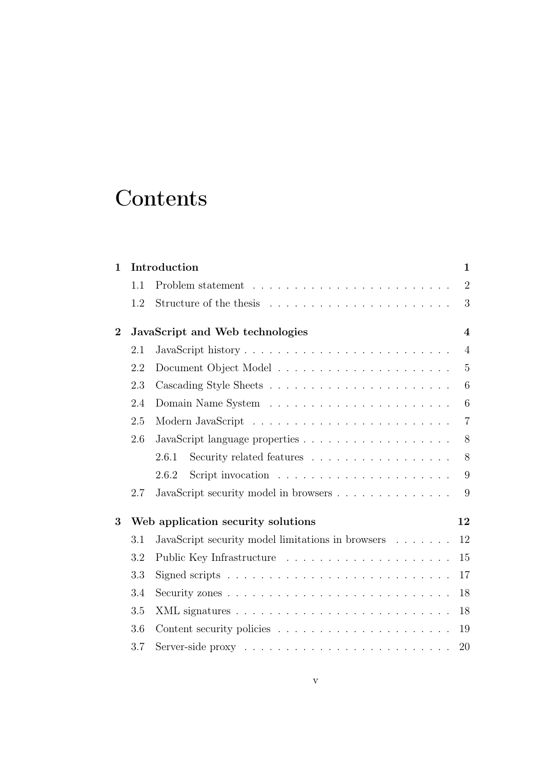## **Contents**

| $\mathbf 1$ |     | Introduction                                                                    | $\mathbf{1}$   |
|-------------|-----|---------------------------------------------------------------------------------|----------------|
|             | 1.1 |                                                                                 | $\overline{2}$ |
|             | 1.2 |                                                                                 | 3              |
| $\bf{2}$    |     | JavaScript and Web technologies                                                 | $\overline{4}$ |
|             | 2.1 | JavaScript history                                                              | $\overline{4}$ |
|             | 2.2 |                                                                                 | $\overline{5}$ |
|             | 2.3 |                                                                                 | 6              |
|             | 2.4 |                                                                                 | 6              |
|             | 2.5 |                                                                                 | $\overline{7}$ |
|             | 2.6 |                                                                                 | 8              |
|             |     | 2.6.1<br>Security related features                                              | 8              |
|             |     | Script invocation $\ldots \ldots \ldots \ldots \ldots \ldots \ldots$<br>2.6.2   | 9              |
|             | 2.7 | JavaScript security model in browsers                                           | 9              |
| 3           |     | Web application security solutions                                              | 12             |
|             | 3.1 | JavaScript security model limitations in browsers $\ldots \ldots$               | 12             |
|             | 3.2 |                                                                                 | 15             |
|             | 3.3 |                                                                                 | 17             |
|             | 3.4 |                                                                                 | 18             |
|             | 3.5 |                                                                                 | 18             |
|             | 3.6 | Content security policies $\ldots \ldots \ldots \ldots \ldots \ldots$           | 19             |
|             | 3.7 | Server-side proxy $\dots \dots \dots \dots \dots \dots \dots \dots \dots \dots$ | 20             |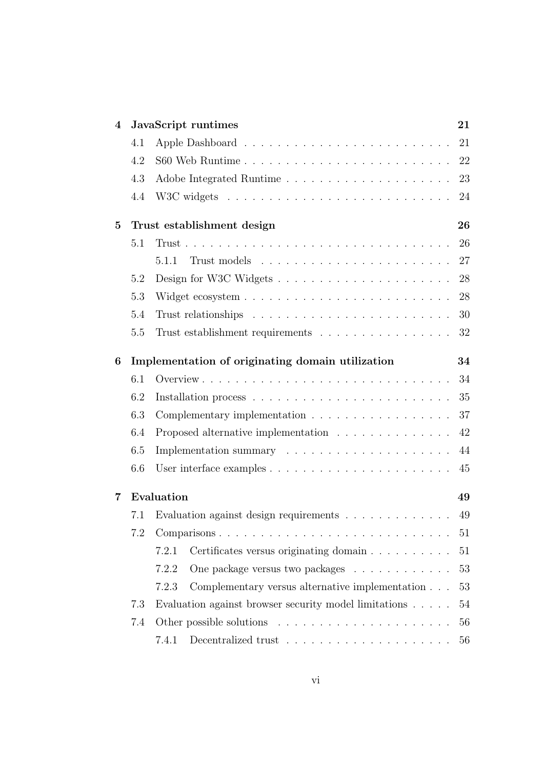| $\overline{4}$ |     | JavaScript runtimes                                                      | 21 |
|----------------|-----|--------------------------------------------------------------------------|----|
|                | 4.1 |                                                                          | 21 |
|                | 4.2 |                                                                          | 22 |
|                | 4.3 |                                                                          | 23 |
|                | 4.4 |                                                                          | 24 |
| $\bf{5}$       |     | Trust establishment design                                               | 26 |
|                | 5.1 |                                                                          | 26 |
|                |     | 5.1.1                                                                    | 27 |
|                | 5.2 |                                                                          | 28 |
|                | 5.3 |                                                                          | 28 |
|                | 5.4 |                                                                          | 30 |
|                | 5.5 | Trust establishment requirements                                         | 32 |
| 6              |     | Implementation of originating domain utilization                         | 34 |
|                | 6.1 |                                                                          | 34 |
|                | 6.2 |                                                                          | 35 |
|                | 6.3 |                                                                          | 37 |
|                | 6.4 | Proposed alternative implementation                                      | 42 |
|                | 6.5 |                                                                          | 44 |
|                | 6.6 |                                                                          | 45 |
| 7              |     | Evaluation                                                               | 49 |
|                | 7.1 | Evaluation against design requirements                                   | 49 |
|                | 7.2 | Comparisons                                                              | 51 |
|                |     | 7.2.1<br>Certificates versus originating domain                          | 51 |
|                |     | 7.2.2<br>One package versus two packages                                 | 53 |
|                |     | Complementary versus alternative implementation<br>7.2.3                 | 53 |
|                | 7.3 | Evaluation against browser security model limitations                    | 54 |
|                | 7.4 |                                                                          | 56 |
|                |     | Decentralized trust $\dots \dots \dots \dots \dots \dots \dots$<br>7.4.1 | 56 |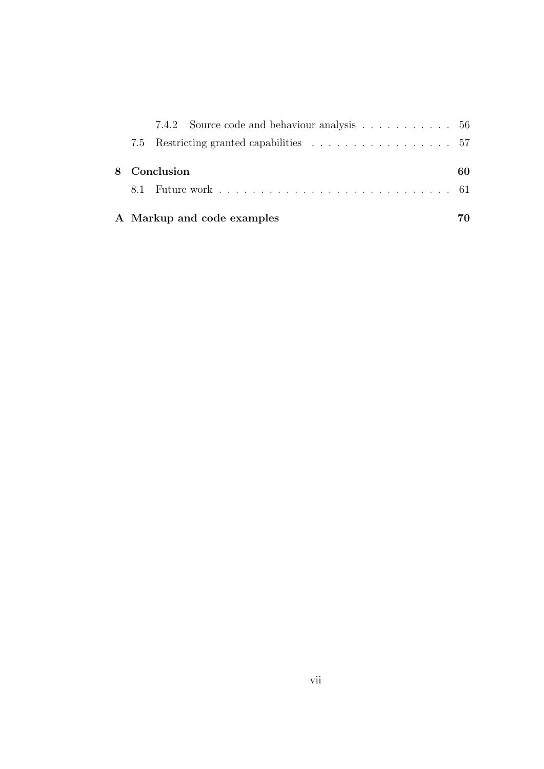|  | 7.4.2 Source code and behaviour analysis 56 |     |
|--|---------------------------------------------|-----|
|  |                                             |     |
|  | 8 Conclusion                                | 60. |
|  |                                             |     |
|  | A Markup and code examples                  |     |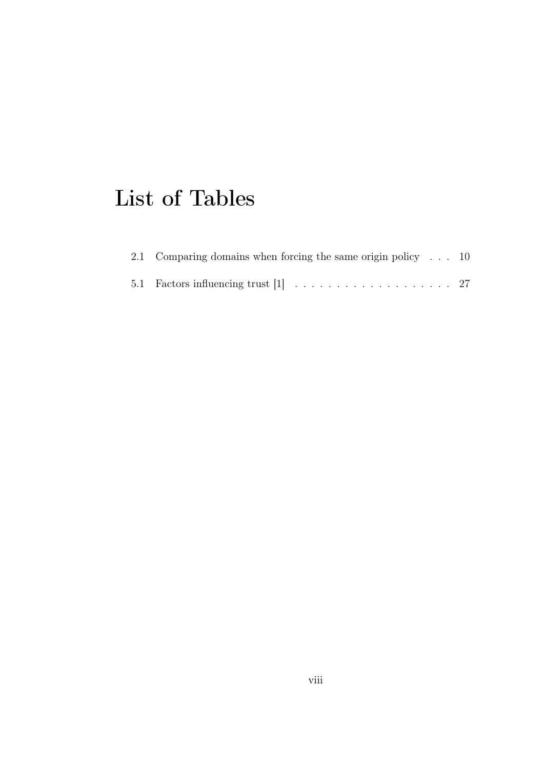## List of Tables

| 2.1 Comparing domains when forcing the same origin policy $\ldots$ 10 |  |
|-----------------------------------------------------------------------|--|
|                                                                       |  |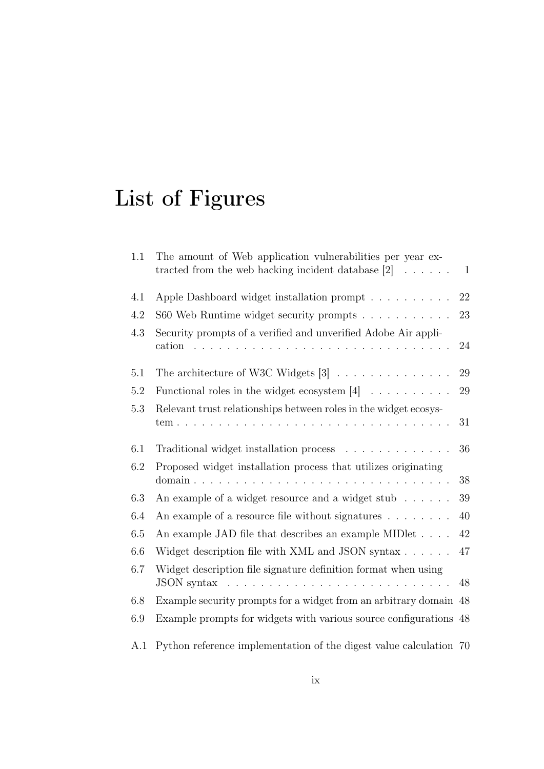# List of Figures

| 1.1     | The amount of Web application vulnerabilities per year ex-<br>tracted from the web hacking incident database [2]<br>$\sim$                                                                                                                 | $\mathbf{1}$ |
|---------|--------------------------------------------------------------------------------------------------------------------------------------------------------------------------------------------------------------------------------------------|--------------|
| 4.1     | Apple Dashboard widget installation prompt $\ldots \ldots \ldots$                                                                                                                                                                          | 22           |
| 4.2     | S60 Web Runtime widget security prompts                                                                                                                                                                                                    | 23           |
| 4.3     | Security prompts of a verified and unverified Adobe Air appli-<br>cation<br>$\mathbf{r}$ . $\mathbf{r}$<br>$\mathbf{1}$<br>$\mathbb{R}^2$<br>$\sim$                                                                                        | 24           |
| 5.1     | The architecture of W3C Widgets $[3]$                                                                                                                                                                                                      | 29           |
| 5.2     | Functional roles in the widget ecosystem $[4]$                                                                                                                                                                                             | $29\,$       |
| 5.3     | Relevant trust relationships between roles in the widget ecosys-<br>tem.<br>$\mathbf{r}$ , $\mathbf{r}$ , $\mathbf{r}$ , $\mathbf{r}$ , $\mathbf{r}$                                                                                       | 31           |
| 6.1     | Traditional widget installation process                                                                                                                                                                                                    | 36           |
| 6.2     | Proposed widget installation process that utilizes originating<br>domain.<br>$\mathbf{1}$ $\mathbf{1}$ $\mathbf{1}$ $\mathbf{1}$ $\mathbf{1}$ $\mathbf{1}$ $\mathbf{1}$<br>$\mathbf{r}$ and $\mathbf{r}$ and $\mathbf{r}$ and $\mathbf{r}$ | 38           |
| $6.3\,$ | An example of a widget resource and a widget stub                                                                                                                                                                                          | $39\,$       |
| 6.4     | An example of a resource file without signatures $\ldots \ldots \ldots$                                                                                                                                                                    | 40           |
| 6.5     | An example JAD file that describes an example MIDlet                                                                                                                                                                                       | 42           |
| 6.6     | Widget description file with XML and JSON syntax                                                                                                                                                                                           | 47           |
| 6.7     | Widget description file signature definition format when using<br>JSON syntax                                                                                                                                                              | 48           |
| 6.8     | Example security prompts for a widget from an arbitrary domain 48                                                                                                                                                                          |              |
| 6.9     | Example prompts for widgets with various source configurations 48                                                                                                                                                                          |              |
| A.1     | Python reference implementation of the digest value calculation 70                                                                                                                                                                         |              |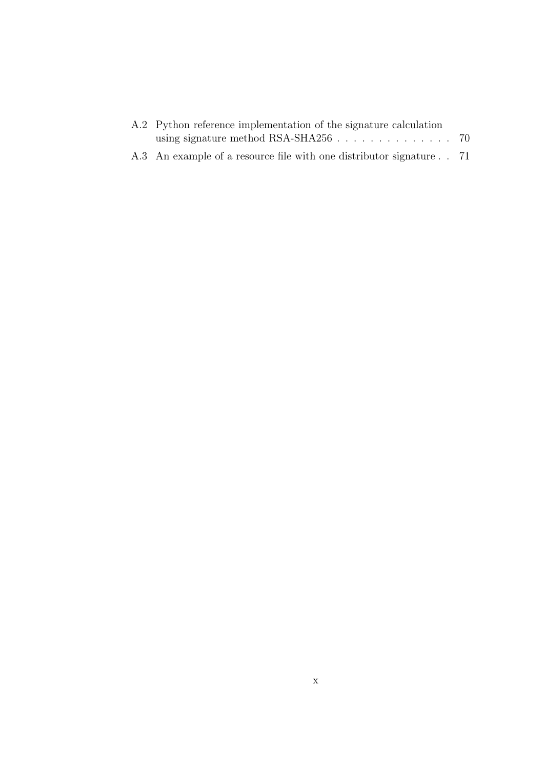| A.2 Python reference implementation of the signature calculation    |  |  |
|---------------------------------------------------------------------|--|--|
|                                                                     |  |  |
| A.3 An example of a resource file with one distributor signature 71 |  |  |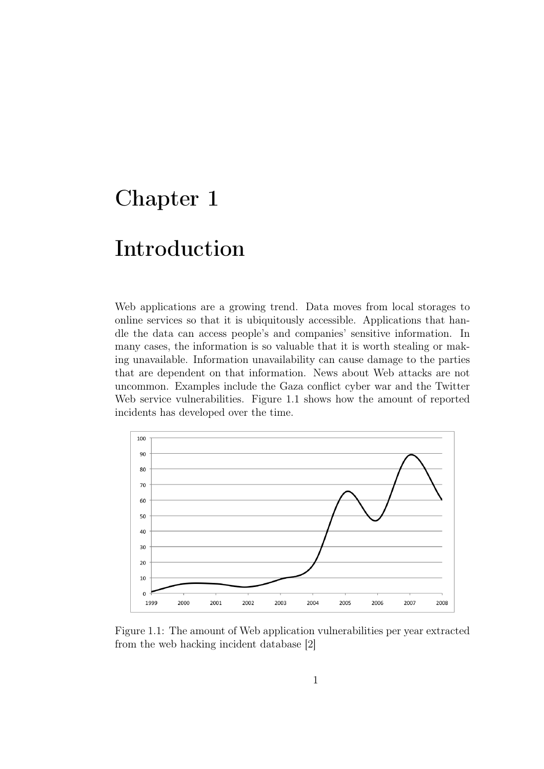### <span id="page-10-0"></span>Chapter 1

### Introduction

Web applications are a growing trend. Data moves from local storages to online services so that it is ubiquitously accessible. Applications that handle the data can access people's and companies' sensitive information. In many cases, the information is so valuable that it is worth stealing or making unavailable. Information unavailability can cause damage to the parties that are dependent on that information. News about Web attacks are not uncommon. Examples include the Gaza conflict cyber war and the Twitter Web service vulnerabilities. Figure [1.1](#page-10-1) shows how the amount of reported incidents has developed over the time.



<span id="page-10-1"></span>Figure 1.1: The amount of Web application vulnerabilities per year extracted from the web hacking incident database [\[2\]](#page-71-1)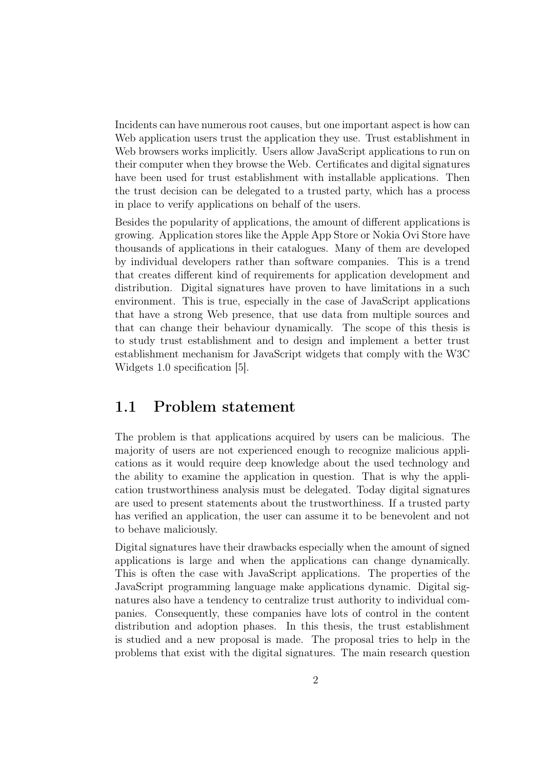Incidents can have numerous root causes, but one important aspect is how can Web application users trust the application they use. Trust establishment in Web browsers works implicitly. Users allow JavaScript applications to run on their computer when they browse the Web. Certificates and digital signatures have been used for trust establishment with installable applications. Then the trust decision can be delegated to a trusted party, which has a process in place to verify applications on behalf of the users.

Besides the popularity of applications, the amount of different applications is growing. Application stores like the Apple App Store or Nokia Ovi Store have thousands of applications in their catalogues. Many of them are developed by individual developers rather than software companies. This is a trend that creates different kind of requirements for application development and distribution. Digital signatures have proven to have limitations in a such environment. This is true, especially in the case of JavaScript applications that have a strong Web presence, that use data from multiple sources and that can change their behaviour dynamically. The scope of this thesis is to study trust establishment and to design and implement a better trust establishment mechanism for JavaScript widgets that comply with the W3C Widgets 1.0 specification [\[5\]](#page-71-4).

#### <span id="page-11-0"></span>1.1 Problem statement

The problem is that applications acquired by users can be malicious. The majority of users are not experienced enough to recognize malicious applications as it would require deep knowledge about the used technology and the ability to examine the application in question. That is why the application trustworthiness analysis must be delegated. Today digital signatures are used to present statements about the trustworthiness. If a trusted party has verified an application, the user can assume it to be benevolent and not to behave maliciously.

Digital signatures have their drawbacks especially when the amount of signed applications is large and when the applications can change dynamically. This is often the case with JavaScript applications. The properties of the JavaScript programming language make applications dynamic. Digital signatures also have a tendency to centralize trust authority to individual companies. Consequently, these companies have lots of control in the content distribution and adoption phases. In this thesis, the trust establishment is studied and a new proposal is made. The proposal tries to help in the problems that exist with the digital signatures. The main research question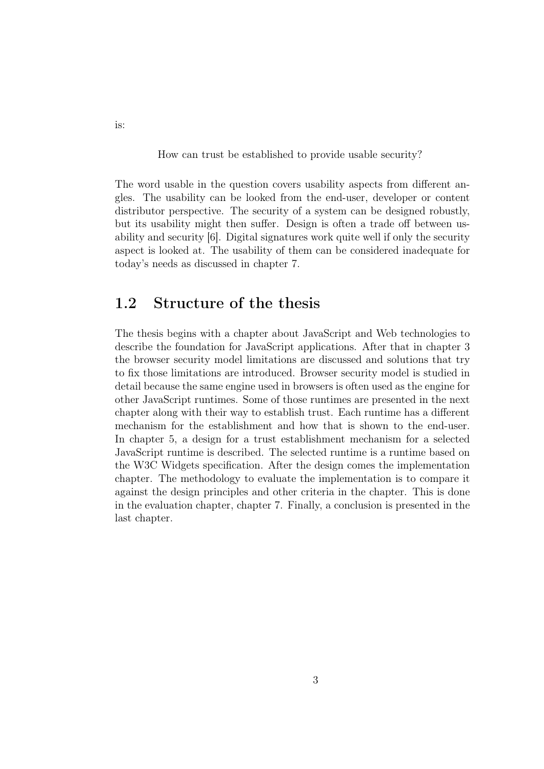How can trust be established to provide usable security?

The word usable in the question covers usability aspects from different angles. The usability can be looked from the end-user, developer or content distributor perspective. The security of a system can be designed robustly, but its usability might then suffer. Design is often a trade off between usability and security [\[6\]](#page-71-5). Digital signatures work quite well if only the security aspect is looked at. The usability of them can be considered inadequate for today's needs as discussed in chapter [7.](#page-58-0)

#### <span id="page-12-0"></span>1.2 Structure of the thesis

The thesis begins with a chapter about JavaScript and Web technologies to describe the foundation for JavaScript applications. After that in chapter [3](#page-21-0) the browser security model limitations are discussed and solutions that try to fix those limitations are introduced. Browser security model is studied in detail because the same engine used in browsers is often used as the engine for other JavaScript runtimes. Some of those runtimes are presented in the next chapter along with their way to establish trust. Each runtime has a different mechanism for the establishment and how that is shown to the end-user. In chapter [5,](#page-35-0) a design for a trust establishment mechanism for a selected JavaScript runtime is described. The selected runtime is a runtime based on the W3C Widgets specification. After the design comes the implementation chapter. The methodology to evaluate the implementation is to compare it against the design principles and other criteria in the chapter. This is done in the evaluation chapter, chapter [7.](#page-58-0) Finally, a conclusion is presented in the last chapter.

is: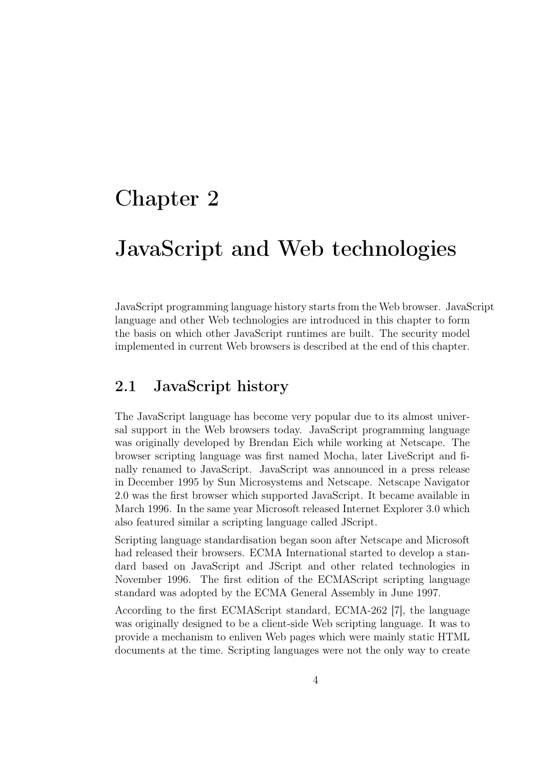### <span id="page-13-0"></span>Chapter 2

### JavaScript and Web technologies

JavaScript programming language history starts from the Web browser. JavaScript language and other Web technologies are introduced in this chapter to form the basis on which other JavaScript runtimes are built. The security model implemented in current Web browsers is described at the end of this chapter.

#### <span id="page-13-1"></span>2.1 JavaScript history

The JavaScript language has become very popular due to its almost universal support in the Web browsers today. JavaScript programming language was originally developed by Brendan Eich while working at Netscape. The browser scripting language was first named Mocha, later LiveScript and finally renamed to JavaScript. JavaScript was announced in a press release in December 1995 by Sun Microsystems and Netscape. Netscape Navigator 2.0 was the first browser which supported JavaScript. It became available in March 1996. In the same year Microsoft released Internet Explorer 3.0 which also featured similar a scripting language called JScript.

Scripting language standardisation began soon after Netscape and Microsoft had released their browsers. ECMA International started to develop a standard based on JavaScript and JScript and other related technologies in November 1996. The first edition of the ECMAScript scripting language standard was adopted by the ECMA General Assembly in June 1997.

According to the first ECMAScript standard, ECMA-262 [\[7\]](#page-71-6), the language was originally designed to be a client-side Web scripting language. It was to provide a mechanism to enliven Web pages which were mainly static HTML documents at the time. Scripting languages were not the only way to create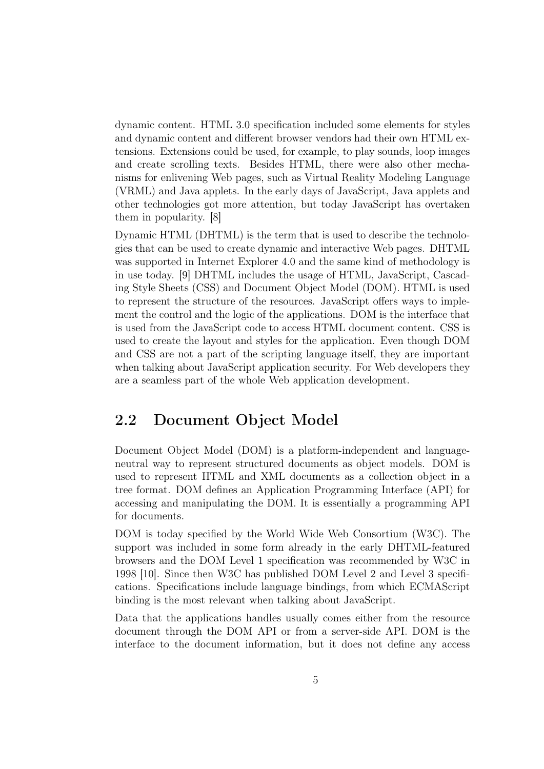dynamic content. HTML 3.0 specification included some elements for styles and dynamic content and different browser vendors had their own HTML extensions. Extensions could be used, for example, to play sounds, loop images and create scrolling texts. Besides HTML, there were also other mechanisms for enlivening Web pages, such as Virtual Reality Modeling Language (VRML) and Java applets. In the early days of JavaScript, Java applets and other technologies got more attention, but today JavaScript has overtaken them in popularity. [\[8\]](#page-71-7)

Dynamic HTML (DHTML) is the term that is used to describe the technologies that can be used to create dynamic and interactive Web pages. DHTML was supported in Internet Explorer 4.0 and the same kind of methodology is in use today. [\[9\]](#page-71-8) DHTML includes the usage of HTML, JavaScript, Cascading Style Sheets (CSS) and Document Object Model (DOM). HTML is used to represent the structure of the resources. JavaScript offers ways to implement the control and the logic of the applications. DOM is the interface that is used from the JavaScript code to access HTML document content. CSS is used to create the layout and styles for the application. Even though DOM and CSS are not a part of the scripting language itself, they are important when talking about JavaScript application security. For Web developers they are a seamless part of the whole Web application development.

#### <span id="page-14-0"></span>2.2 Document Object Model

Document Object Model (DOM) is a platform-independent and languageneutral way to represent structured documents as object models. DOM is used to represent HTML and XML documents as a collection object in a tree format. DOM defines an Application Programming Interface (API) for accessing and manipulating the DOM. It is essentially a programming API for documents.

DOM is today specified by the World Wide Web Consortium (W3C). The support was included in some form already in the early DHTML-featured browsers and the DOM Level 1 specification was recommended by W3C in 1998 [\[10\]](#page-72-0). Since then W3C has published DOM Level 2 and Level 3 specifications. Specifications include language bindings, from which ECMAScript binding is the most relevant when talking about JavaScript.

Data that the applications handles usually comes either from the resource document through the DOM API or from a server-side API. DOM is the interface to the document information, but it does not define any access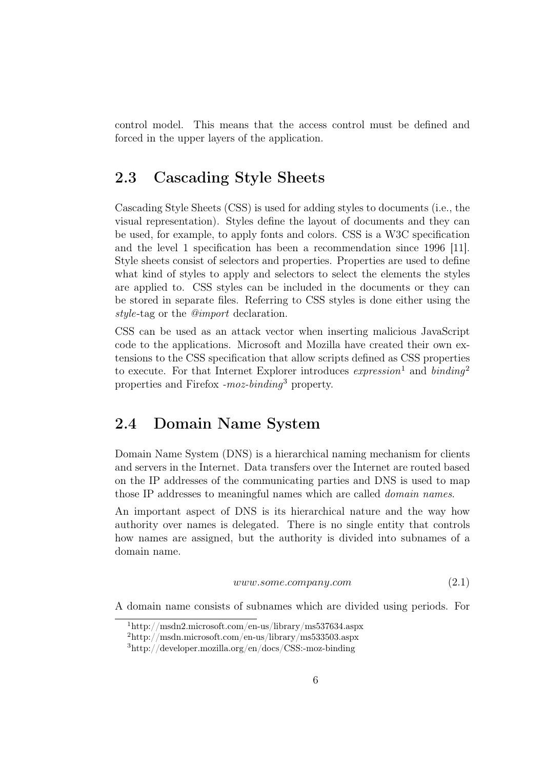control model. This means that the access control must be defined and forced in the upper layers of the application.

#### <span id="page-15-0"></span>2.3 Cascading Style Sheets

Cascading Style Sheets (CSS) is used for adding styles to documents (i.e., the visual representation). Styles define the layout of documents and they can be used, for example, to apply fonts and colors. CSS is a W3C specification and the level 1 specification has been a recommendation since 1996 [\[11\]](#page-72-1). Style sheets consist of selectors and properties. Properties are used to define what kind of styles to apply and selectors to select the elements the styles are applied to. CSS styles can be included in the documents or they can be stored in separate files. Referring to CSS styles is done either using the style-tag or the @import declaration.

CSS can be used as an attack vector when inserting malicious JavaScript code to the applications. Microsoft and Mozilla have created their own extensions to the CSS specification that allow scripts defined as CSS properties to execute. For that Internet Explorer introduces  $expression<sup>1</sup>$  $expression<sup>1</sup>$  $expression<sup>1</sup>$  and  $binding<sup>2</sup>$  $binding<sup>2</sup>$  $binding<sup>2</sup>$ properties and Firefox  $-moz-binding<sup>3</sup>$  $-moz-binding<sup>3</sup>$  $-moz-binding<sup>3</sup>$  property.

#### <span id="page-15-1"></span>2.4 Domain Name System

Domain Name System (DNS) is a hierarchical naming mechanism for clients and servers in the Internet. Data transfers over the Internet are routed based on the IP addresses of the communicating parties and DNS is used to map those IP addresses to meaningful names which are called domain names.

An important aspect of DNS is its hierarchical nature and the way how authority over names is delegated. There is no single entity that controls how names are assigned, but the authority is divided into subnames of a domain name.

<span id="page-15-5"></span> $www.some.company.com$  (2.1)

A domain name consists of subnames which are divided using periods. For

<span id="page-15-2"></span> $1$ http://msdn2.microsoft.com/en-us/library/ms537634.aspx

<span id="page-15-3"></span><sup>2</sup>http://msdn.microsoft.com/en-us/library/ms533503.aspx

<span id="page-15-4"></span><sup>3</sup>http://developer.mozilla.org/en/docs/CSS:-moz-binding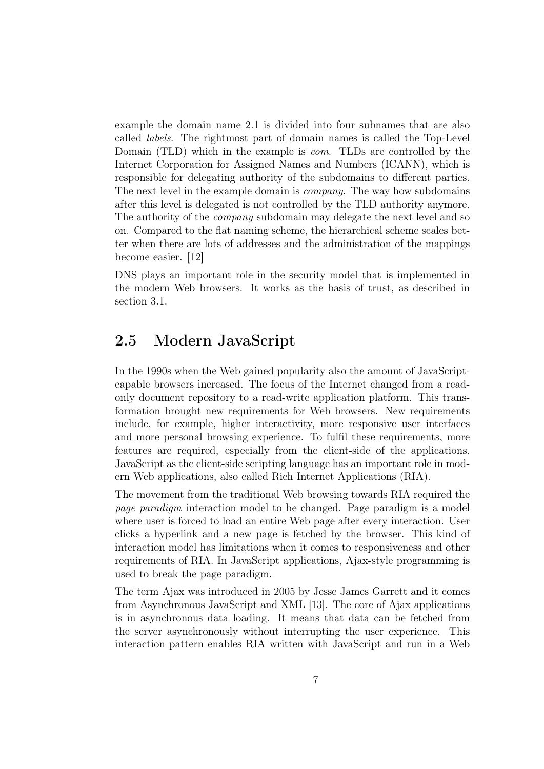example the domain name [2.1](#page-15-5) is divided into four subnames that are also called labels. The rightmost part of domain names is called the Top-Level Domain (TLD) which in the example is com. TLDs are controlled by the Internet Corporation for Assigned Names and Numbers (ICANN), which is responsible for delegating authority of the subdomains to different parties. The next level in the example domain is company. The way how subdomains after this level is delegated is not controlled by the TLD authority anymore. The authority of the *company* subdomain may delegate the next level and so on. Compared to the flat naming scheme, the hierarchical scheme scales better when there are lots of addresses and the administration of the mappings become easier. [\[12\]](#page-72-2)

DNS plays an important role in the security model that is implemented in the modern Web browsers. It works as the basis of trust, as described in section [3.1.](#page-21-1)

#### <span id="page-16-0"></span>2.5 Modern JavaScript

In the 1990s when the Web gained popularity also the amount of JavaScriptcapable browsers increased. The focus of the Internet changed from a readonly document repository to a read-write application platform. This transformation brought new requirements for Web browsers. New requirements include, for example, higher interactivity, more responsive user interfaces and more personal browsing experience. To fulfil these requirements, more features are required, especially from the client-side of the applications. JavaScript as the client-side scripting language has an important role in modern Web applications, also called Rich Internet Applications (RIA).

The movement from the traditional Web browsing towards RIA required the page paradigm interaction model to be changed. Page paradigm is a model where user is forced to load an entire Web page after every interaction. User clicks a hyperlink and a new page is fetched by the browser. This kind of interaction model has limitations when it comes to responsiveness and other requirements of RIA. In JavaScript applications, Ajax-style programming is used to break the page paradigm.

The term Ajax was introduced in 2005 by Jesse James Garrett and it comes from Asynchronous JavaScript and XML [\[13\]](#page-72-3). The core of Ajax applications is in asynchronous data loading. It means that data can be fetched from the server asynchronously without interrupting the user experience. This interaction pattern enables RIA written with JavaScript and run in a Web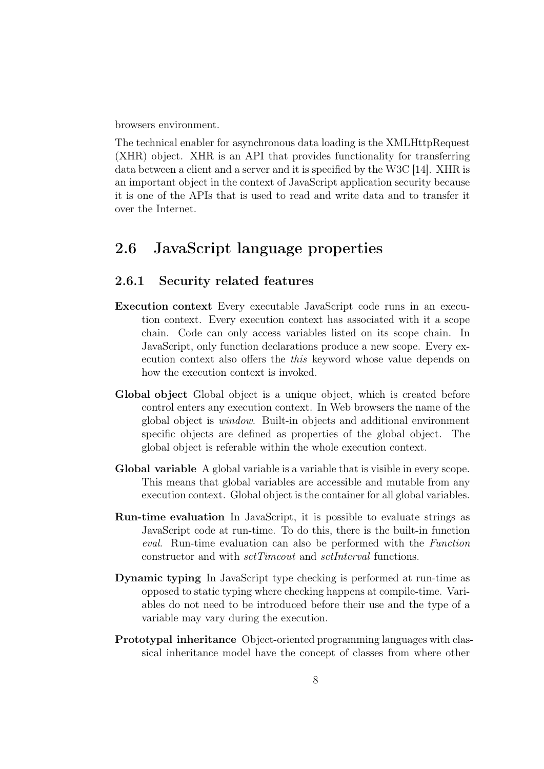browsers environment.

The technical enabler for asynchronous data loading is the XMLHttpRequest (XHR) object. XHR is an API that provides functionality for transferring data between a client and a server and it is specified by the W3C [\[14\]](#page-72-4). XHR is an important object in the context of JavaScript application security because it is one of the APIs that is used to read and write data and to transfer it over the Internet.

#### <span id="page-17-0"></span>2.6 JavaScript language properties

#### <span id="page-17-1"></span>2.6.1 Security related features

- Execution context Every executable JavaScript code runs in an execution context. Every execution context has associated with it a scope chain. Code can only access variables listed on its scope chain. In JavaScript, only function declarations produce a new scope. Every execution context also offers the this keyword whose value depends on how the execution context is invoked.
- Global object Global object is a unique object, which is created before control enters any execution context. In Web browsers the name of the global object is window. Built-in objects and additional environment specific objects are defined as properties of the global object. The global object is referable within the whole execution context.
- Global variable A global variable is a variable that is visible in every scope. This means that global variables are accessible and mutable from any execution context. Global object is the container for all global variables.
- Run-time evaluation In JavaScript, it is possible to evaluate strings as JavaScript code at run-time. To do this, there is the built-in function eval. Run-time evaluation can also be performed with the Function constructor and with setTimeout and setInterval functions.
- Dynamic typing In JavaScript type checking is performed at run-time as opposed to static typing where checking happens at compile-time. Variables do not need to be introduced before their use and the type of a variable may vary during the execution.
- Prototypal inheritance Object-oriented programming languages with classical inheritance model have the concept of classes from where other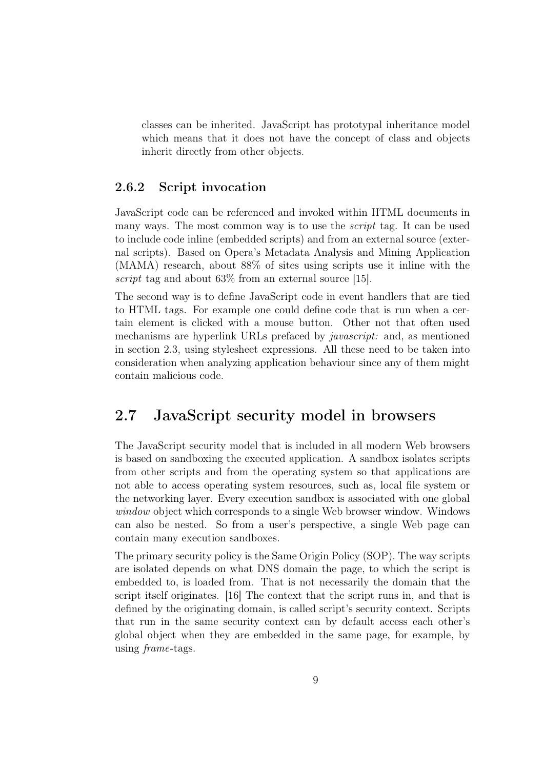classes can be inherited. JavaScript has prototypal inheritance model which means that it does not have the concept of class and objects inherit directly from other objects.

#### <span id="page-18-0"></span>2.6.2 Script invocation

JavaScript code can be referenced and invoked within HTML documents in many ways. The most common way is to use the script tag. It can be used to include code inline (embedded scripts) and from an external source (external scripts). Based on Opera's Metadata Analysis and Mining Application (MAMA) research, about 88% of sites using scripts use it inline with the script tag and about 63\% from an external source [\[15\]](#page-72-5).

The second way is to define JavaScript code in event handlers that are tied to HTML tags. For example one could define code that is run when a certain element is clicked with a mouse button. Other not that often used mechanisms are hyperlink URLs prefaced by *javascript:* and, as mentioned in section [2.3,](#page-15-0) using stylesheet expressions. All these need to be taken into consideration when analyzing application behaviour since any of them might contain malicious code.

#### <span id="page-18-1"></span>2.7 JavaScript security model in browsers

The JavaScript security model that is included in all modern Web browsers is based on sandboxing the executed application. A sandbox isolates scripts from other scripts and from the operating system so that applications are not able to access operating system resources, such as, local file system or the networking layer. Every execution sandbox is associated with one global window object which corresponds to a single Web browser window. Windows can also be nested. So from a user's perspective, a single Web page can contain many execution sandboxes.

The primary security policy is the Same Origin Policy (SOP). The way scripts are isolated depends on what DNS domain the page, to which the script is embedded to, is loaded from. That is not necessarily the domain that the script itself originates. [\[16\]](#page-72-6) The context that the script runs in, and that is defined by the originating domain, is called script's security context. Scripts that run in the same security context can by default access each other's global object when they are embedded in the same page, for example, by using frame-tags.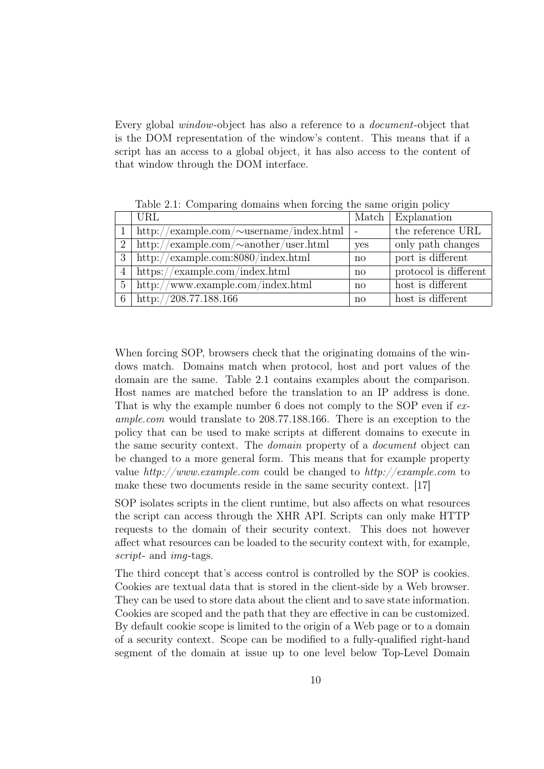Every global window-object has also a reference to a document-object that is the DOM representation of the window's content. This means that if a script has an access to a global object, it has also access to the content of that window through the DOM interface.

|                | URL                                                                     |              | Match   Explanation   |
|----------------|-------------------------------------------------------------------------|--------------|-----------------------|
|                | http://example.com/ $\sim$ username/index.html                          |              | the reference URL     |
| 2 <sup>7</sup> | http://example.com/ $\sim$ another/user.html                            | yes          | only path changes     |
| 3              | http://example.com:8080/index.html                                      | no           | port is different     |
| 4              | $\frac{https://example.com/index.html}{https://example.com/index.html}$ | no           | protocol is different |
| 5              | http://www.example.com/index.html                                       | no           | host is different     |
| 6              | http://208.77.188.166                                                   | $\mathbf{n}$ | host is different     |

<span id="page-19-0"></span>Table 2.1: Comparing domains when forcing the same origin policy

When forcing SOP, browsers check that the originating domains of the windows match. Domains match when protocol, host and port values of the domain are the same. Table [2.1](#page-19-0) contains examples about the comparison. Host names are matched before the translation to an IP address is done. That is why the example number 6 does not comply to the SOP even if example.com would translate to 208.77.188.166. There is an exception to the policy that can be used to make scripts at different domains to execute in the same security context. The domain property of a document object can be changed to a more general form. This means that for example property value  $http://www.example.com$  could be changed to  $http://example.com$  to make these two documents reside in the same security context. [\[17\]](#page-72-7)

SOP isolates scripts in the client runtime, but also affects on what resources the script can access through the XHR API. Scripts can only make HTTP requests to the domain of their security context. This does not however affect what resources can be loaded to the security context with, for example, script- and *img*-tags.

The third concept that's access control is controlled by the SOP is cookies. Cookies are textual data that is stored in the client-side by a Web browser. They can be used to store data about the client and to save state information. Cookies are scoped and the path that they are effective in can be customized. By default cookie scope is limited to the origin of a Web page or to a domain of a security context. Scope can be modified to a fully-qualified right-hand segment of the domain at issue up to one level below Top-Level Domain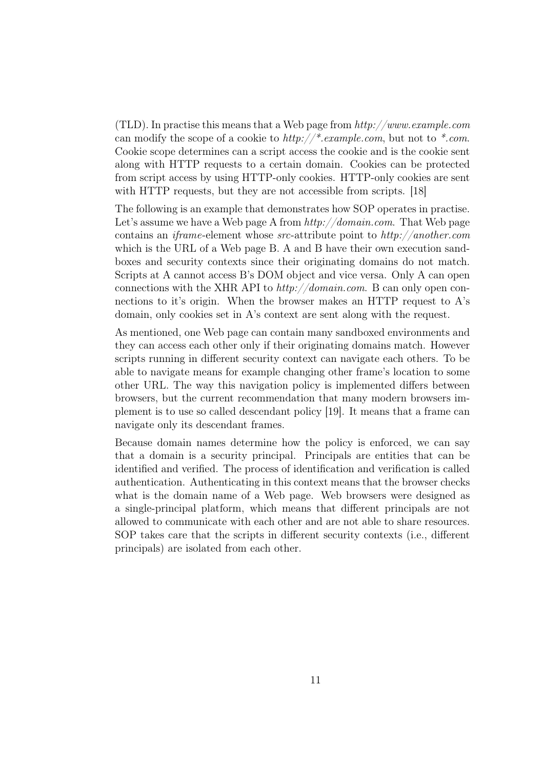(TLD). In practise this means that a Web page from  $http://www.example.com$ can modify the scope of a cookie to  $http://*.example.com, but not to <*.com.$ Cookie scope determines can a script access the cookie and is the cookie sent along with HTTP requests to a certain domain. Cookies can be protected from script access by using HTTP-only cookies. HTTP-only cookies are sent with HTTP requests, but they are not accessible from scripts. [\[18\]](#page-72-8)

The following is an example that demonstrates how SOP operates in practise. Let's assume we have a Web page A from  $http://domain.com$ . That Web page contains an iframe-element whose src-attribute point to http://another.com which is the URL of a Web page B. A and B have their own execution sandboxes and security contexts since their originating domains do not match. Scripts at A cannot access B's DOM object and vice versa. Only A can open connections with the XHR API to  $http://domain.com.$  B can only open connections to it's origin. When the browser makes an HTTP request to A's domain, only cookies set in A's context are sent along with the request.

As mentioned, one Web page can contain many sandboxed environments and they can access each other only if their originating domains match. However scripts running in different security context can navigate each others. To be able to navigate means for example changing other frame's location to some other URL. The way this navigation policy is implemented differs between browsers, but the current recommendation that many modern browsers implement is to use so called descendant policy [\[19\]](#page-72-9). It means that a frame can navigate only its descendant frames.

Because domain names determine how the policy is enforced, we can say that a domain is a security principal. Principals are entities that can be identified and verified. The process of identification and verification is called authentication. Authenticating in this context means that the browser checks what is the domain name of a Web page. Web browsers were designed as a single-principal platform, which means that different principals are not allowed to communicate with each other and are not able to share resources. SOP takes care that the scripts in different security contexts (i.e., different principals) are isolated from each other.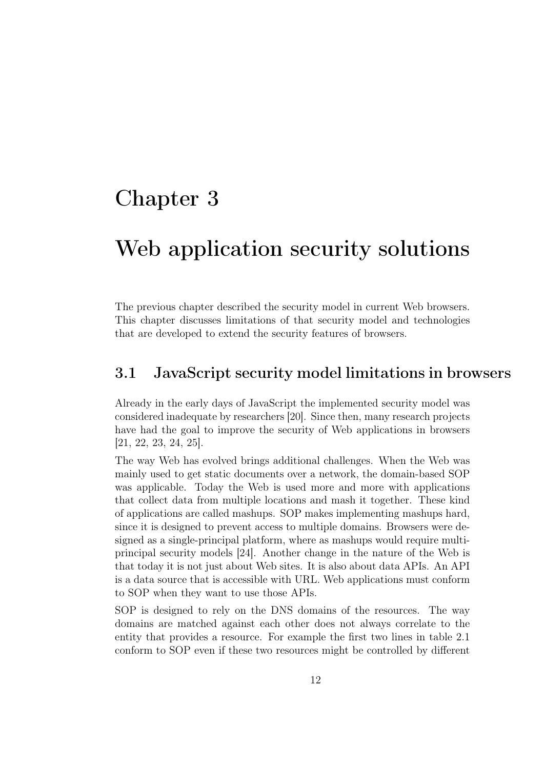### <span id="page-21-0"></span>Chapter 3

### Web application security solutions

The previous chapter described the security model in current Web browsers. This chapter discusses limitations of that security model and technologies that are developed to extend the security features of browsers.

#### <span id="page-21-1"></span>3.1 JavaScript security model limitations in browsers

Already in the early days of JavaScript the implemented security model was considered inadequate by researchers [\[20\]](#page-72-10). Since then, many research projects have had the goal to improve the security of Web applications in browsers [\[21,](#page-72-11) [22,](#page-73-0) [23,](#page-73-1) [24,](#page-73-2) [25\]](#page-73-3).

The way Web has evolved brings additional challenges. When the Web was mainly used to get static documents over a network, the domain-based SOP was applicable. Today the Web is used more and more with applications that collect data from multiple locations and mash it together. These kind of applications are called mashups. SOP makes implementing mashups hard, since it is designed to prevent access to multiple domains. Browsers were designed as a single-principal platform, where as mashups would require multiprincipal security models [\[24\]](#page-73-2). Another change in the nature of the Web is that today it is not just about Web sites. It is also about data APIs. An API is a data source that is accessible with URL. Web applications must conform to SOP when they want to use those APIs.

SOP is designed to rely on the DNS domains of the resources. The way domains are matched against each other does not always correlate to the entity that provides a resource. For example the first two lines in table [2.1](#page-19-0) conform to SOP even if these two resources might be controlled by different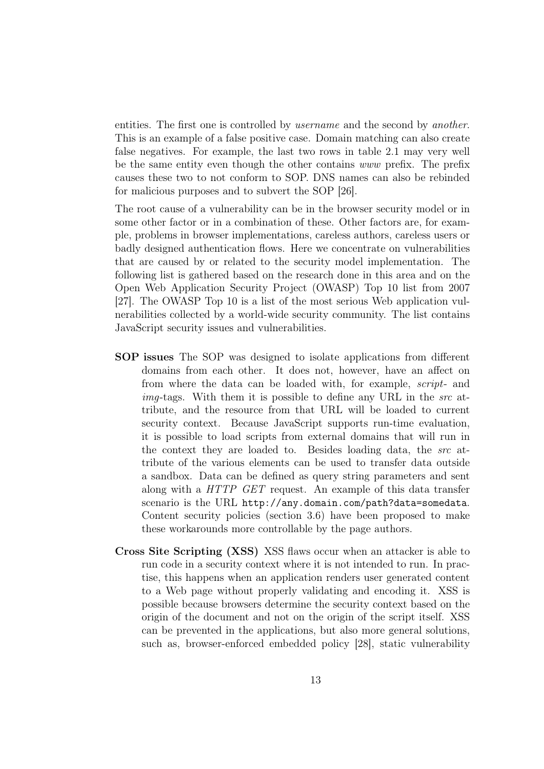entities. The first one is controlled by *username* and the second by *another*. This is an example of a false positive case. Domain matching can also create false negatives. For example, the last two rows in table [2.1](#page-19-0) may very well be the same entity even though the other contains www prefix. The prefix causes these two to not conform to SOP. DNS names can also be rebinded for malicious purposes and to subvert the SOP [\[26\]](#page-73-4).

The root cause of a vulnerability can be in the browser security model or in some other factor or in a combination of these. Other factors are, for example, problems in browser implementations, careless authors, careless users or badly designed authentication flows. Here we concentrate on vulnerabilities that are caused by or related to the security model implementation. The following list is gathered based on the research done in this area and on the Open Web Application Security Project (OWASP) Top 10 list from 2007 [\[27\]](#page-73-5). The OWASP Top 10 is a list of the most serious Web application vulnerabilities collected by a world-wide security community. The list contains JavaScript security issues and vulnerabilities.

- SOP issues The SOP was designed to isolate applications from different domains from each other. It does not, however, have an affect on from where the data can be loaded with, for example, script- and  $imq$ -tags. With them it is possible to define any URL in the src attribute, and the resource from that URL will be loaded to current security context. Because JavaScript supports run-time evaluation, it is possible to load scripts from external domains that will run in the context they are loaded to. Besides loading data, the src attribute of the various elements can be used to transfer data outside a sandbox. Data can be defined as query string parameters and sent along with a HTTP GET request. An example of this data transfer scenario is the URL <http://any.domain.com/path?data=somedata>. Content security policies (section [3.6\)](#page-28-0) have been proposed to make these workarounds more controllable by the page authors.
- Cross Site Scripting (XSS) XSS flaws occur when an attacker is able to run code in a security context where it is not intended to run. In practise, this happens when an application renders user generated content to a Web page without properly validating and encoding it. XSS is possible because browsers determine the security context based on the origin of the document and not on the origin of the script itself. XSS can be prevented in the applications, but also more general solutions, such as, browser-enforced embedded policy [\[28\]](#page-73-6), static vulnerability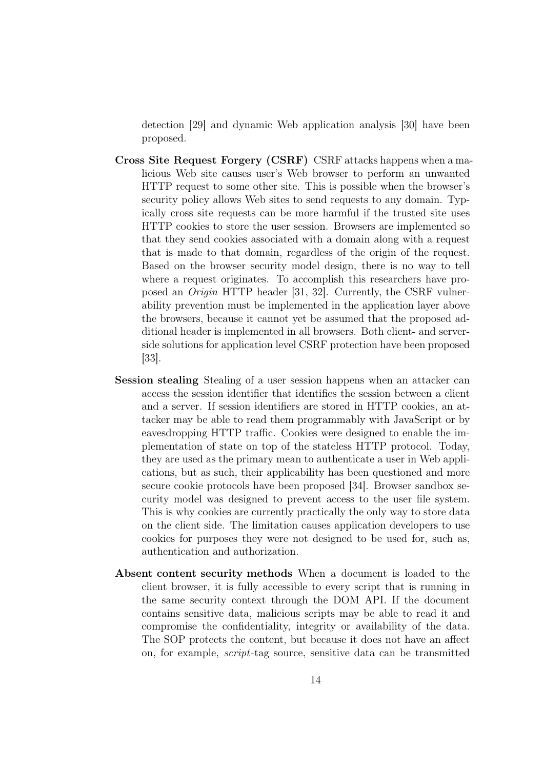detection [\[29\]](#page-73-7) and dynamic Web application analysis [\[30\]](#page-73-8) have been proposed.

- Cross Site Request Forgery (CSRF) CSRF attacks happens when a malicious Web site causes user's Web browser to perform an unwanted HTTP request to some other site. This is possible when the browser's security policy allows Web sites to send requests to any domain. Typically cross site requests can be more harmful if the trusted site uses HTTP cookies to store the user session. Browsers are implemented so that they send cookies associated with a domain along with a request that is made to that domain, regardless of the origin of the request. Based on the browser security model design, there is no way to tell where a request originates. To accomplish this researchers have proposed an Origin HTTP header [\[31,](#page-73-9) [32\]](#page-74-0). Currently, the CSRF vulnerability prevention must be implemented in the application layer above the browsers, because it cannot yet be assumed that the proposed additional header is implemented in all browsers. Both client- and serverside solutions for application level CSRF protection have been proposed [\[33\]](#page-74-1).
- Session stealing Stealing of a user session happens when an attacker can access the session identifier that identifies the session between a client and a server. If session identifiers are stored in HTTP cookies, an attacker may be able to read them programmably with JavaScript or by eavesdropping HTTP traffic. Cookies were designed to enable the implementation of state on top of the stateless HTTP protocol. Today, they are used as the primary mean to authenticate a user in Web applications, but as such, their applicability has been questioned and more secure cookie protocols have been proposed [\[34\]](#page-74-2). Browser sandbox security model was designed to prevent access to the user file system. This is why cookies are currently practically the only way to store data on the client side. The limitation causes application developers to use cookies for purposes they were not designed to be used for, such as, authentication and authorization.
- Absent content security methods When a document is loaded to the client browser, it is fully accessible to every script that is running in the same security context through the DOM API. If the document contains sensitive data, malicious scripts may be able to read it and compromise the confidentiality, integrity or availability of the data. The SOP protects the content, but because it does not have an affect on, for example, script-tag source, sensitive data can be transmitted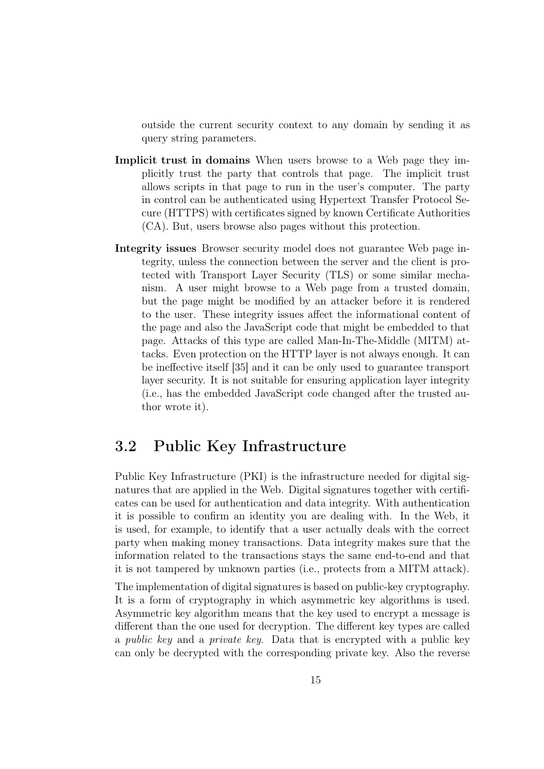outside the current security context to any domain by sending it as query string parameters.

- Implicit trust in domains When users browse to a Web page they implicitly trust the party that controls that page. The implicit trust allows scripts in that page to run in the user's computer. The party in control can be authenticated using Hypertext Transfer Protocol Secure (HTTPS) with certificates signed by known Certificate Authorities (CA). But, users browse also pages without this protection.
- Integrity issues Browser security model does not guarantee Web page integrity, unless the connection between the server and the client is protected with Transport Layer Security (TLS) or some similar mechanism. A user might browse to a Web page from a trusted domain, but the page might be modified by an attacker before it is rendered to the user. These integrity issues affect the informational content of the page and also the JavaScript code that might be embedded to that page. Attacks of this type are called Man-In-The-Middle (MITM) attacks. Even protection on the HTTP layer is not always enough. It can be ineffective itself [\[35\]](#page-74-3) and it can be only used to guarantee transport layer security. It is not suitable for ensuring application layer integrity (i.e., has the embedded JavaScript code changed after the trusted author wrote it).

#### <span id="page-24-0"></span>3.2 Public Key Infrastructure

Public Key Infrastructure (PKI) is the infrastructure needed for digital signatures that are applied in the Web. Digital signatures together with certificates can be used for authentication and data integrity. With authentication it is possible to confirm an identity you are dealing with. In the Web, it is used, for example, to identify that a user actually deals with the correct party when making money transactions. Data integrity makes sure that the information related to the transactions stays the same end-to-end and that it is not tampered by unknown parties (i.e., protects from a MITM attack).

The implementation of digital signatures is based on public-key cryptography. It is a form of cryptography in which asymmetric key algorithms is used. Asymmetric key algorithm means that the key used to encrypt a message is different than the one used for decryption. The different key types are called a public key and a private key. Data that is encrypted with a public key can only be decrypted with the corresponding private key. Also the reverse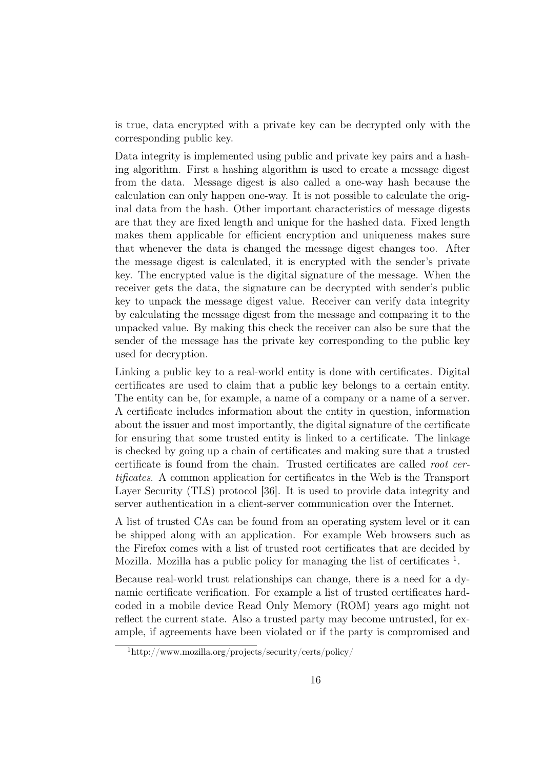is true, data encrypted with a private key can be decrypted only with the corresponding public key.

Data integrity is implemented using public and private key pairs and a hashing algorithm. First a hashing algorithm is used to create a message digest from the data. Message digest is also called a one-way hash because the calculation can only happen one-way. It is not possible to calculate the original data from the hash. Other important characteristics of message digests are that they are fixed length and unique for the hashed data. Fixed length makes them applicable for efficient encryption and uniqueness makes sure that whenever the data is changed the message digest changes too. After the message digest is calculated, it is encrypted with the sender's private key. The encrypted value is the digital signature of the message. When the receiver gets the data, the signature can be decrypted with sender's public key to unpack the message digest value. Receiver can verify data integrity by calculating the message digest from the message and comparing it to the unpacked value. By making this check the receiver can also be sure that the sender of the message has the private key corresponding to the public key used for decryption.

Linking a public key to a real-world entity is done with certificates. Digital certificates are used to claim that a public key belongs to a certain entity. The entity can be, for example, a name of a company or a name of a server. A certificate includes information about the entity in question, information about the issuer and most importantly, the digital signature of the certificate for ensuring that some trusted entity is linked to a certificate. The linkage is checked by going up a chain of certificates and making sure that a trusted certificate is found from the chain. Trusted certificates are called root certificates. A common application for certificates in the Web is the Transport Layer Security (TLS) protocol [\[36\]](#page-74-4). It is used to provide data integrity and server authentication in a client-server communication over the Internet.

A list of trusted CAs can be found from an operating system level or it can be shipped along with an application. For example Web browsers such as the Firefox comes with a list of trusted root certificates that are decided by Mozilla. Mozilla has a public policy for managing the list of certificates  $<sup>1</sup>$  $<sup>1</sup>$  $<sup>1</sup>$ .</sup>

Because real-world trust relationships can change, there is a need for a dynamic certificate verification. For example a list of trusted certificates hardcoded in a mobile device Read Only Memory (ROM) years ago might not reflect the current state. Also a trusted party may become untrusted, for example, if agreements have been violated or if the party is compromised and

<span id="page-25-0"></span><sup>1</sup>http://www.mozilla.org/projects/security/certs/policy/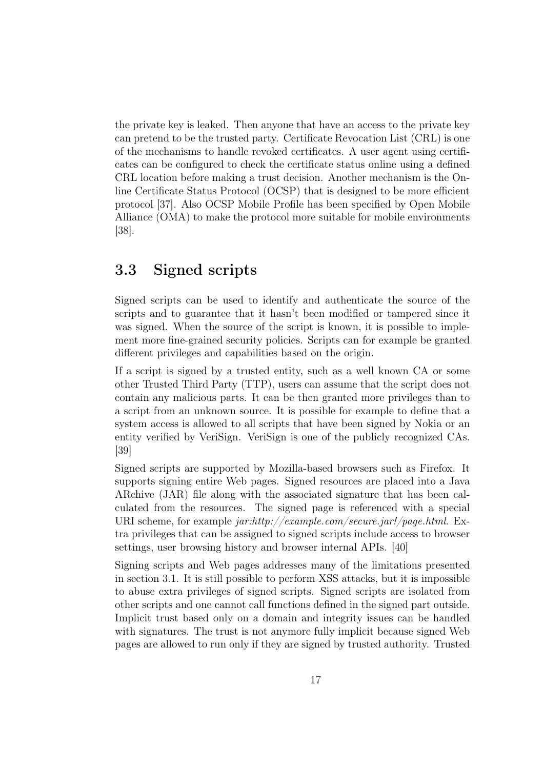the private key is leaked. Then anyone that have an access to the private key can pretend to be the trusted party. Certificate Revocation List (CRL) is one of the mechanisms to handle revoked certificates. A user agent using certificates can be configured to check the certificate status online using a defined CRL location before making a trust decision. Another mechanism is the Online Certificate Status Protocol (OCSP) that is designed to be more efficient protocol [\[37\]](#page-74-5). Also OCSP Mobile Profile has been specified by Open Mobile Alliance (OMA) to make the protocol more suitable for mobile environments [\[38\]](#page-74-6).

#### <span id="page-26-0"></span>3.3 Signed scripts

Signed scripts can be used to identify and authenticate the source of the scripts and to guarantee that it hasn't been modified or tampered since it was signed. When the source of the script is known, it is possible to implement more fine-grained security policies. Scripts can for example be granted different privileges and capabilities based on the origin.

If a script is signed by a trusted entity, such as a well known CA or some other Trusted Third Party (TTP), users can assume that the script does not contain any malicious parts. It can be then granted more privileges than to a script from an unknown source. It is possible for example to define that a system access is allowed to all scripts that have been signed by Nokia or an entity verified by VeriSign. VeriSign is one of the publicly recognized CAs. [\[39\]](#page-74-7)

Signed scripts are supported by Mozilla-based browsers such as Firefox. It supports signing entire Web pages. Signed resources are placed into a Java ARchive (JAR) file along with the associated signature that has been calculated from the resources. The signed page is referenced with a special URI scheme, for example jar:http://example.com/secure.jar!/page.html. Extra privileges that can be assigned to signed scripts include access to browser settings, user browsing history and browser internal APIs. [\[40\]](#page-74-8)

Signing scripts and Web pages addresses many of the limitations presented in section [3.1.](#page-21-1) It is still possible to perform XSS attacks, but it is impossible to abuse extra privileges of signed scripts. Signed scripts are isolated from other scripts and one cannot call functions defined in the signed part outside. Implicit trust based only on a domain and integrity issues can be handled with signatures. The trust is not anymore fully implicit because signed Web pages are allowed to run only if they are signed by trusted authority. Trusted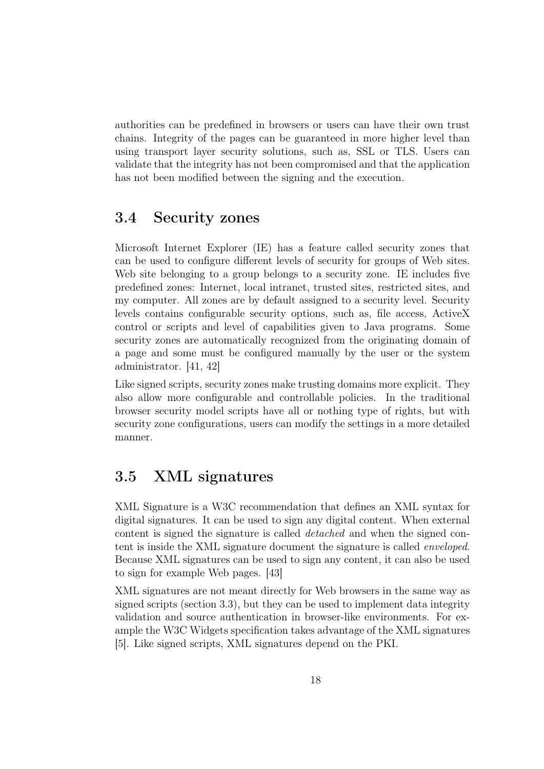authorities can be predefined in browsers or users can have their own trust chains. Integrity of the pages can be guaranteed in more higher level than using transport layer security solutions, such as, SSL or TLS. Users can validate that the integrity has not been compromised and that the application has not been modified between the signing and the execution.

#### <span id="page-27-0"></span>3.4 Security zones

Microsoft Internet Explorer (IE) has a feature called security zones that can be used to configure different levels of security for groups of Web sites. Web site belonging to a group belongs to a security zone. IE includes five predefined zones: Internet, local intranet, trusted sites, restricted sites, and my computer. All zones are by default assigned to a security level. Security levels contains configurable security options, such as, file access, ActiveX control or scripts and level of capabilities given to Java programs. Some security zones are automatically recognized from the originating domain of a page and some must be configured manually by the user or the system administrator. [\[41,](#page-74-9) [42\]](#page-74-10)

Like signed scripts, security zones make trusting domains more explicit. They also allow more configurable and controllable policies. In the traditional browser security model scripts have all or nothing type of rights, but with security zone configurations, users can modify the settings in a more detailed manner.

#### <span id="page-27-1"></span>3.5 XML signatures

XML Signature is a W3C recommendation that defines an XML syntax for digital signatures. It can be used to sign any digital content. When external content is signed the signature is called detached and when the signed content is inside the XML signature document the signature is called enveloped. Because XML signatures can be used to sign any content, it can also be used to sign for example Web pages. [\[43\]](#page-74-11)

XML signatures are not meant directly for Web browsers in the same way as signed scripts (section [3.3\)](#page-26-0), but they can be used to implement data integrity validation and source authentication in browser-like environments. For example the W3C Widgets specification takes advantage of the XML signatures [\[5\]](#page-71-4). Like signed scripts, XML signatures depend on the PKI.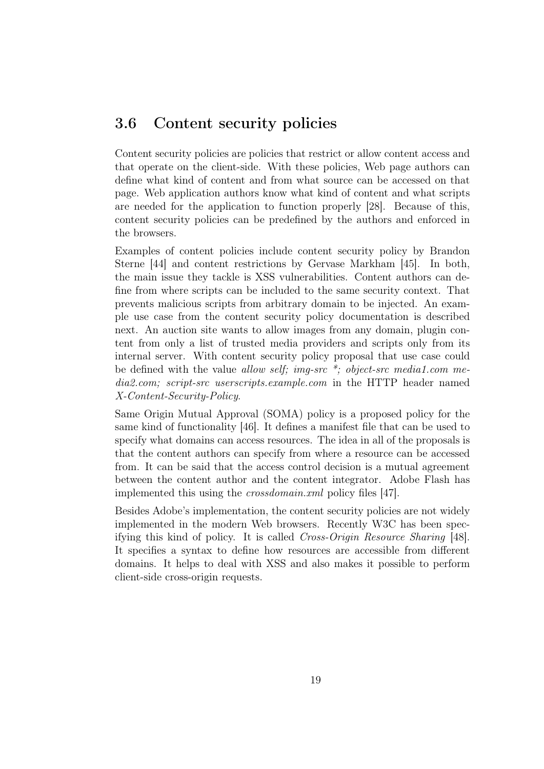#### <span id="page-28-0"></span>3.6 Content security policies

Content security policies are policies that restrict or allow content access and that operate on the client-side. With these policies, Web page authors can define what kind of content and from what source can be accessed on that page. Web application authors know what kind of content and what scripts are needed for the application to function properly [\[28\]](#page-73-6). Because of this, content security policies can be predefined by the authors and enforced in the browsers.

Examples of content policies include content security policy by Brandon Sterne [\[44\]](#page-75-0) and content restrictions by Gervase Markham [\[45\]](#page-75-1). In both, the main issue they tackle is XSS vulnerabilities. Content authors can define from where scripts can be included to the same security context. That prevents malicious scripts from arbitrary domain to be injected. An example use case from the content security policy documentation is described next. An auction site wants to allow images from any domain, plugin content from only a list of trusted media providers and scripts only from its internal server. With content security policy proposal that use case could be defined with the value allow self; img-src  $*$ ; object-src media1.com media2.com; script-src userscripts.example.com in the HTTP header named X-Content-Security-Policy.

Same Origin Mutual Approval (SOMA) policy is a proposed policy for the same kind of functionality [\[46\]](#page-75-2). It defines a manifest file that can be used to specify what domains can access resources. The idea in all of the proposals is that the content authors can specify from where a resource can be accessed from. It can be said that the access control decision is a mutual agreement between the content author and the content integrator. Adobe Flash has implemented this using the crossdomain.xml policy files [\[47\]](#page-75-3).

Besides Adobe's implementation, the content security policies are not widely implemented in the modern Web browsers. Recently W3C has been specifying this kind of policy. It is called Cross-Origin Resource Sharing [\[48\]](#page-75-4). It specifies a syntax to define how resources are accessible from different domains. It helps to deal with XSS and also makes it possible to perform client-side cross-origin requests.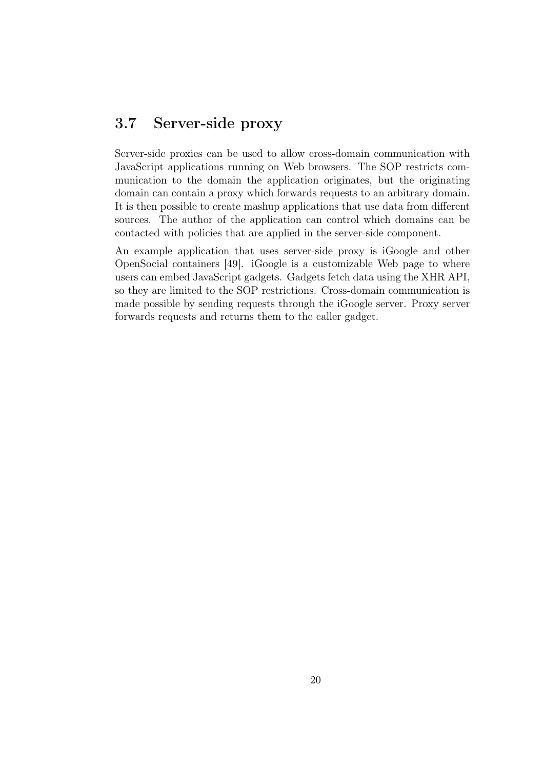#### <span id="page-29-0"></span>3.7 Server-side proxy

Server-side proxies can be used to allow cross-domain communication with JavaScript applications running on Web browsers. The SOP restricts communication to the domain the application originates, but the originating domain can contain a proxy which forwards requests to an arbitrary domain. It is then possible to create mashup applications that use data from different sources. The author of the application can control which domains can be contacted with policies that are applied in the server-side component.

An example application that uses server-side proxy is iGoogle and other OpenSocial containers [\[49\]](#page-75-5). iGoogle is a customizable Web page to where users can embed JavaScript gadgets. Gadgets fetch data using the XHR API, so they are limited to the SOP restrictions. Cross-domain communication is made possible by sending requests through the iGoogle server. Proxy server forwards requests and returns them to the caller gadget.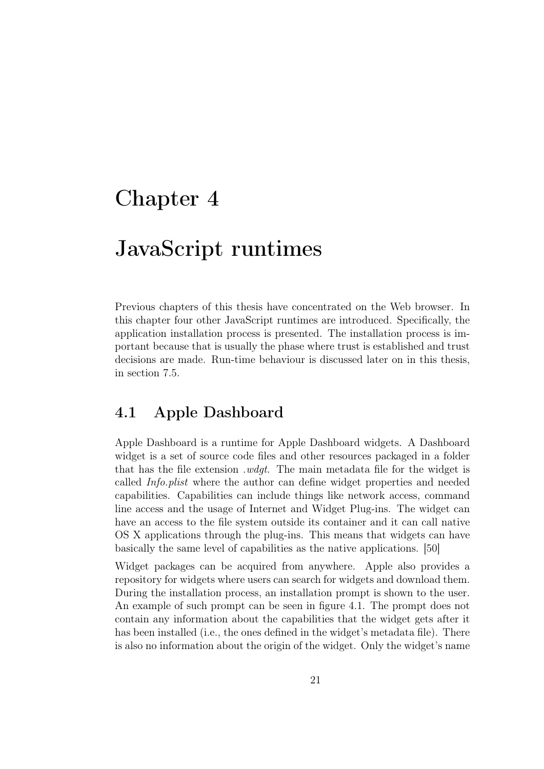### <span id="page-30-0"></span>Chapter 4

### JavaScript runtimes

Previous chapters of this thesis have concentrated on the Web browser. In this chapter four other JavaScript runtimes are introduced. Specifically, the application installation process is presented. The installation process is important because that is usually the phase where trust is established and trust decisions are made. Run-time behaviour is discussed later on in this thesis, in section [7.5.](#page-66-0)

#### <span id="page-30-1"></span>4.1 Apple Dashboard

Apple Dashboard is a runtime for Apple Dashboard widgets. A Dashboard widget is a set of source code files and other resources packaged in a folder that has the file extension .wdgt. The main metadata file for the widget is called Info.plist where the author can define widget properties and needed capabilities. Capabilities can include things like network access, command line access and the usage of Internet and Widget Plug-ins. The widget can have an access to the file system outside its container and it can call native OS X applications through the plug-ins. This means that widgets can have basically the same level of capabilities as the native applications. [\[50\]](#page-75-6)

Widget packages can be acquired from anywhere. Apple also provides a repository for widgets where users can search for widgets and download them. During the installation process, an installation prompt is shown to the user. An example of such prompt can be seen in figure [4.1.](#page-31-1) The prompt does not contain any information about the capabilities that the widget gets after it has been installed (i.e., the ones defined in the widget's metadata file). There is also no information about the origin of the widget. Only the widget's name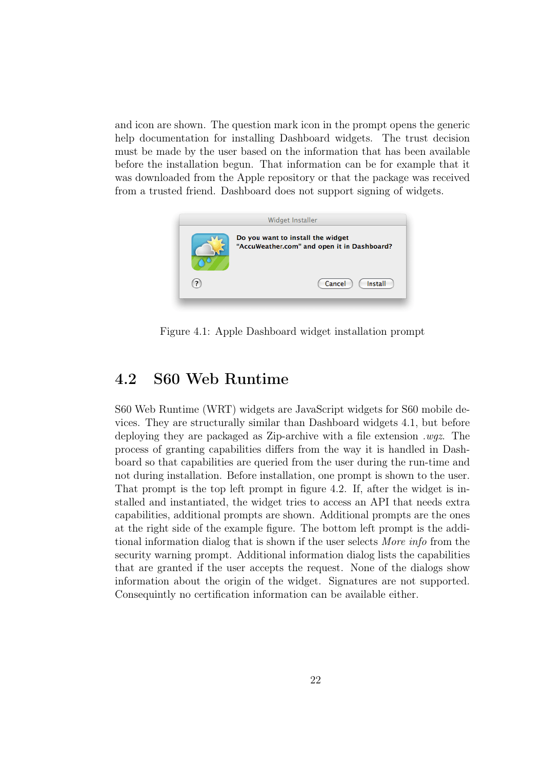and icon are shown. The question mark icon in the prompt opens the generic help documentation for installing Dashboard widgets. The trust decision must be made by the user based on the information that has been available before the installation begun. That information can be for example that it was downloaded from the Apple repository or that the package was received from a trusted friend. Dashboard does not support signing of widgets.



Figure 4.1: Apple Dashboard widget installation prompt

#### <span id="page-31-1"></span><span id="page-31-0"></span>4.2 S60 Web Runtime

S60 Web Runtime (WRT) widgets are JavaScript widgets for S60 mobile devices. They are structurally similar than Dashboard widgets [4.1,](#page-30-1) but before deploying they are packaged as Zip-archive with a file extension .wgz. The process of granting capabilities differs from the way it is handled in Dashboard so that capabilities are queried from the user during the run-time and not during installation. Before installation, one prompt is shown to the user. That prompt is the top left prompt in figure [4.2.](#page-32-1) If, after the widget is installed and instantiated, the widget tries to access an API that needs extra capabilities, additional prompts are shown. Additional prompts are the ones at the right side of the example figure. The bottom left prompt is the additional information dialog that is shown if the user selects More info from the security warning prompt. Additional information dialog lists the capabilities that are granted if the user accepts the request. None of the dialogs show information about the origin of the widget. Signatures are not supported. Consequintly no certification information can be available either.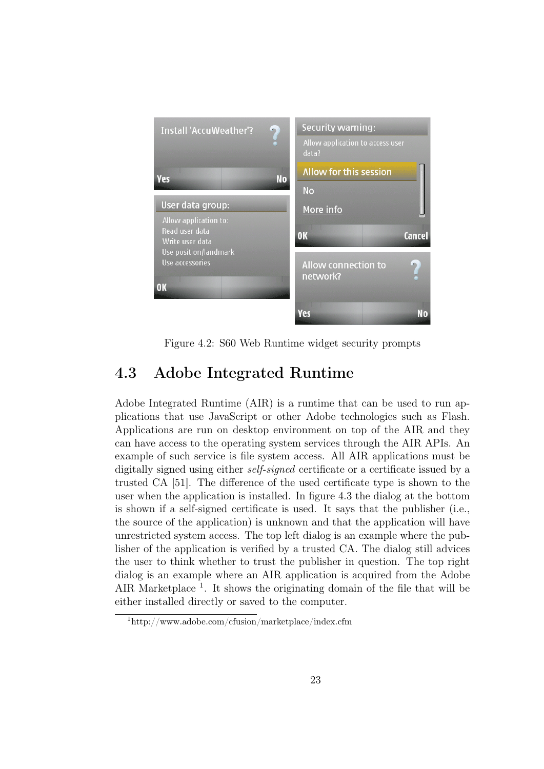

Figure 4.2: S60 Web Runtime widget security prompts

### <span id="page-32-1"></span><span id="page-32-0"></span>4.3 Adobe Integrated Runtime

Adobe Integrated Runtime (AIR) is a runtime that can be used to run applications that use JavaScript or other Adobe technologies such as Flash. Applications are run on desktop environment on top of the AIR and they can have access to the operating system services through the AIR APIs. An example of such service is file system access. All AIR applications must be digitally signed using either *self-signed* certificate or a certificate issued by a trusted CA [\[51\]](#page-75-7). The difference of the used certificate type is shown to the user when the application is installed. In figure [4.3](#page-33-1) the dialog at the bottom is shown if a self-signed certificate is used. It says that the publisher (i.e., the source of the application) is unknown and that the application will have unrestricted system access. The top left dialog is an example where the publisher of the application is verified by a trusted CA. The dialog still advices the user to think whether to trust the publisher in question. The top right dialog is an example where an AIR application is acquired from the Adobe AIR Marketplace<sup>[1](#page-32-2)</sup>. It shows the originating domain of the file that will be either installed directly or saved to the computer.

<span id="page-32-2"></span><sup>1</sup>http://www.adobe.com/cfusion/marketplace/index.cfm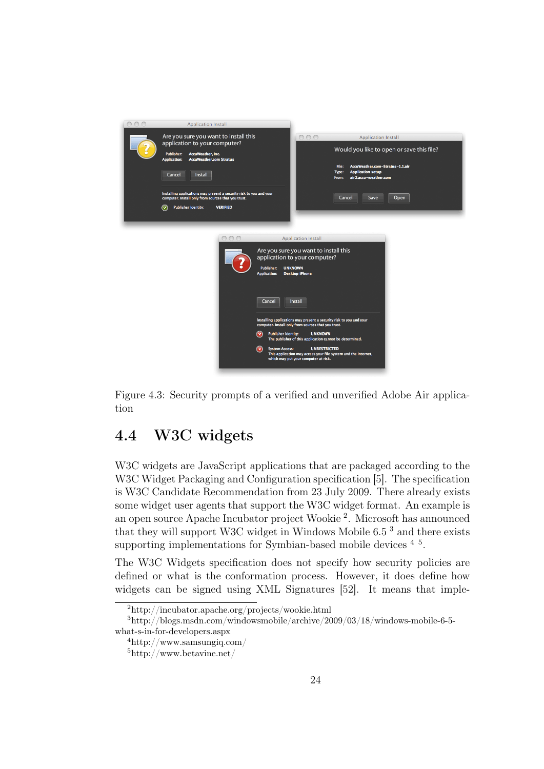

<span id="page-33-1"></span>Figure 4.3: Security prompts of a verified and unverified Adobe Air application

#### <span id="page-33-0"></span>4.4 W3C widgets

W<sub>3</sub>C widgets are JavaScript applications that are packaged according to the W3C Widget Packaging and Configuration specification [\[5\]](#page-71-4). The specification is W3C Candidate Recommendation from 23 July 2009. There already exists some widget user agents that support the W3C widget format. An example is an open source Apache Incubator project Wookie [2](#page-33-2) . Microsoft has announced that they will support W3C widget in Windows Mobile 6.5 [3](#page-33-3) and there exists supporting implementations for Symbian-based mobile devices  $4\text{ }^{5}$  $4\text{ }^{5}$  $4\text{ }^{5}$  $4\text{ }^{5}$ .

The W3C Widgets specification does not specify how security policies are defined or what is the conformation process. However, it does define how widgets can be signed using XML Signatures [\[52\]](#page-75-8). It means that imple-

<span id="page-33-3"></span><span id="page-33-2"></span><sup>2</sup>http://incubator.apache.org/projects/wookie.html

<sup>3</sup>http://blogs.msdn.com/windowsmobile/archive/2009/03/18/windows-mobile-6-5 what-s-in-for-developers.aspx

<span id="page-33-4"></span><sup>4</sup>http://www.samsungiq.com/

<span id="page-33-5"></span><sup>5</sup>http://www.betavine.net/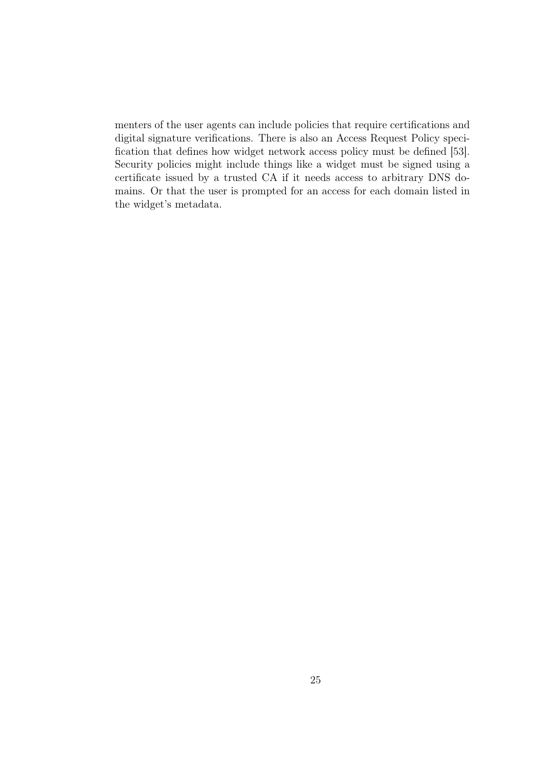menters of the user agents can include policies that require certifications and digital signature verifications. There is also an Access Request Policy specification that defines how widget network access policy must be defined [\[53\]](#page-75-9). Security policies might include things like a widget must be signed using a certificate issued by a trusted CA if it needs access to arbitrary DNS domains. Or that the user is prompted for an access for each domain listed in the widget's metadata.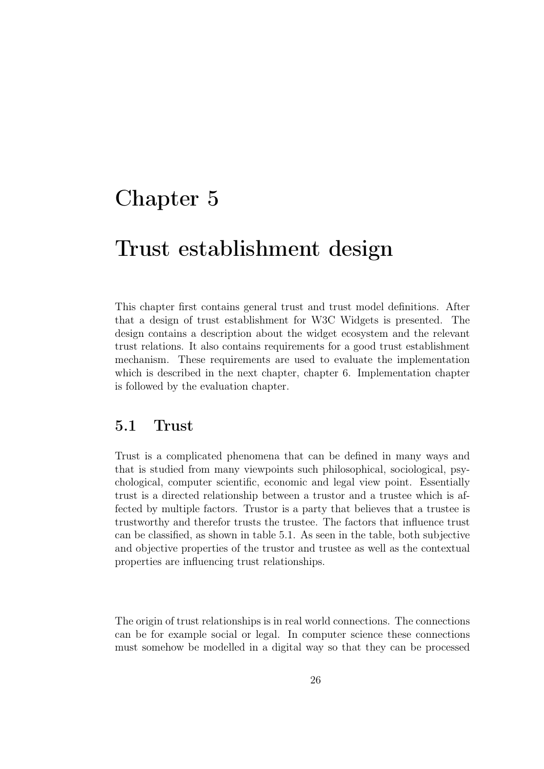### <span id="page-35-0"></span>Chapter 5

### Trust establishment design

This chapter first contains general trust and trust model definitions. After that a design of trust establishment for W3C Widgets is presented. The design contains a description about the widget ecosystem and the relevant trust relations. It also contains requirements for a good trust establishment mechanism. These requirements are used to evaluate the implementation which is described in the next chapter, chapter [6.](#page-43-0) Implementation chapter is followed by the evaluation chapter.

#### <span id="page-35-1"></span>5.1 Trust

Trust is a complicated phenomena that can be defined in many ways and that is studied from many viewpoints such philosophical, sociological, psychological, computer scientific, economic and legal view point. Essentially trust is a directed relationship between a trustor and a trustee which is affected by multiple factors. Trustor is a party that believes that a trustee is trustworthy and therefor trusts the trustee. The factors that influence trust can be classified, as shown in table [5.1.](#page-36-1) As seen in the table, both subjective and objective properties of the trustor and trustee as well as the contextual properties are influencing trust relationships.

The origin of trust relationships is in real world connections. The connections can be for example social or legal. In computer science these connections must somehow be modelled in a digital way so that they can be processed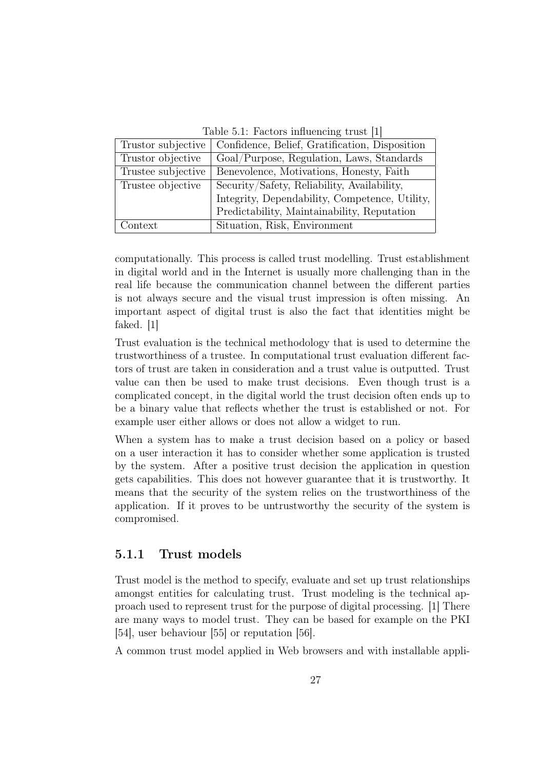Table 5.1: Factors influencing trust [\[1\]](#page-71-0)

| $10000$ $0.1$ . I accord intractions at about |                                                |
|-----------------------------------------------|------------------------------------------------|
| Trustor subjective                            | Confidence, Belief, Gratification, Disposition |
| Trustor objective                             | Goal/Purpose, Regulation, Laws, Standards      |
| Trustee subjective                            | Benevolence, Motivations, Honesty, Faith       |
| Trustee objective                             | Security/Safety, Reliability, Availability,    |
|                                               | Integrity, Dependability, Competence, Utility, |
|                                               | Predictability, Maintainability, Reputation    |
| $_{\rm Context}$                              | Situation, Risk, Environment                   |

computationally. This process is called trust modelling. Trust establishment in digital world and in the Internet is usually more challenging than in the real life because the communication channel between the different parties is not always secure and the visual trust impression is often missing. An important aspect of digital trust is also the fact that identities might be faked. [\[1\]](#page-71-0)

Trust evaluation is the technical methodology that is used to determine the trustworthiness of a trustee. In computational trust evaluation different factors of trust are taken in consideration and a trust value is outputted. Trust value can then be used to make trust decisions. Even though trust is a complicated concept, in the digital world the trust decision often ends up to be a binary value that reflects whether the trust is established or not. For example user either allows or does not allow a widget to run.

When a system has to make a trust decision based on a policy or based on a user interaction it has to consider whether some application is trusted by the system. After a positive trust decision the application in question gets capabilities. This does not however guarantee that it is trustworthy. It means that the security of the system relies on the trustworthiness of the application. If it proves to be untrustworthy the security of the system is compromised.

#### 5.1.1 Trust models

Trust model is the method to specify, evaluate and set up trust relationships amongst entities for calculating trust. Trust modeling is the technical approach used to represent trust for the purpose of digital processing. [\[1\]](#page-71-0) There are many ways to model trust. They can be based for example on the PKI [\[54\]](#page-75-0), user behaviour [\[55\]](#page-75-1) or reputation [\[56\]](#page-76-0).

A common trust model applied in Web browsers and with installable appli-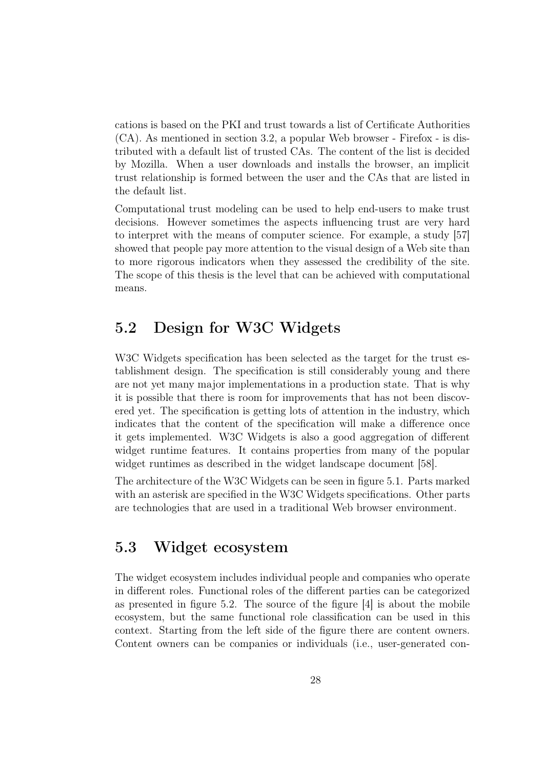cations is based on the PKI and trust towards a list of Certificate Authorities (CA). As mentioned in section [3.2,](#page-24-0) a popular Web browser - Firefox - is distributed with a default list of trusted CAs. The content of the list is decided by Mozilla. When a user downloads and installs the browser, an implicit trust relationship is formed between the user and the CAs that are listed in the default list.

Computational trust modeling can be used to help end-users to make trust decisions. However sometimes the aspects influencing trust are very hard to interpret with the means of computer science. For example, a study [\[57\]](#page-76-1) showed that people pay more attention to the visual design of a Web site than to more rigorous indicators when they assessed the credibility of the site. The scope of this thesis is the level that can be achieved with computational means.

## 5.2 Design for W3C Widgets

W<sub>3</sub>C Widgets specification has been selected as the target for the trust establishment design. The specification is still considerably young and there are not yet many major implementations in a production state. That is why it is possible that there is room for improvements that has not been discovered yet. The specification is getting lots of attention in the industry, which indicates that the content of the specification will make a difference once it gets implemented. W3C Widgets is also a good aggregation of different widget runtime features. It contains properties from many of the popular widget runtimes as described in the widget landscape document [\[58\]](#page-76-2).

The architecture of the W3C Widgets can be seen in figure [5.1.](#page-38-0) Parts marked with an asterisk are specified in the W3C Widgets specifications. Other parts are technologies that are used in a traditional Web browser environment.

## <span id="page-37-0"></span>5.3 Widget ecosystem

The widget ecosystem includes individual people and companies who operate in different roles. Functional roles of the different parties can be categorized as presented in figure [5.2.](#page-38-1) The source of the figure [\[4\]](#page-71-1) is about the mobile ecosystem, but the same functional role classification can be used in this context. Starting from the left side of the figure there are content owners. Content owners can be companies or individuals (i.e., user-generated con-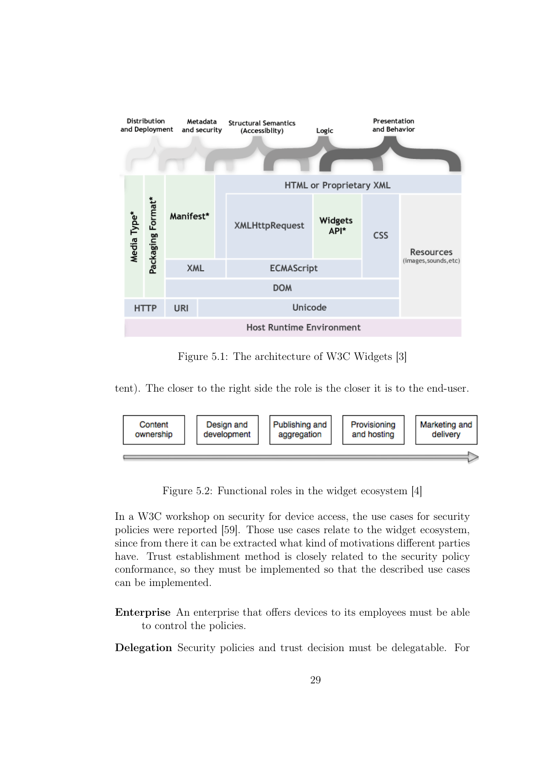

<span id="page-38-0"></span>Figure 5.1: The architecture of W3C Widgets [\[3\]](#page-71-2)

tent). The closer to the right side the role is the closer it is to the end-user.



<span id="page-38-1"></span>Figure 5.2: Functional roles in the widget ecosystem [\[4\]](#page-71-1)

In a W3C workshop on security for device access, the use cases for security policies were reported [\[59\]](#page-76-3). Those use cases relate to the widget ecosystem, since from there it can be extracted what kind of motivations different parties have. Trust establishment method is closely related to the security policy conformance, so they must be implemented so that the described use cases can be implemented.

Enterprise An enterprise that offers devices to its employees must be able to control the policies.

Delegation Security policies and trust decision must be delegatable. For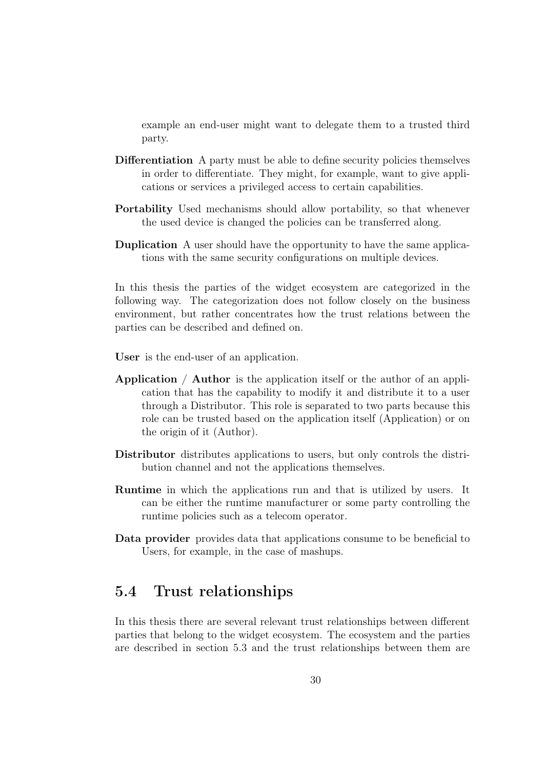example an end-user might want to delegate them to a trusted third party.

- Differentiation A party must be able to define security policies themselves in order to differentiate. They might, for example, want to give applications or services a privileged access to certain capabilities.
- Portability Used mechanisms should allow portability, so that whenever the used device is changed the policies can be transferred along.
- Duplication A user should have the opportunity to have the same applications with the same security configurations on multiple devices.

In this thesis the parties of the widget ecosystem are categorized in the following way. The categorization does not follow closely on the business environment, but rather concentrates how the trust relations between the parties can be described and defined on.

User is the end-user of an application.

- Application / Author is the application itself or the author of an application that has the capability to modify it and distribute it to a user through a Distributor. This role is separated to two parts because this role can be trusted based on the application itself (Application) or on the origin of it (Author).
- Distributor distributes applications to users, but only controls the distribution channel and not the applications themselves.
- Runtime in which the applications run and that is utilized by users. It can be either the runtime manufacturer or some party controlling the runtime policies such as a telecom operator.
- Data provider provides data that applications consume to be beneficial to Users, for example, in the case of mashups.

### 5.4 Trust relationships

In this thesis there are several relevant trust relationships between different parties that belong to the widget ecosystem. The ecosystem and the parties are described in section [5.3](#page-37-0) and the trust relationships between them are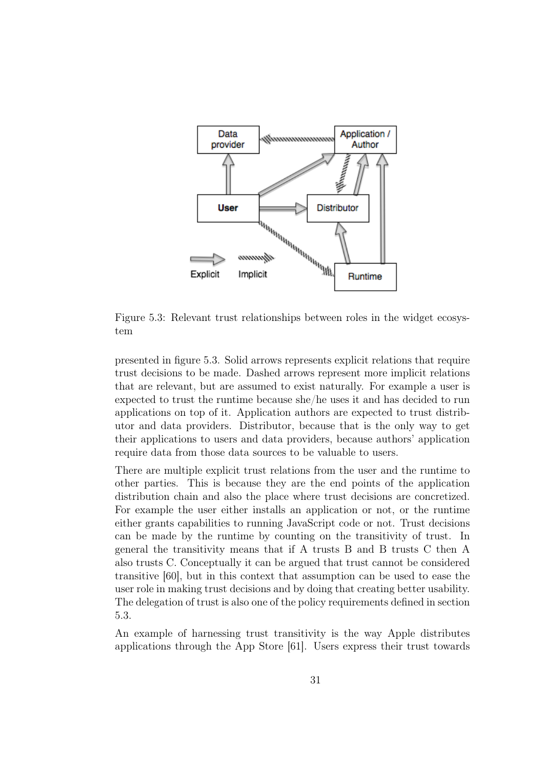

<span id="page-40-0"></span>Figure 5.3: Relevant trust relationships between roles in the widget ecosystem

presented in figure [5.3.](#page-40-0) Solid arrows represents explicit relations that require trust decisions to be made. Dashed arrows represent more implicit relations that are relevant, but are assumed to exist naturally. For example a user is expected to trust the runtime because she/he uses it and has decided to run applications on top of it. Application authors are expected to trust distributor and data providers. Distributor, because that is the only way to get their applications to users and data providers, because authors' application require data from those data sources to be valuable to users.

There are multiple explicit trust relations from the user and the runtime to other parties. This is because they are the end points of the application distribution chain and also the place where trust decisions are concretized. For example the user either installs an application or not, or the runtime either grants capabilities to running JavaScript code or not. Trust decisions can be made by the runtime by counting on the transitivity of trust. In general the transitivity means that if A trusts B and B trusts C then A also trusts C. Conceptually it can be argued that trust cannot be considered transitive [\[60\]](#page-76-4), but in this context that assumption can be used to ease the user role in making trust decisions and by doing that creating better usability. The delegation of trust is also one of the policy requirements defined in section [5.3.](#page-37-0)

An example of harnessing trust transitivity is the way Apple distributes applications through the App Store [\[61\]](#page-76-5). Users express their trust towards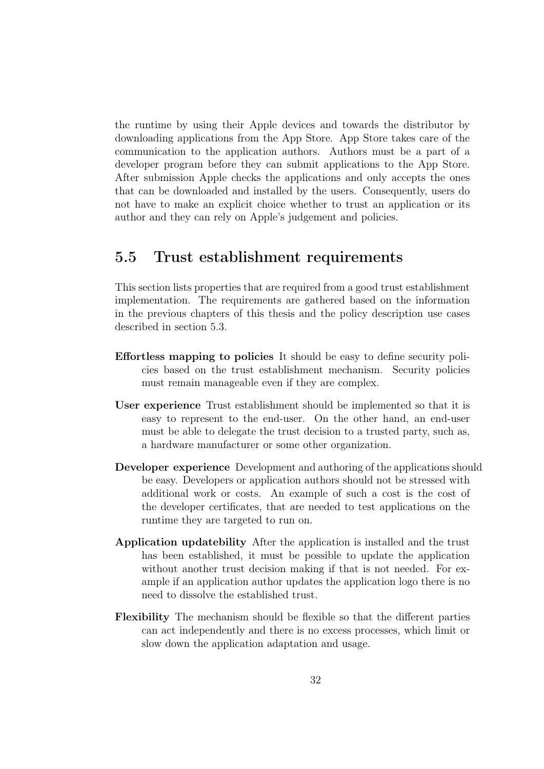the runtime by using their Apple devices and towards the distributor by downloading applications from the App Store. App Store takes care of the communication to the application authors. Authors must be a part of a developer program before they can submit applications to the App Store. After submission Apple checks the applications and only accepts the ones that can be downloaded and installed by the users. Consequently, users do not have to make an explicit choice whether to trust an application or its author and they can rely on Apple's judgement and policies.

### <span id="page-41-0"></span>5.5 Trust establishment requirements

This section lists properties that are required from a good trust establishment implementation. The requirements are gathered based on the information in the previous chapters of this thesis and the policy description use cases described in section [5.3.](#page-37-0)

- Effortless mapping to policies It should be easy to define security policies based on the trust establishment mechanism. Security policies must remain manageable even if they are complex.
- User experience Trust establishment should be implemented so that it is easy to represent to the end-user. On the other hand, an end-user must be able to delegate the trust decision to a trusted party, such as, a hardware manufacturer or some other organization.
- Developer experience Development and authoring of the applications should be easy. Developers or application authors should not be stressed with additional work or costs. An example of such a cost is the cost of the developer certificates, that are needed to test applications on the runtime they are targeted to run on.
- Application updatebility After the application is installed and the trust has been established, it must be possible to update the application without another trust decision making if that is not needed. For example if an application author updates the application logo there is no need to dissolve the established trust.
- Flexibility The mechanism should be flexible so that the different parties can act independently and there is no excess processes, which limit or slow down the application adaptation and usage.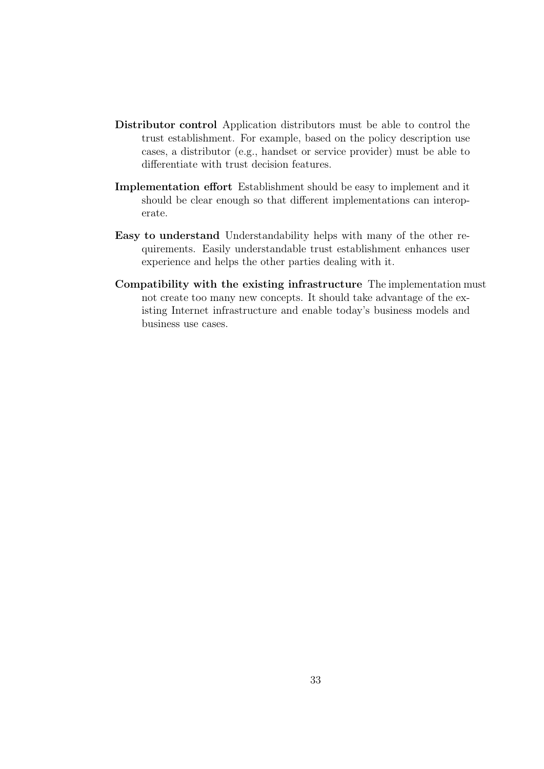- Distributor control Application distributors must be able to control the trust establishment. For example, based on the policy description use cases, a distributor (e.g., handset or service provider) must be able to differentiate with trust decision features.
- Implementation effort Establishment should be easy to implement and it should be clear enough so that different implementations can interoperate.
- Easy to understand Understandability helps with many of the other requirements. Easily understandable trust establishment enhances user experience and helps the other parties dealing with it.
- Compatibility with the existing infrastructure The implementation must not create too many new concepts. It should take advantage of the existing Internet infrastructure and enable today's business models and business use cases.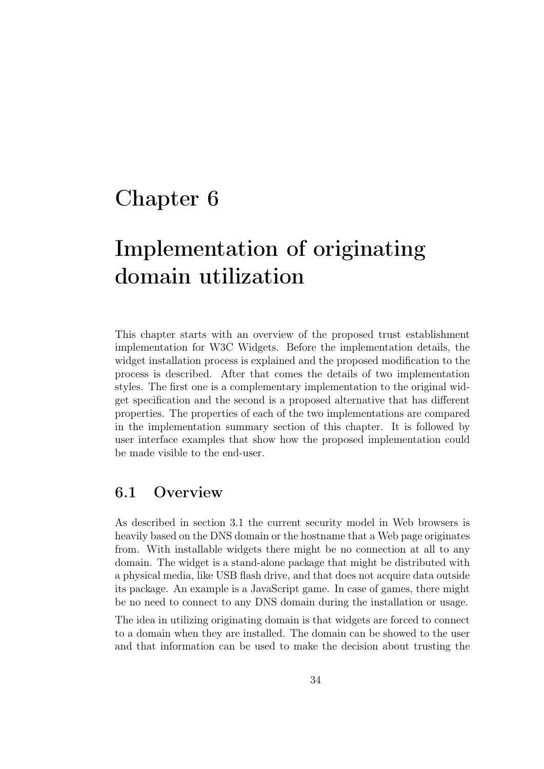# <span id="page-43-0"></span>Chapter 6

# Implementation of originating domain utilization

This chapter starts with an overview of the proposed trust establishment implementation for W3C Widgets. Before the implementation details, the widget installation process is explained and the proposed modification to the process is described. After that comes the details of two implementation styles. The first one is a complementary implementation to the original widget specification and the second is a proposed alternative that has different properties. The properties of each of the two implementations are compared in the implementation summary section of this chapter. It is followed by user interface examples that show how the proposed implementation could be made visible to the end-user.

### 6.1 Overview

As described in section [3.1](#page-21-0) the current security model in Web browsers is heavily based on the DNS domain or the hostname that a Web page originates from. With installable widgets there might be no connection at all to any domain. The widget is a stand-alone package that might be distributed with a physical media, like USB flash drive, and that does not acquire data outside its package. An example is a JavaScript game. In case of games, there might be no need to connect to any DNS domain during the installation or usage.

The idea in utilizing originating domain is that widgets are forced to connect to a domain when they are installed. The domain can be showed to the user and that information can be used to make the decision about trusting the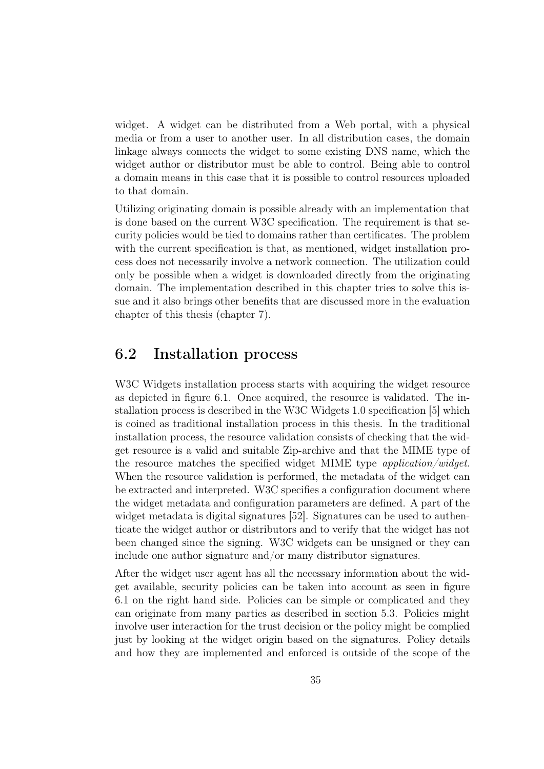widget. A widget can be distributed from a Web portal, with a physical media or from a user to another user. In all distribution cases, the domain linkage always connects the widget to some existing DNS name, which the widget author or distributor must be able to control. Being able to control a domain means in this case that it is possible to control resources uploaded to that domain.

Utilizing originating domain is possible already with an implementation that is done based on the current W3C specification. The requirement is that security policies would be tied to domains rather than certificates. The problem with the current specification is that, as mentioned, widget installation process does not necessarily involve a network connection. The utilization could only be possible when a widget is downloaded directly from the originating domain. The implementation described in this chapter tries to solve this issue and it also brings other benefits that are discussed more in the evaluation chapter of this thesis (chapter [7\)](#page-58-0).

### 6.2 Installation process

W<sub>3</sub>C Widgets installation process starts with acquiring the widget resource as depicted in figure [6.1.](#page-45-0) Once acquired, the resource is validated. The installation process is described in the W3C Widgets 1.0 specification [\[5\]](#page-71-3) which is coined as traditional installation process in this thesis. In the traditional installation process, the resource validation consists of checking that the widget resource is a valid and suitable Zip-archive and that the MIME type of the resource matches the specified widget MIME type application/widget. When the resource validation is performed, the metadata of the widget can be extracted and interpreted. W3C specifies a configuration document where the widget metadata and configuration parameters are defined. A part of the widget metadata is digital signatures [\[52\]](#page-75-2). Signatures can be used to authenticate the widget author or distributors and to verify that the widget has not been changed since the signing. W3C widgets can be unsigned or they can include one author signature and/or many distributor signatures.

After the widget user agent has all the necessary information about the widget available, security policies can be taken into account as seen in figure [6.1](#page-45-0) on the right hand side. Policies can be simple or complicated and they can originate from many parties as described in section [5.3.](#page-37-0) Policies might involve user interaction for the trust decision or the policy might be complied just by looking at the widget origin based on the signatures. Policy details and how they are implemented and enforced is outside of the scope of the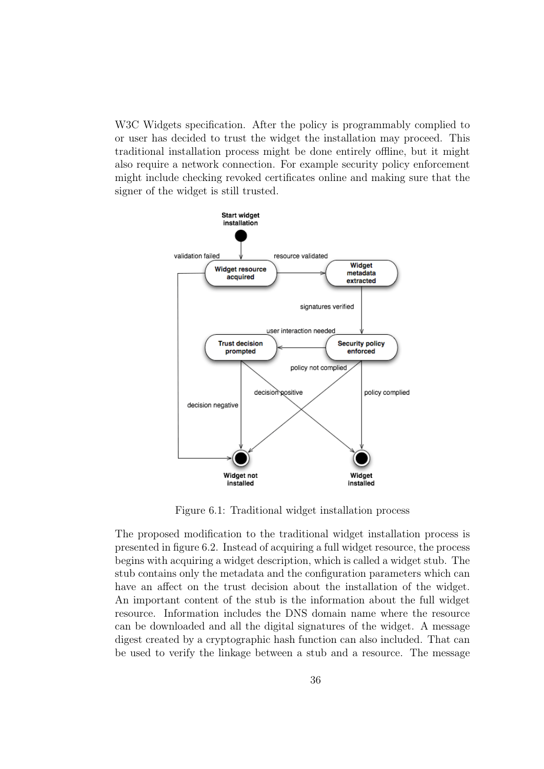W<sub>3</sub>C Widgets specification. After the policy is programmably complied to or user has decided to trust the widget the installation may proceed. This traditional installation process might be done entirely offline, but it might also require a network connection. For example security policy enforcement might include checking revoked certificates online and making sure that the signer of the widget is still trusted.



<span id="page-45-0"></span>Figure 6.1: Traditional widget installation process

The proposed modification to the traditional widget installation process is presented in figure [6.2.](#page-47-0) Instead of acquiring a full widget resource, the process begins with acquiring a widget description, which is called a widget stub. The stub contains only the metadata and the configuration parameters which can have an affect on the trust decision about the installation of the widget. An important content of the stub is the information about the full widget resource. Information includes the DNS domain name where the resource can be downloaded and all the digital signatures of the widget. A message digest created by a cryptographic hash function can also included. That can be used to verify the linkage between a stub and a resource. The message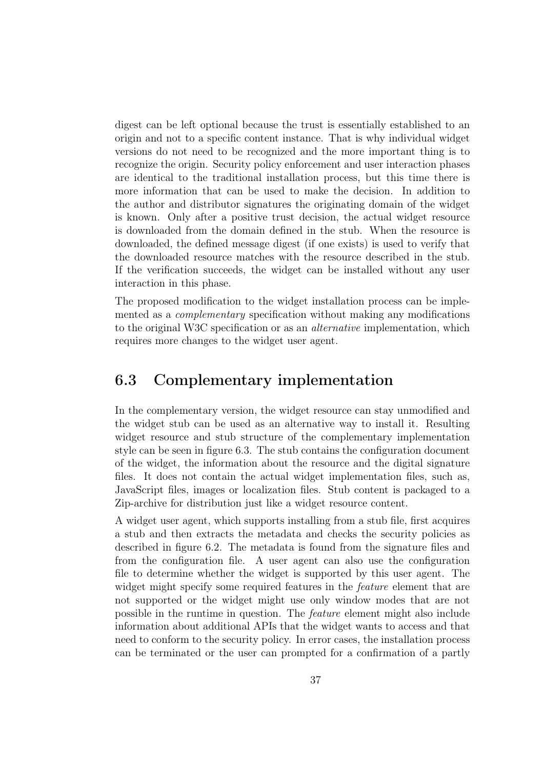digest can be left optional because the trust is essentially established to an origin and not to a specific content instance. That is why individual widget versions do not need to be recognized and the more important thing is to recognize the origin. Security policy enforcement and user interaction phases are identical to the traditional installation process, but this time there is more information that can be used to make the decision. In addition to the author and distributor signatures the originating domain of the widget is known. Only after a positive trust decision, the actual widget resource is downloaded from the domain defined in the stub. When the resource is downloaded, the defined message digest (if one exists) is used to verify that the downloaded resource matches with the resource described in the stub. If the verification succeeds, the widget can be installed without any user interaction in this phase.

The proposed modification to the widget installation process can be implemented as a complementary specification without making any modifications to the original W3C specification or as an alternative implementation, which requires more changes to the widget user agent.

### <span id="page-46-0"></span>6.3 Complementary implementation

In the complementary version, the widget resource can stay unmodified and the widget stub can be used as an alternative way to install it. Resulting widget resource and stub structure of the complementary implementation style can be seen in figure [6.3.](#page-48-0) The stub contains the configuration document of the widget, the information about the resource and the digital signature files. It does not contain the actual widget implementation files, such as, JavaScript files, images or localization files. Stub content is packaged to a Zip-archive for distribution just like a widget resource content.

A widget user agent, which supports installing from a stub file, first acquires a stub and then extracts the metadata and checks the security policies as described in figure [6.2.](#page-47-0) The metadata is found from the signature files and from the configuration file. A user agent can also use the configuration file to determine whether the widget is supported by this user agent. The widget might specify some required features in the *feature* element that are not supported or the widget might use only window modes that are not possible in the runtime in question. The feature element might also include information about additional APIs that the widget wants to access and that need to conform to the security policy. In error cases, the installation process can be terminated or the user can prompted for a confirmation of a partly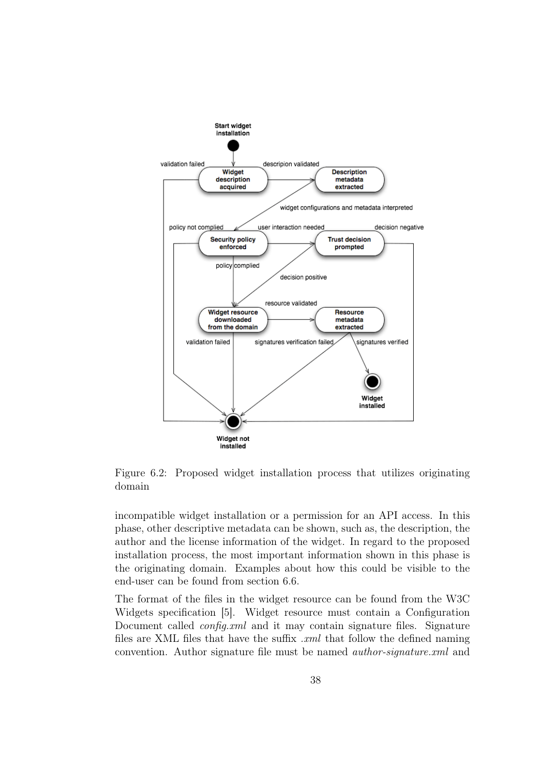

<span id="page-47-0"></span>Figure 6.2: Proposed widget installation process that utilizes originating domain

incompatible widget installation or a permission for an API access. In this phase, other descriptive metadata can be shown, such as, the description, the author and the license information of the widget. In regard to the proposed installation process, the most important information shown in this phase is the originating domain. Examples about how this could be visible to the end-user can be found from section [6.6.](#page-54-0)

The format of the files in the widget resource can be found from the W3C Widgets specification [\[5\]](#page-71-3). Widget resource must contain a Configuration Document called *config.xml* and it may contain signature files. Signature files are XML files that have the suffix  $xml$  that follow the defined naming convention. Author signature file must be named author-signature.xml and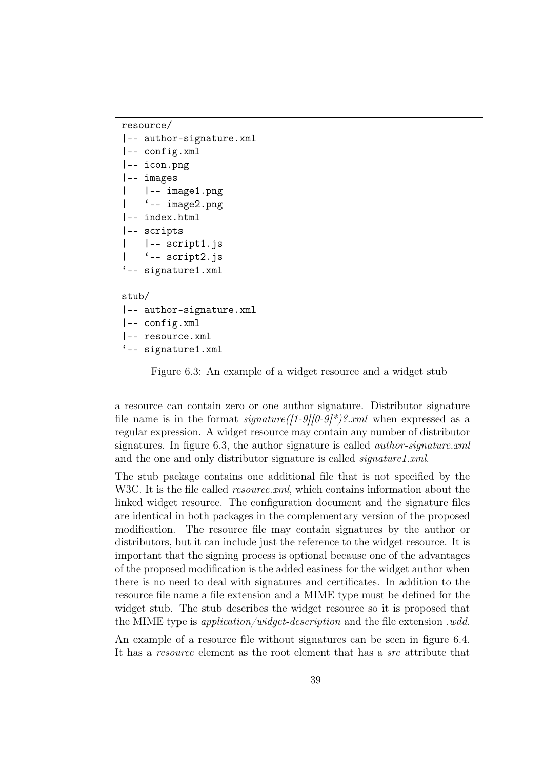```
resource/
|-- author-signature.xml
|-- config.xml
|-- icon.png
|-- images
    | |-- image1.png
    '-- image2.png
|-- index.html
|-- scripts
| |-- script1.js
    '- script2.js
'-- signature1.xml
stub/
|-- author-signature.xml
|-- config.xml
|-- resource.xml
'-- signature1.xml
     Figure 6.3: An example of a widget resource and a widget stub
```
<span id="page-48-0"></span>a resource can contain zero or one author signature. Distributor signature file name is in the format  $signature([1-9][0-9]^*)$ ?.xml when expressed as a regular expression. A widget resource may contain any number of distributor signatures. In figure [6.3,](#page-48-0) the author signature is called *author-signature.xml* and the one and only distributor signature is called *signature1.xml*.

The stub package contains one additional file that is not specified by the W3C. It is the file called *resource.xml*, which contains information about the linked widget resource. The configuration document and the signature files are identical in both packages in the complementary version of the proposed modification. The resource file may contain signatures by the author or distributors, but it can include just the reference to the widget resource. It is important that the signing process is optional because one of the advantages of the proposed modification is the added easiness for the widget author when there is no need to deal with signatures and certificates. In addition to the resource file name a file extension and a MIME type must be defined for the widget stub. The stub describes the widget resource so it is proposed that the MIME type is application/widget-description and the file extension .wdd.

An example of a resource file without signatures can be seen in figure [6.4.](#page-49-0) It has a resource element as the root element that has a src attribute that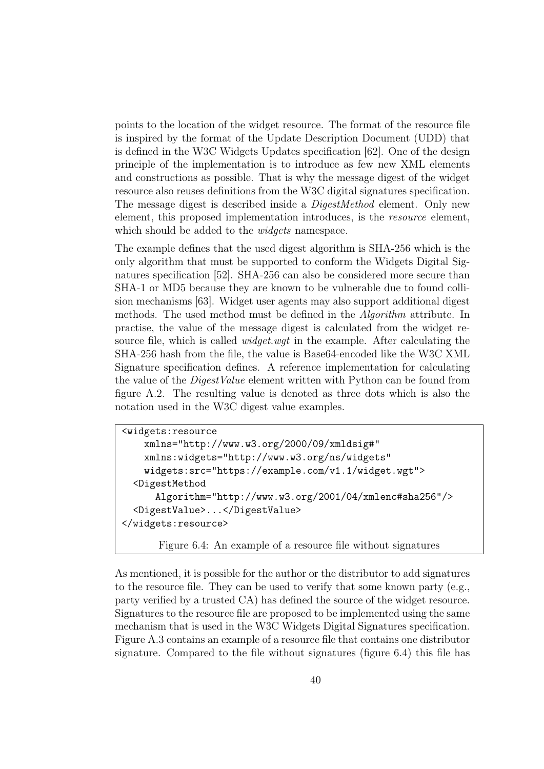points to the location of the widget resource. The format of the resource file is inspired by the format of the Update Description Document (UDD) that is defined in the W3C Widgets Updates specification [\[62\]](#page-76-6). One of the design principle of the implementation is to introduce as few new XML elements and constructions as possible. That is why the message digest of the widget resource also reuses definitions from the W3C digital signatures specification. The message digest is described inside a DigestMethod element. Only new element, this proposed implementation introduces, is the *resource* element, which should be added to the *widgets* namespace.

The example defines that the used digest algorithm is SHA-256 which is the only algorithm that must be supported to conform the Widgets Digital Signatures specification [\[52\]](#page-75-2). SHA-256 can also be considered more secure than SHA-1 or MD5 because they are known to be vulnerable due to found collision mechanisms [\[63\]](#page-76-7). Widget user agents may also support additional digest methods. The used method must be defined in the Algorithm attribute. In practise, the value of the message digest is calculated from the widget resource file, which is called *widget.wgt* in the example. After calculating the SHA-256 hash from the file, the value is Base64-encoded like the W3C XML Signature specification defines. A reference implementation for calculating the value of the *DigestValue* element written with Python can be found from figure [A.2.](#page-79-0) The resulting value is denoted as three dots which is also the notation used in the W3C digest value examples.

```
<widgets:resource
   xmlns="http://www.w3.org/2000/09/xmldsig#"
   xmlns:widgets="http://www.w3.org/ns/widgets"
   widgets:src="https://example.com/v1.1/widget.wgt">
  <DigestMethod
      Algorithm="http://www.w3.org/2001/04/xmlenc#sha256"/>
  <DigestValue>...</DigestValue>
</widgets:resource>
```
<span id="page-49-0"></span>Figure 6.4: An example of a resource file without signatures

As mentioned, it is possible for the author or the distributor to add signatures to the resource file. They can be used to verify that some known party (e.g., party verified by a trusted CA) has defined the source of the widget resource. Signatures to the resource file are proposed to be implemented using the same mechanism that is used in the W3C Widgets Digital Signatures specification. Figure [A.3](#page-80-0) contains an example of a resource file that contains one distributor signature. Compared to the file without signatures (figure [6.4\)](#page-49-0) this file has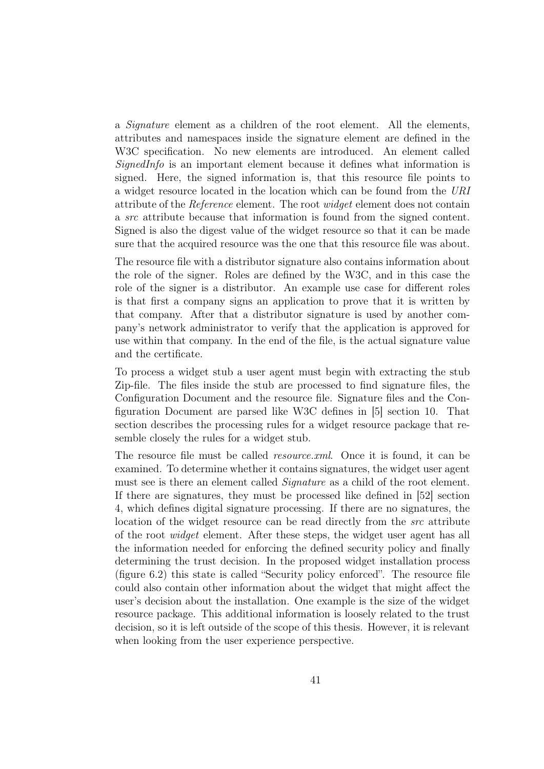a Signature element as a children of the root element. All the elements, attributes and namespaces inside the signature element are defined in the W3C specification. No new elements are introduced. An element called  $SignedInfo$  is an important element because it defines what information is signed. Here, the signed information is, that this resource file points to a widget resource located in the location which can be found from the URI attribute of the Reference element. The root widget element does not contain a src attribute because that information is found from the signed content. Signed is also the digest value of the widget resource so that it can be made sure that the acquired resource was the one that this resource file was about.

The resource file with a distributor signature also contains information about the role of the signer. Roles are defined by the W3C, and in this case the role of the signer is a distributor. An example use case for different roles is that first a company signs an application to prove that it is written by that company. After that a distributor signature is used by another company's network administrator to verify that the application is approved for use within that company. In the end of the file, is the actual signature value and the certificate.

To process a widget stub a user agent must begin with extracting the stub Zip-file. The files inside the stub are processed to find signature files, the Configuration Document and the resource file. Signature files and the Configuration Document are parsed like W3C defines in [\[5\]](#page-71-3) section 10. That section describes the processing rules for a widget resource package that resemble closely the rules for a widget stub.

The resource file must be called *resource.xml*. Once it is found, it can be examined. To determine whether it contains signatures, the widget user agent must see is there an element called *Signature* as a child of the root element. If there are signatures, they must be processed like defined in [\[52\]](#page-75-2) section 4, which defines digital signature processing. If there are no signatures, the location of the widget resource can be read directly from the *src* attribute of the root widget element. After these steps, the widget user agent has all the information needed for enforcing the defined security policy and finally determining the trust decision. In the proposed widget installation process (figure [6.2\)](#page-47-0) this state is called "Security policy enforced". The resource file could also contain other information about the widget that might affect the user's decision about the installation. One example is the size of the widget resource package. This additional information is loosely related to the trust decision, so it is left outside of the scope of this thesis. However, it is relevant when looking from the user experience perspective.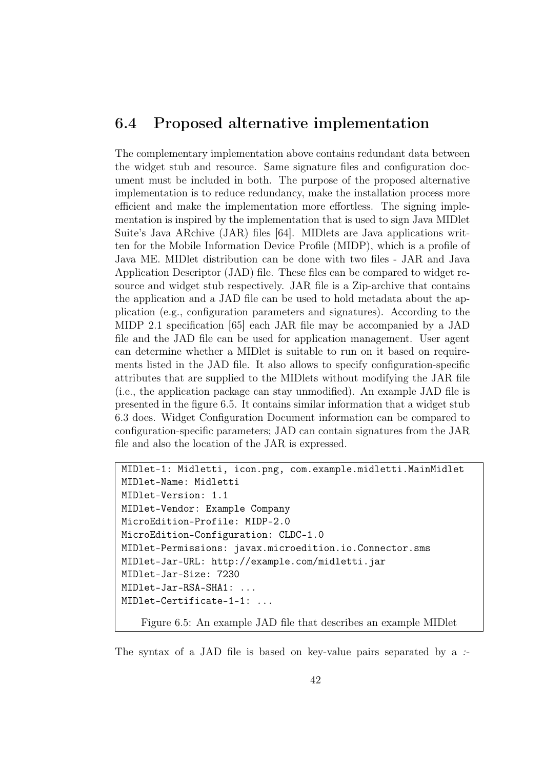## 6.4 Proposed alternative implementation

The complementary implementation above contains redundant data between the widget stub and resource. Same signature files and configuration document must be included in both. The purpose of the proposed alternative implementation is to reduce redundancy, make the installation process more efficient and make the implementation more effortless. The signing implementation is inspired by the implementation that is used to sign Java MIDlet Suite's Java ARchive (JAR) files [\[64\]](#page-76-8). MIDlets are Java applications written for the Mobile Information Device Profile (MIDP), which is a profile of Java ME. MIDlet distribution can be done with two files - JAR and Java Application Descriptor (JAD) file. These files can be compared to widget resource and widget stub respectively. JAR file is a Zip-archive that contains the application and a JAD file can be used to hold metadata about the application (e.g., configuration parameters and signatures). According to the MIDP 2.1 specification [\[65\]](#page-76-9) each JAR file may be accompanied by a JAD file and the JAD file can be used for application management. User agent can determine whether a MIDlet is suitable to run on it based on requirements listed in the JAD file. It also allows to specify configuration-specific attributes that are supplied to the MIDlets without modifying the JAR file (i.e., the application package can stay unmodified). An example JAD file is presented in the figure [6.5.](#page-51-0) It contains similar information that a widget stub [6.3](#page-48-0) does. Widget Configuration Document information can be compared to configuration-specific parameters; JAD can contain signatures from the JAR file and also the location of the JAR is expressed.

```
MIDlet-1: Midletti, icon.png, com.example.midletti.MainMidlet
MIDlet-Name: Midletti
MIDlet-Version: 1.1
MIDlet-Vendor: Example Company
MicroEdition-Profile: MIDP-2.0
MicroEdition-Configuration: CLDC-1.0
MIDlet-Permissions: javax.microedition.io.Connector.sms
MIDlet-Jar-URL: http://example.com/midletti.jar
MIDlet-Jar-Size: 7230
MIDlet-Jar-RSA-SHA1: ...
MIDlet-Certificate-1-1: ...
   Figure 6.5: An example JAD file that describes an example MIDlet
```
<span id="page-51-0"></span>The syntax of a JAD file is based on key-value pairs separated by a :-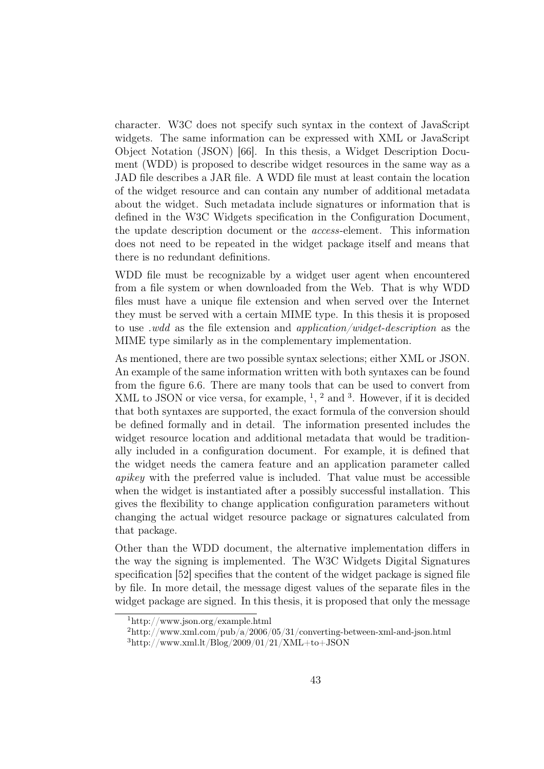character. W3C does not specify such syntax in the context of JavaScript widgets. The same information can be expressed with XML or JavaScript Object Notation (JSON) [\[66\]](#page-76-10). In this thesis, a Widget Description Document (WDD) is proposed to describe widget resources in the same way as a JAD file describes a JAR file. A WDD file must at least contain the location of the widget resource and can contain any number of additional metadata about the widget. Such metadata include signatures or information that is defined in the W3C Widgets specification in the Configuration Document, the update description document or the access-element. This information does not need to be repeated in the widget package itself and means that there is no redundant definitions.

WDD file must be recognizable by a widget user agent when encountered from a file system or when downloaded from the Web. That is why WDD files must have a unique file extension and when served over the Internet they must be served with a certain MIME type. In this thesis it is proposed to use *wdd* as the file extension and *application/widget-description* as the MIME type similarly as in the complementary implementation.

As mentioned, there are two possible syntax selections; either XML or JSON. An example of the same information written with both syntaxes can be found from the figure [6.6.](#page-56-0) There are many tools that can be used to convert from XML to JSON or vice versa, for example,  $\frac{1}{2}$  $\frac{1}{2}$  $\frac{1}{2}$  $\frac{1}{2}$  $\frac{1}{2}$ ,  $\frac{2}{3}$  $\frac{2}{3}$  $\frac{2}{3}$  and  $\frac{3}{2}$ . However, if it is decided that both syntaxes are supported, the exact formula of the conversion should be defined formally and in detail. The information presented includes the widget resource location and additional metadata that would be traditionally included in a configuration document. For example, it is defined that the widget needs the camera feature and an application parameter called apikey with the preferred value is included. That value must be accessible when the widget is instantiated after a possibly successful installation. This gives the flexibility to change application configuration parameters without changing the actual widget resource package or signatures calculated from that package.

Other than the WDD document, the alternative implementation differs in the way the signing is implemented. The W3C Widgets Digital Signatures specification [\[52\]](#page-75-2) specifies that the content of the widget package is signed file by file. In more detail, the message digest values of the separate files in the widget package are signed. In this thesis, it is proposed that only the message

<span id="page-52-0"></span><sup>1</sup>http://www.json.org/example.html

<span id="page-52-1"></span> $^{2}$ http://www.xml.com/pub/a/2006/05/31/converting-between-xml-and-json.html

<span id="page-52-2"></span> $3$ http://www.xml.lt/Blog/2009/01/21/XML+to+JSON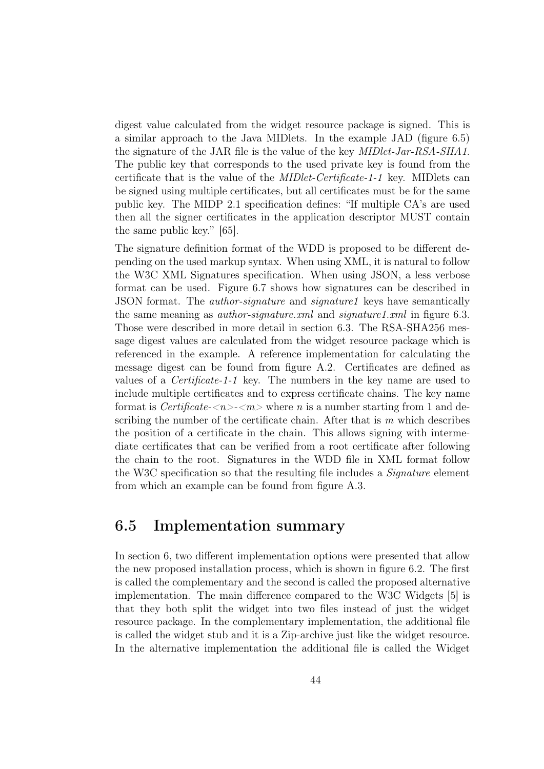digest value calculated from the widget resource package is signed. This is a similar approach to the Java MIDlets. In the example JAD (figure [6.5\)](#page-51-0) the signature of the JAR file is the value of the key MIDlet-Jar-RSA-SHA1. The public key that corresponds to the used private key is found from the certificate that is the value of the MIDlet-Certificate-1-1 key. MIDlets can be signed using multiple certificates, but all certificates must be for the same public key. The MIDP 2.1 specification defines: "If multiple CA's are used then all the signer certificates in the application descriptor MUST contain the same public key." [\[65\]](#page-76-9).

The signature definition format of the WDD is proposed to be different depending on the used markup syntax. When using XML, it is natural to follow the W3C XML Signatures specification. When using JSON, a less verbose format can be used. Figure [6.7](#page-57-0) shows how signatures can be described in JSON format. The author-signature and signature1 keys have semantically the same meaning as *author-signature.xml* and *signature1.xml* in figure [6.3.](#page-48-0) Those were described in more detail in section [6.3.](#page-46-0) The RSA-SHA256 message digest values are calculated from the widget resource package which is referenced in the example. A reference implementation for calculating the message digest can be found from figure [A.2.](#page-79-0) Certificates are defined as values of a Certificate-1-1 key. The numbers in the key name are used to include multiple certificates and to express certificate chains. The key name format is Certificate- $\langle n \rangle$ - $\langle m \rangle$  where n is a number starting from 1 and describing the number of the certificate chain. After that is  $m$  which describes the position of a certificate in the chain. This allows signing with intermediate certificates that can be verified from a root certificate after following the chain to the root. Signatures in the WDD file in XML format follow the W3C specification so that the resulting file includes a *Signature* element from which an example can be found from figure [A.3.](#page-80-0)

### 6.5 Implementation summary

In section [6,](#page-43-0) two different implementation options were presented that allow the new proposed installation process, which is shown in figure [6.2.](#page-47-0) The first is called the complementary and the second is called the proposed alternative implementation. The main difference compared to the W3C Widgets [\[5\]](#page-71-3) is that they both split the widget into two files instead of just the widget resource package. In the complementary implementation, the additional file is called the widget stub and it is a Zip-archive just like the widget resource. In the alternative implementation the additional file is called the Widget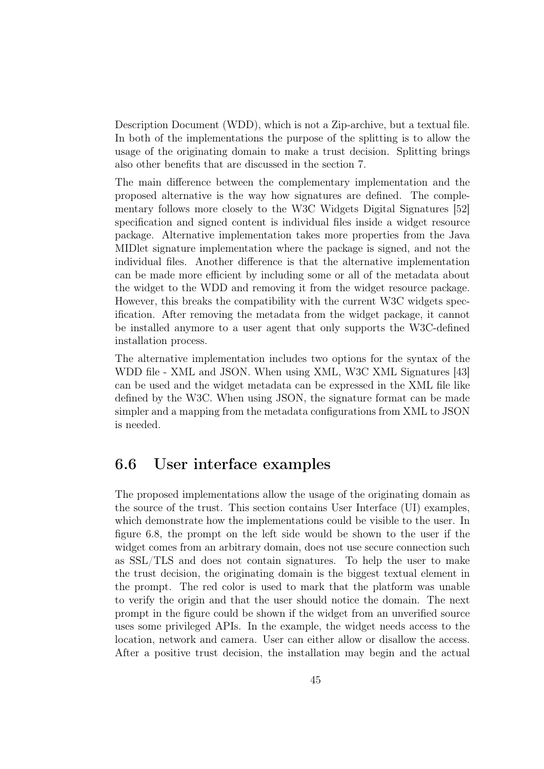Description Document (WDD), which is not a Zip-archive, but a textual file. In both of the implementations the purpose of the splitting is to allow the usage of the originating domain to make a trust decision. Splitting brings also other benefits that are discussed in the section [7.](#page-58-0)

The main difference between the complementary implementation and the proposed alternative is the way how signatures are defined. The complementary follows more closely to the W3C Widgets Digital Signatures [\[52\]](#page-75-2) specification and signed content is individual files inside a widget resource package. Alternative implementation takes more properties from the Java MIDlet signature implementation where the package is signed, and not the individual files. Another difference is that the alternative implementation can be made more efficient by including some or all of the metadata about the widget to the WDD and removing it from the widget resource package. However, this breaks the compatibility with the current W3C widgets specification. After removing the metadata from the widget package, it cannot be installed anymore to a user agent that only supports the W3C-defined installation process.

The alternative implementation includes two options for the syntax of the WDD file - XML and JSON. When using XML, W3C XML Signatures [\[43\]](#page-74-0) can be used and the widget metadata can be expressed in the XML file like defined by the W3C. When using JSON, the signature format can be made simpler and a mapping from the metadata configurations from XML to JSON is needed.

### <span id="page-54-0"></span>6.6 User interface examples

The proposed implementations allow the usage of the originating domain as the source of the trust. This section contains User Interface (UI) examples, which demonstrate how the implementations could be visible to the user. In figure [6.8,](#page-57-1) the prompt on the left side would be shown to the user if the widget comes from an arbitrary domain, does not use secure connection such as SSL/TLS and does not contain signatures. To help the user to make the trust decision, the originating domain is the biggest textual element in the prompt. The red color is used to mark that the platform was unable to verify the origin and that the user should notice the domain. The next prompt in the figure could be shown if the widget from an unverified source uses some privileged APIs. In the example, the widget needs access to the location, network and camera. User can either allow or disallow the access. After a positive trust decision, the installation may begin and the actual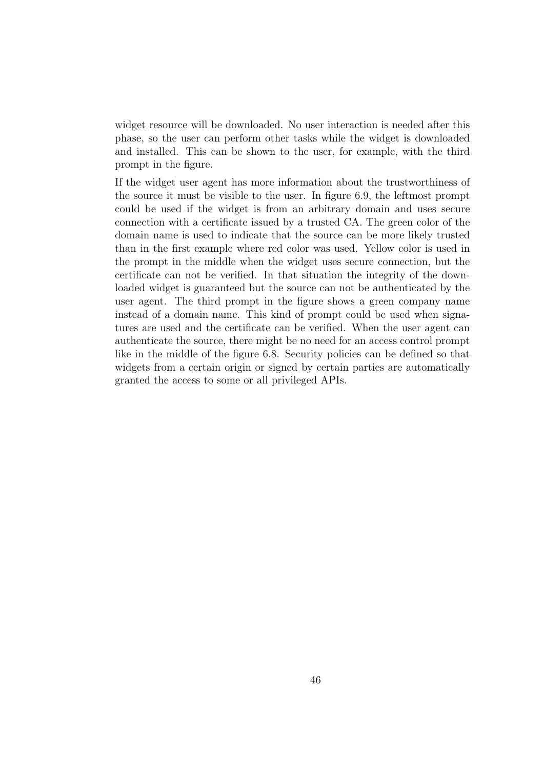widget resource will be downloaded. No user interaction is needed after this phase, so the user can perform other tasks while the widget is downloaded and installed. This can be shown to the user, for example, with the third prompt in the figure.

If the widget user agent has more information about the trustworthiness of the source it must be visible to the user. In figure [6.9,](#page-57-2) the leftmost prompt could be used if the widget is from an arbitrary domain and uses secure connection with a certificate issued by a trusted CA. The green color of the domain name is used to indicate that the source can be more likely trusted than in the first example where red color was used. Yellow color is used in the prompt in the middle when the widget uses secure connection, but the certificate can not be verified. In that situation the integrity of the downloaded widget is guaranteed but the source can not be authenticated by the user agent. The third prompt in the figure shows a green company name instead of a domain name. This kind of prompt could be used when signatures are used and the certificate can be verified. When the user agent can authenticate the source, there might be no need for an access control prompt like in the middle of the figure [6.8.](#page-57-1) Security policies can be defined so that widgets from a certain origin or signed by certain parties are automatically granted the access to some or all privileged APIs.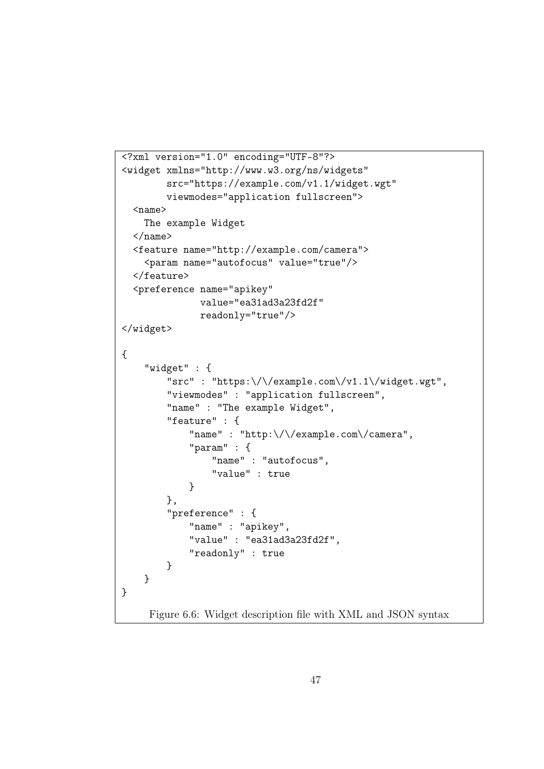```
<?xml version="1.0" encoding="UTF-8"?>
<widget xmlns="http://www.w3.org/ns/widgets"
         src="https://example.com/v1.1/widget.wgt"
        viewmodes="application fullscreen">
  <name>
    The example Widget
  \langle/name\rangle<feature name="http://example.com/camera">
    <param name="autofocus" value="true"/>
  </feature>
  <preference name="apikey"
               value="ea31ad3a23fd2f"
               readonly="true"/>
</widget>
{
    "widget" : {
         "src" : "https:\/\/example.com\/v1.1\/widget.wgt",
         "viewmodes" : "application fullscreen",
         "name" : "The example Widget",
         "feature" : {
             "name" : "http:\setminus/\setminus/example.com\setminus/camera",
             "param" : {
                 "name" : "autofocus",
                 "value" : true
             }
        },
         "preference" : {
             "name" : "apikey",
             "value" : "ea31ad3a23fd2f",
             "readonly" : true
        }
    }
}
     Figure 6.6: Widget description file with XML and JSON syntax
```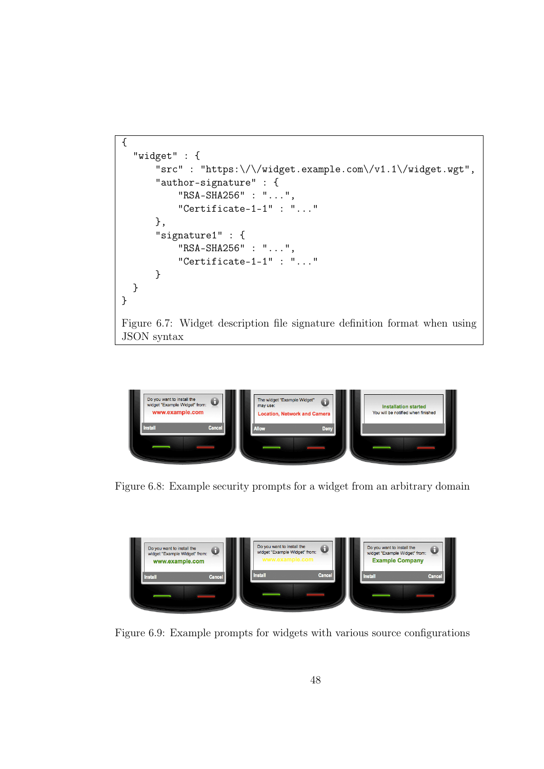```
{
  "widget" : {
      "src" : "https:\/\/widget.example.com\/v1.1\/widget.wgt",
      "author-signature" : {
          "RSA-SHA256" : "...",
          "Certificate-1-1" : "..."
      },
      "signature1" : {
          "RSA-SHA256" : "...",
          "Certificate-1-1" : "..."
      }
  }
}
Figure 6.7: Widget description file signature definition format when using
JSON syntax
```
<span id="page-57-0"></span>

Figure 6.8: Example security prompts for a widget from an arbitrary domain

<span id="page-57-1"></span>

<span id="page-57-2"></span>Figure 6.9: Example prompts for widgets with various source configurations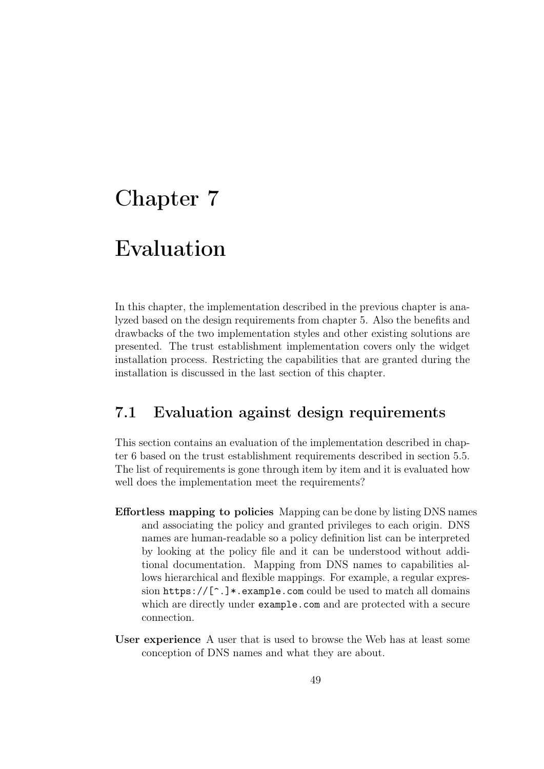# <span id="page-58-0"></span>Chapter 7

# Evaluation

In this chapter, the implementation described in the previous chapter is analyzed based on the design requirements from chapter [5.](#page-35-0) Also the benefits and drawbacks of the two implementation styles and other existing solutions are presented. The trust establishment implementation covers only the widget installation process. Restricting the capabilities that are granted during the installation is discussed in the last section of this chapter.

## 7.1 Evaluation against design requirements

This section contains an evaluation of the implementation described in chapter [6](#page-43-0) based on the trust establishment requirements described in section [5.5.](#page-41-0) The list of requirements is gone through item by item and it is evaluated how well does the implementation meet the requirements?

- Effortless mapping to policies Mapping can be done by listing DNS names and associating the policy and granted privileges to each origin. DNS names are human-readable so a policy definition list can be interpreted by looking at the policy file and it can be understood without additional documentation. Mapping from DNS names to capabilities allows hierarchical and flexible mappings. For example, a regular expression https:// $[\hat{\ }]$ . example.com could be used to match all domains which are directly under <example.com> and are protected with a secure connection.
- User experience A user that is used to browse the Web has at least some conception of DNS names and what they are about.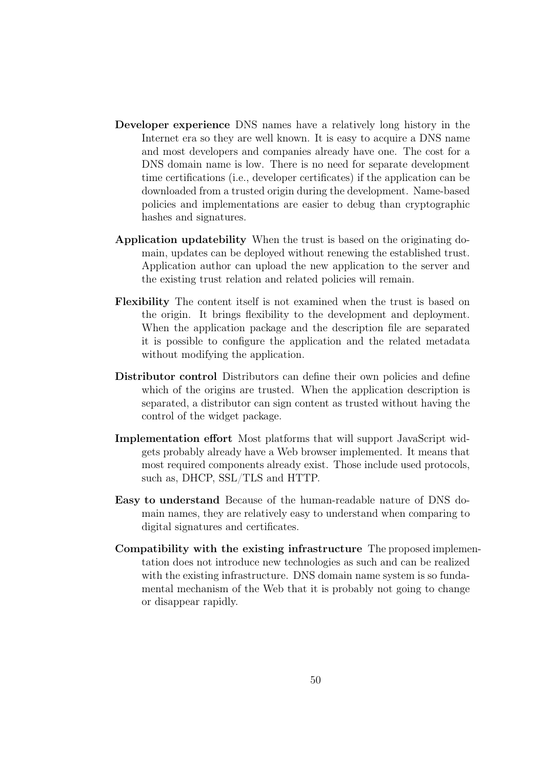- Developer experience DNS names have a relatively long history in the Internet era so they are well known. It is easy to acquire a DNS name and most developers and companies already have one. The cost for a DNS domain name is low. There is no need for separate development time certifications (i.e., developer certificates) if the application can be downloaded from a trusted origin during the development. Name-based policies and implementations are easier to debug than cryptographic hashes and signatures.
- Application updatebility When the trust is based on the originating domain, updates can be deployed without renewing the established trust. Application author can upload the new application to the server and the existing trust relation and related policies will remain.
- Flexibility The content itself is not examined when the trust is based on the origin. It brings flexibility to the development and deployment. When the application package and the description file are separated it is possible to configure the application and the related metadata without modifying the application.
- Distributor control Distributors can define their own policies and define which of the origins are trusted. When the application description is separated, a distributor can sign content as trusted without having the control of the widget package.
- Implementation effort Most platforms that will support JavaScript widgets probably already have a Web browser implemented. It means that most required components already exist. Those include used protocols, such as, DHCP, SSL/TLS and HTTP.
- Easy to understand Because of the human-readable nature of DNS domain names, they are relatively easy to understand when comparing to digital signatures and certificates.
- Compatibility with the existing infrastructure The proposed implementation does not introduce new technologies as such and can be realized with the existing infrastructure. DNS domain name system is so fundamental mechanism of the Web that it is probably not going to change or disappear rapidly.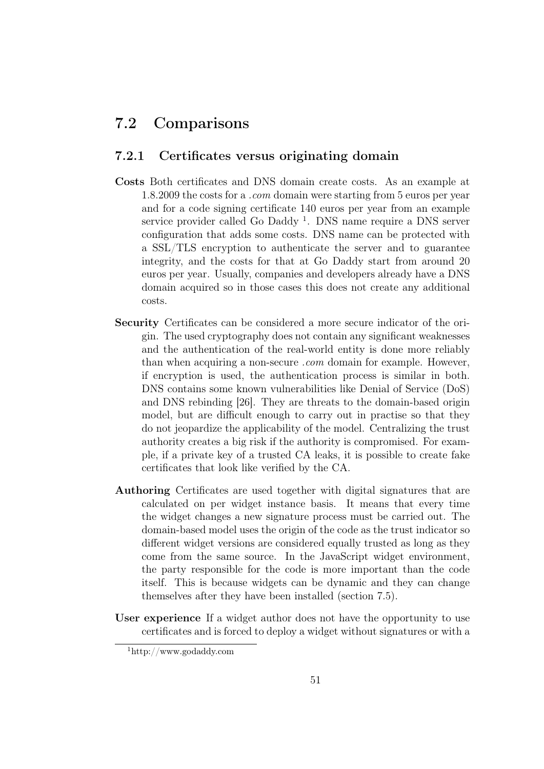## 7.2 Comparisons

#### 7.2.1 Certificates versus originating domain

- Costs Both certificates and DNS domain create costs. As an example at 1.8.2009 the costs for a .com domain were starting from 5 euros per year and for a code signing certificate 140 euros per year from an example service provider called Go Daddy<sup>[1](#page-60-0)</sup>. DNS name require a DNS server configuration that adds some costs. DNS name can be protected with a SSL/TLS encryption to authenticate the server and to guarantee integrity, and the costs for that at Go Daddy start from around 20 euros per year. Usually, companies and developers already have a DNS domain acquired so in those cases this does not create any additional costs.
- Security Certificates can be considered a more secure indicator of the origin. The used cryptography does not contain any significant weaknesses and the authentication of the real-world entity is done more reliably than when acquiring a non-secure *com* domain for example. However, if encryption is used, the authentication process is similar in both. DNS contains some known vulnerabilities like Denial of Service (DoS) and DNS rebinding [\[26\]](#page-73-0). They are threats to the domain-based origin model, but are difficult enough to carry out in practise so that they do not jeopardize the applicability of the model. Centralizing the trust authority creates a big risk if the authority is compromised. For example, if a private key of a trusted CA leaks, it is possible to create fake certificates that look like verified by the CA.
- Authoring Certificates are used together with digital signatures that are calculated on per widget instance basis. It means that every time the widget changes a new signature process must be carried out. The domain-based model uses the origin of the code as the trust indicator so different widget versions are considered equally trusted as long as they come from the same source. In the JavaScript widget environment, the party responsible for the code is more important than the code itself. This is because widgets can be dynamic and they can change themselves after they have been installed (section [7.5\)](#page-66-0).
- User experience If a widget author does not have the opportunity to use certificates and is forced to deploy a widget without signatures or with a

<span id="page-60-0"></span><sup>1</sup>http://www.godaddy.com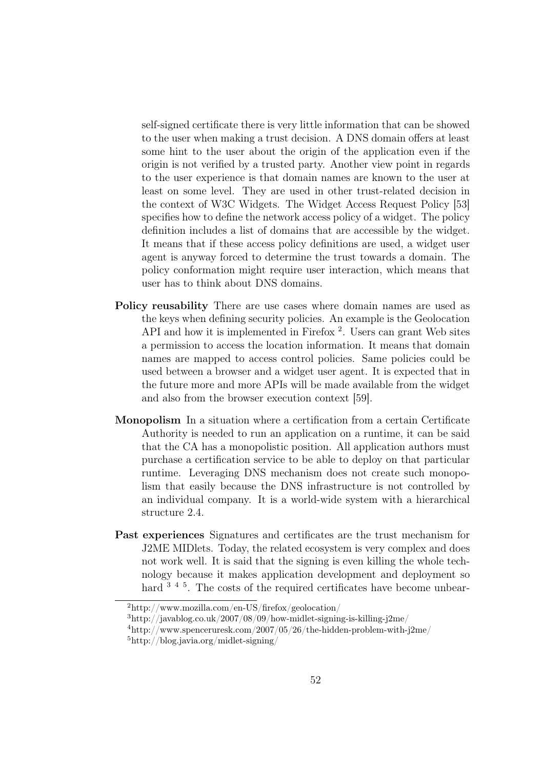self-signed certificate there is very little information that can be showed to the user when making a trust decision. A DNS domain offers at least some hint to the user about the origin of the application even if the origin is not verified by a trusted party. Another view point in regards to the user experience is that domain names are known to the user at least on some level. They are used in other trust-related decision in the context of W3C Widgets. The Widget Access Request Policy [\[53\]](#page-75-3) specifies how to define the network access policy of a widget. The policy definition includes a list of domains that are accessible by the widget. It means that if these access policy definitions are used, a widget user agent is anyway forced to determine the trust towards a domain. The policy conformation might require user interaction, which means that user has to think about DNS domains.

- Policy reusability There are use cases where domain names are used as the keys when defining security policies. An example is the Geolocation API and how it is implemented in Firefox<sup>[2](#page-61-0)</sup>. Users can grant Web sites a permission to access the location information. It means that domain names are mapped to access control policies. Same policies could be used between a browser and a widget user agent. It is expected that in the future more and more APIs will be made available from the widget and also from the browser execution context [\[59\]](#page-76-3).
- Monopolism In a situation where a certification from a certain Certificate Authority is needed to run an application on a runtime, it can be said that the CA has a monopolistic position. All application authors must purchase a certification service to be able to deploy on that particular runtime. Leveraging DNS mechanism does not create such monopolism that easily because the DNS infrastructure is not controlled by an individual company. It is a world-wide system with a hierarchical structure [2.4.](#page-15-0)
- Past experiences Signatures and certificates are the trust mechanism for J2ME MIDlets. Today, the related ecosystem is very complex and does not work well. It is said that the signing is even killing the whole technology because it makes application development and deployment so hard  $3^{4}$  $3^{4}$  $3^{4}$  $3^{4}$ <sup>[5](#page-61-3)</sup>. The costs of the required certificates have become unbear-

<span id="page-61-0"></span><sup>2</sup>http://www.mozilla.com/en-US/firefox/geolocation/

<span id="page-61-1"></span><sup>3</sup>http://javablog.co.uk/2007/08/09/how-midlet-signing-is-killing-j2me/

<span id="page-61-2"></span><sup>4</sup>http://www.spenceruresk.com/2007/05/26/the-hidden-problem-with-j2me/

<span id="page-61-3"></span><sup>5</sup>http://blog.javia.org/midlet-signing/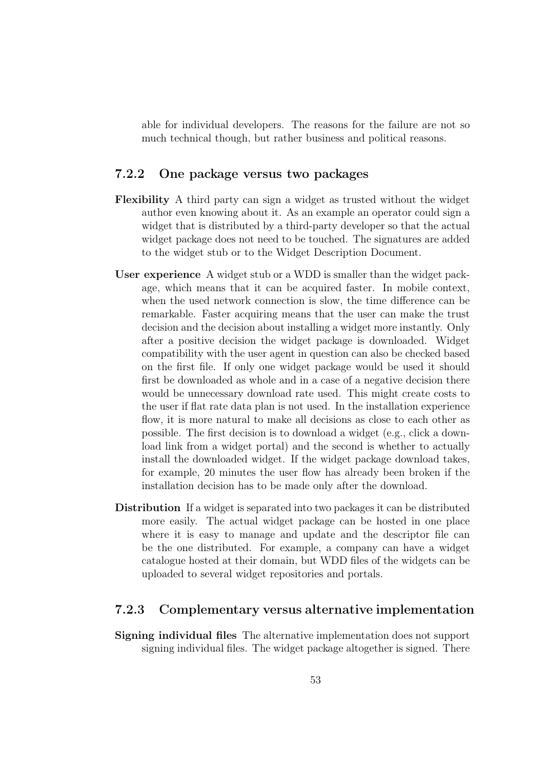able for individual developers. The reasons for the failure are not so much technical though, but rather business and political reasons.

#### 7.2.2 One package versus two packages

- Flexibility A third party can sign a widget as trusted without the widget author even knowing about it. As an example an operator could sign a widget that is distributed by a third-party developer so that the actual widget package does not need to be touched. The signatures are added to the widget stub or to the Widget Description Document.
- User experience A widget stub or a WDD is smaller than the widget package, which means that it can be acquired faster. In mobile context, when the used network connection is slow, the time difference can be remarkable. Faster acquiring means that the user can make the trust decision and the decision about installing a widget more instantly. Only after a positive decision the widget package is downloaded. Widget compatibility with the user agent in question can also be checked based on the first file. If only one widget package would be used it should first be downloaded as whole and in a case of a negative decision there would be unnecessary download rate used. This might create costs to the user if flat rate data plan is not used. In the installation experience flow, it is more natural to make all decisions as close to each other as possible. The first decision is to download a widget (e.g., click a download link from a widget portal) and the second is whether to actually install the downloaded widget. If the widget package download takes, for example, 20 minutes the user flow has already been broken if the installation decision has to be made only after the download.
- Distribution If a widget is separated into two packages it can be distributed more easily. The actual widget package can be hosted in one place where it is easy to manage and update and the descriptor file can be the one distributed. For example, a company can have a widget catalogue hosted at their domain, but WDD files of the widgets can be uploaded to several widget repositories and portals.

#### 7.2.3 Complementary versus alternative implementation

Signing individual files The alternative implementation does not support signing individual files. The widget package altogether is signed. There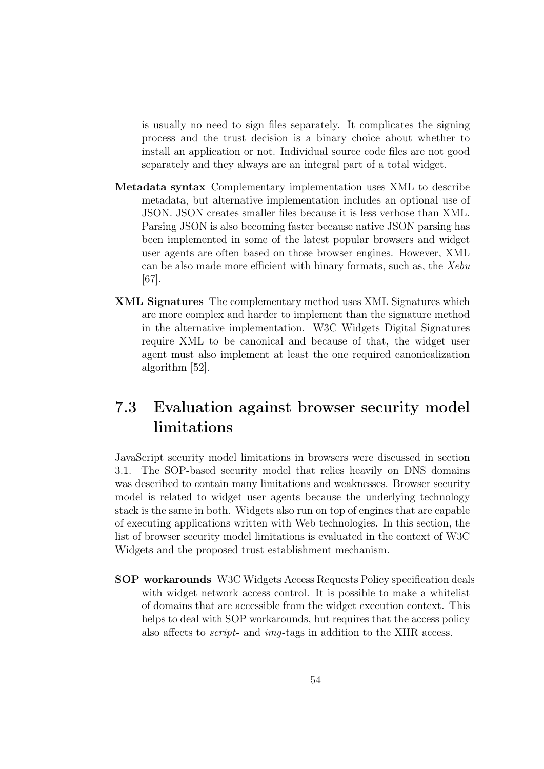is usually no need to sign files separately. It complicates the signing process and the trust decision is a binary choice about whether to install an application or not. Individual source code files are not good separately and they always are an integral part of a total widget.

- Metadata syntax Complementary implementation uses XML to describe metadata, but alternative implementation includes an optional use of JSON. JSON creates smaller files because it is less verbose than XML. Parsing JSON is also becoming faster because native JSON parsing has been implemented in some of the latest popular browsers and widget user agents are often based on those browser engines. However, XML can be also made more efficient with binary formats, such as, the Xebu [\[67\]](#page-77-0).
- XML Signatures The complementary method uses XML Signatures which are more complex and harder to implement than the signature method in the alternative implementation. W3C Widgets Digital Signatures require XML to be canonical and because of that, the widget user agent must also implement at least the one required canonicalization algorithm [\[52\]](#page-75-2).

# 7.3 Evaluation against browser security model limitations

JavaScript security model limitations in browsers were discussed in section [3.1.](#page-21-0) The SOP-based security model that relies heavily on DNS domains was described to contain many limitations and weaknesses. Browser security model is related to widget user agents because the underlying technology stack is the same in both. Widgets also run on top of engines that are capable of executing applications written with Web technologies. In this section, the list of browser security model limitations is evaluated in the context of W3C Widgets and the proposed trust establishment mechanism.

SOP workarounds W3C Widgets Access Requests Policy specification deals with widget network access control. It is possible to make a whitelist of domains that are accessible from the widget execution context. This helps to deal with SOP workarounds, but requires that the access policy also affects to script- and img-tags in addition to the XHR access.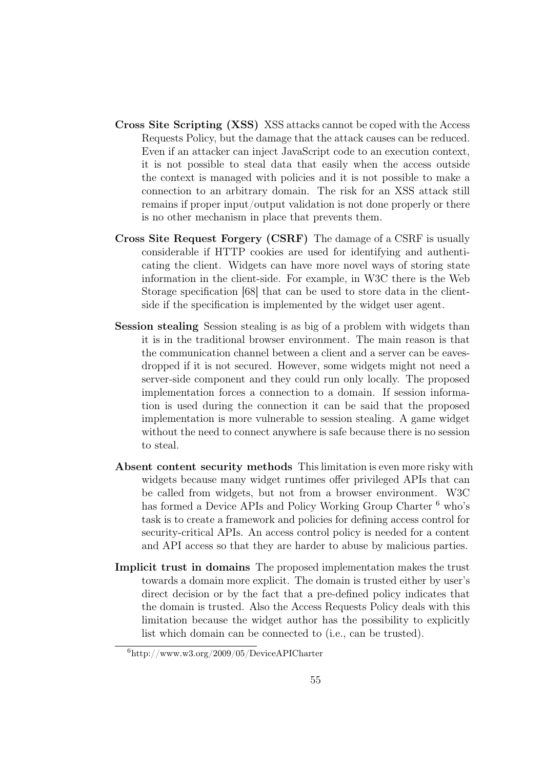- Cross Site Scripting (XSS) XSS attacks cannot be coped with the Access Requests Policy, but the damage that the attack causes can be reduced. Even if an attacker can inject JavaScript code to an execution context, it is not possible to steal data that easily when the access outside the context is managed with policies and it is not possible to make a connection to an arbitrary domain. The risk for an XSS attack still remains if proper input/output validation is not done properly or there is no other mechanism in place that prevents them.
- Cross Site Request Forgery (CSRF) The damage of a CSRF is usually considerable if HTTP cookies are used for identifying and authenticating the client. Widgets can have more novel ways of storing state information in the client-side. For example, in W3C there is the Web Storage specification [\[68\]](#page-77-1) that can be used to store data in the clientside if the specification is implemented by the widget user agent.
- Session stealing Session stealing is as big of a problem with widgets than it is in the traditional browser environment. The main reason is that the communication channel between a client and a server can be eavesdropped if it is not secured. However, some widgets might not need a server-side component and they could run only locally. The proposed implementation forces a connection to a domain. If session information is used during the connection it can be said that the proposed implementation is more vulnerable to session stealing. A game widget without the need to connect anywhere is safe because there is no session to steal.
- Absent content security methods This limitation is even more risky with widgets because many widget runtimes offer privileged APIs that can be called from widgets, but not from a browser environment. W3C has formed a Device APIs and Policy Working Group Charter <sup>[6](#page-64-0)</sup> who's task is to create a framework and policies for defining access control for security-critical APIs. An access control policy is needed for a content and API access so that they are harder to abuse by malicious parties.
- Implicit trust in domains The proposed implementation makes the trust towards a domain more explicit. The domain is trusted either by user's direct decision or by the fact that a pre-defined policy indicates that the domain is trusted. Also the Access Requests Policy deals with this limitation because the widget author has the possibility to explicitly list which domain can be connected to (i.e., can be trusted).

<span id="page-64-0"></span><sup>6</sup>http://www.w3.org/2009/05/DeviceAPICharter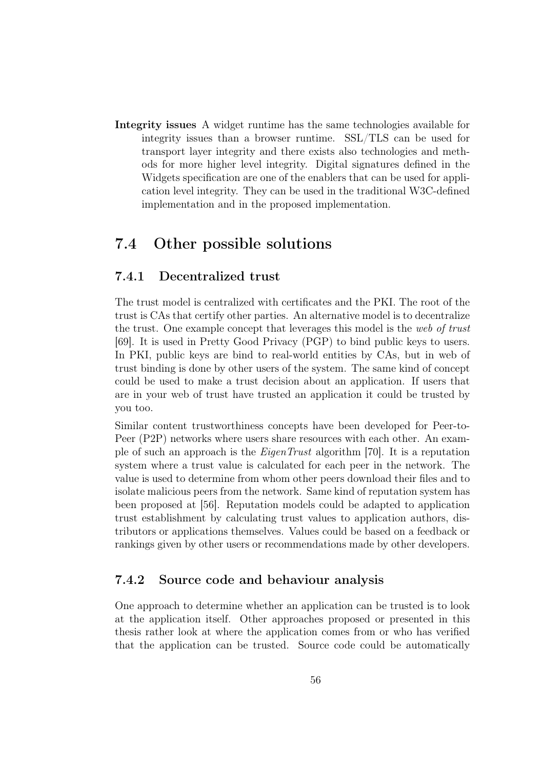Integrity issues A widget runtime has the same technologies available for integrity issues than a browser runtime. SSL/TLS can be used for transport layer integrity and there exists also technologies and methods for more higher level integrity. Digital signatures defined in the Widgets specification are one of the enablers that can be used for application level integrity. They can be used in the traditional W3C-defined implementation and in the proposed implementation.

## 7.4 Other possible solutions

#### 7.4.1 Decentralized trust

The trust model is centralized with certificates and the PKI. The root of the trust is CAs that certify other parties. An alternative model is to decentralize the trust. One example concept that leverages this model is the web of trust [\[69\]](#page-77-2). It is used in Pretty Good Privacy (PGP) to bind public keys to users. In PKI, public keys are bind to real-world entities by CAs, but in web of trust binding is done by other users of the system. The same kind of concept could be used to make a trust decision about an application. If users that are in your web of trust have trusted an application it could be trusted by you too.

Similar content trustworthiness concepts have been developed for Peer-to-Peer (P2P) networks where users share resources with each other. An example of such an approach is the EigenTrust algorithm [\[70\]](#page-77-3). It is a reputation system where a trust value is calculated for each peer in the network. The value is used to determine from whom other peers download their files and to isolate malicious peers from the network. Same kind of reputation system has been proposed at [\[56\]](#page-76-0). Reputation models could be adapted to application trust establishment by calculating trust values to application authors, distributors or applications themselves. Values could be based on a feedback or rankings given by other users or recommendations made by other developers.

#### 7.4.2 Source code and behaviour analysis

One approach to determine whether an application can be trusted is to look at the application itself. Other approaches proposed or presented in this thesis rather look at where the application comes from or who has verified that the application can be trusted. Source code could be automatically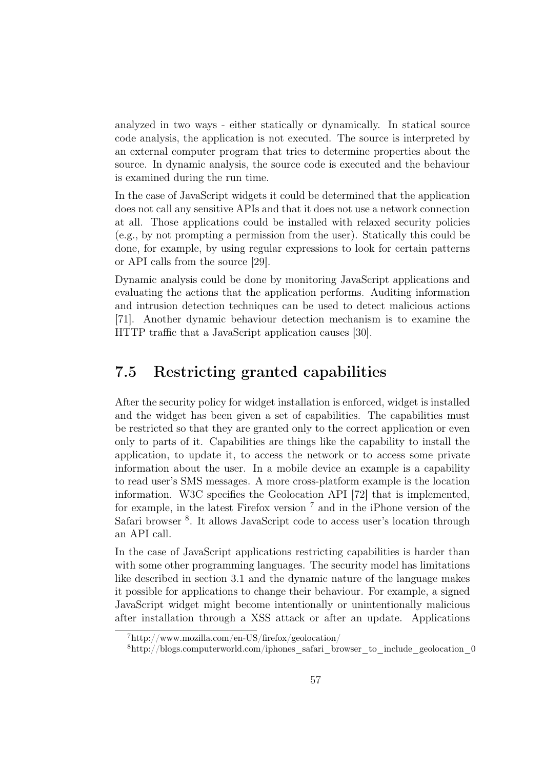analyzed in two ways - either statically or dynamically. In statical source code analysis, the application is not executed. The source is interpreted by an external computer program that tries to determine properties about the source. In dynamic analysis, the source code is executed and the behaviour is examined during the run time.

In the case of JavaScript widgets it could be determined that the application does not call any sensitive APIs and that it does not use a network connection at all. Those applications could be installed with relaxed security policies (e.g., by not prompting a permission from the user). Statically this could be done, for example, by using regular expressions to look for certain patterns or API calls from the source [\[29\]](#page-73-1).

Dynamic analysis could be done by monitoring JavaScript applications and evaluating the actions that the application performs. Auditing information and intrusion detection techniques can be used to detect malicious actions [\[71\]](#page-77-4). Another dynamic behaviour detection mechanism is to examine the HTTP traffic that a JavaScript application causes [\[30\]](#page-73-2).

## <span id="page-66-0"></span>7.5 Restricting granted capabilities

After the security policy for widget installation is enforced, widget is installed and the widget has been given a set of capabilities. The capabilities must be restricted so that they are granted only to the correct application or even only to parts of it. Capabilities are things like the capability to install the application, to update it, to access the network or to access some private information about the user. In a mobile device an example is a capability to read user's SMS messages. A more cross-platform example is the location information. W3C specifies the Geolocation API [\[72\]](#page-77-5) that is implemented, for example, in the latest Firefox version  $7$  and in the iPhone version of the Safari browser<sup>[8](#page-66-2)</sup>. It allows JavaScript code to access user's location through an API call.

In the case of JavaScript applications restricting capabilities is harder than with some other programming languages. The security model has limitations like described in section [3.1](#page-21-0) and the dynamic nature of the language makes it possible for applications to change their behaviour. For example, a signed JavaScript widget might become intentionally or unintentionally malicious after installation through a XSS attack or after an update. Applications

<span id="page-66-1"></span><sup>7</sup>http://www.mozilla.com/en-US/firefox/geolocation/

<span id="page-66-2"></span><sup>8</sup>http://blogs.computerworld.com/iphones\_safari\_browser\_to\_include\_geolocation\_0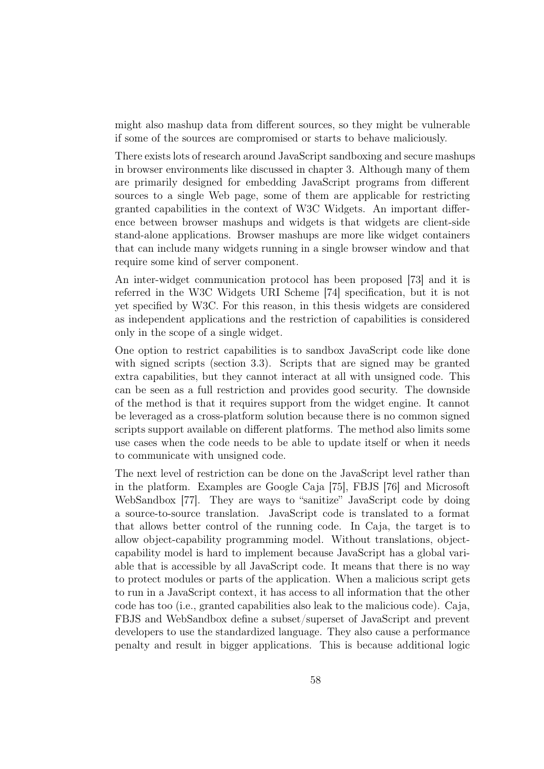might also mashup data from different sources, so they might be vulnerable if some of the sources are compromised or starts to behave maliciously.

There exists lots of research around JavaScript sandboxing and secure mashups in browser environments like discussed in chapter [3.](#page-21-1) Although many of them are primarily designed for embedding JavaScript programs from different sources to a single Web page, some of them are applicable for restricting granted capabilities in the context of W3C Widgets. An important difference between browser mashups and widgets is that widgets are client-side stand-alone applications. Browser mashups are more like widget containers that can include many widgets running in a single browser window and that require some kind of server component.

An inter-widget communication protocol has been proposed [\[73\]](#page-77-6) and it is referred in the W3C Widgets URI Scheme [\[74\]](#page-77-7) specification, but it is not yet specified by W3C. For this reason, in this thesis widgets are considered as independent applications and the restriction of capabilities is considered only in the scope of a single widget.

One option to restrict capabilities is to sandbox JavaScript code like done with signed scripts (section [3.3\)](#page-26-0). Scripts that are signed may be granted extra capabilities, but they cannot interact at all with unsigned code. This can be seen as a full restriction and provides good security. The downside of the method is that it requires support from the widget engine. It cannot be leveraged as a cross-platform solution because there is no common signed scripts support available on different platforms. The method also limits some use cases when the code needs to be able to update itself or when it needs to communicate with unsigned code.

The next level of restriction can be done on the JavaScript level rather than in the platform. Examples are Google Caja [\[75\]](#page-77-8), FBJS [\[76\]](#page-77-9) and Microsoft WebSandbox [\[77\]](#page-77-10). They are ways to "sanitize" JavaScript code by doing a source-to-source translation. JavaScript code is translated to a format that allows better control of the running code. In Caja, the target is to allow object-capability programming model. Without translations, objectcapability model is hard to implement because JavaScript has a global variable that is accessible by all JavaScript code. It means that there is no way to protect modules or parts of the application. When a malicious script gets to run in a JavaScript context, it has access to all information that the other code has too (i.e., granted capabilities also leak to the malicious code). Caja, FBJS and WebSandbox define a subset/superset of JavaScript and prevent developers to use the standardized language. They also cause a performance penalty and result in bigger applications. This is because additional logic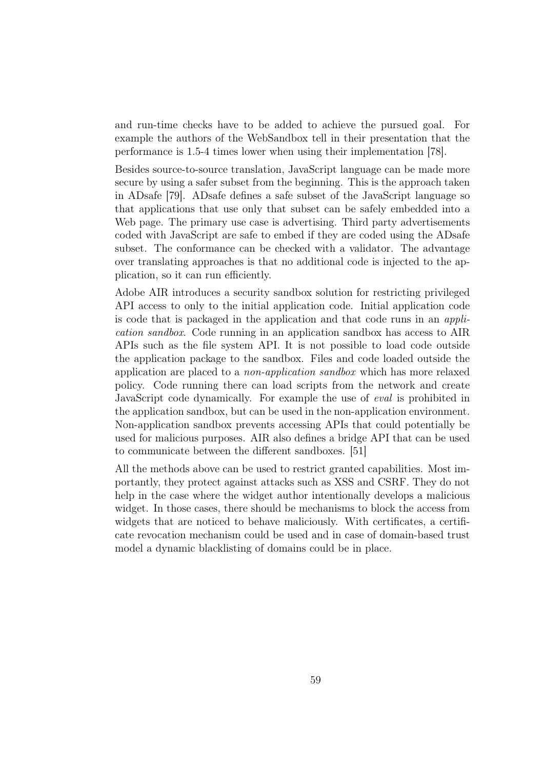and run-time checks have to be added to achieve the pursued goal. For example the authors of the WebSandbox tell in their presentation that the performance is 1.5-4 times lower when using their implementation [\[78\]](#page-78-0).

Besides source-to-source translation, JavaScript language can be made more secure by using a safer subset from the beginning. This is the approach taken in ADsafe [\[79\]](#page-78-1). ADsafe defines a safe subset of the JavaScript language so that applications that use only that subset can be safely embedded into a Web page. The primary use case is advertising. Third party advertisements coded with JavaScript are safe to embed if they are coded using the ADsafe subset. The conformance can be checked with a validator. The advantage over translating approaches is that no additional code is injected to the application, so it can run efficiently.

Adobe AIR introduces a security sandbox solution for restricting privileged API access to only to the initial application code. Initial application code is code that is packaged in the application and that code runs in an application sandbox. Code running in an application sandbox has access to AIR APIs such as the file system API. It is not possible to load code outside the application package to the sandbox. Files and code loaded outside the application are placed to a non-application sandbox which has more relaxed policy. Code running there can load scripts from the network and create JavaScript code dynamically. For example the use of eval is prohibited in the application sandbox, but can be used in the non-application environment. Non-application sandbox prevents accessing APIs that could potentially be used for malicious purposes. AIR also defines a bridge API that can be used to communicate between the different sandboxes. [\[51\]](#page-75-4)

All the methods above can be used to restrict granted capabilities. Most importantly, they protect against attacks such as XSS and CSRF. They do not help in the case where the widget author intentionally develops a malicious widget. In those cases, there should be mechanisms to block the access from widgets that are noticed to behave maliciously. With certificates, a certificate revocation mechanism could be used and in case of domain-based trust model a dynamic blacklisting of domains could be in place.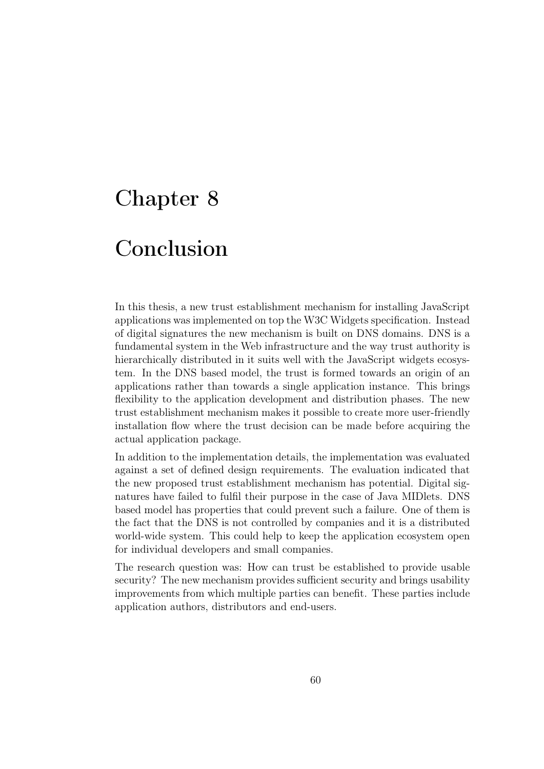# Chapter 8

# Conclusion

In this thesis, a new trust establishment mechanism for installing JavaScript applications was implemented on top the W3C Widgets specification. Instead of digital signatures the new mechanism is built on DNS domains. DNS is a fundamental system in the Web infrastructure and the way trust authority is hierarchically distributed in it suits well with the JavaScript widgets ecosystem. In the DNS based model, the trust is formed towards an origin of an applications rather than towards a single application instance. This brings flexibility to the application development and distribution phases. The new trust establishment mechanism makes it possible to create more user-friendly installation flow where the trust decision can be made before acquiring the actual application package.

In addition to the implementation details, the implementation was evaluated against a set of defined design requirements. The evaluation indicated that the new proposed trust establishment mechanism has potential. Digital signatures have failed to fulfil their purpose in the case of Java MIDlets. DNS based model has properties that could prevent such a failure. One of them is the fact that the DNS is not controlled by companies and it is a distributed world-wide system. This could help to keep the application ecosystem open for individual developers and small companies.

The research question was: How can trust be established to provide usable security? The new mechanism provides sufficient security and brings usability improvements from which multiple parties can benefit. These parties include application authors, distributors and end-users.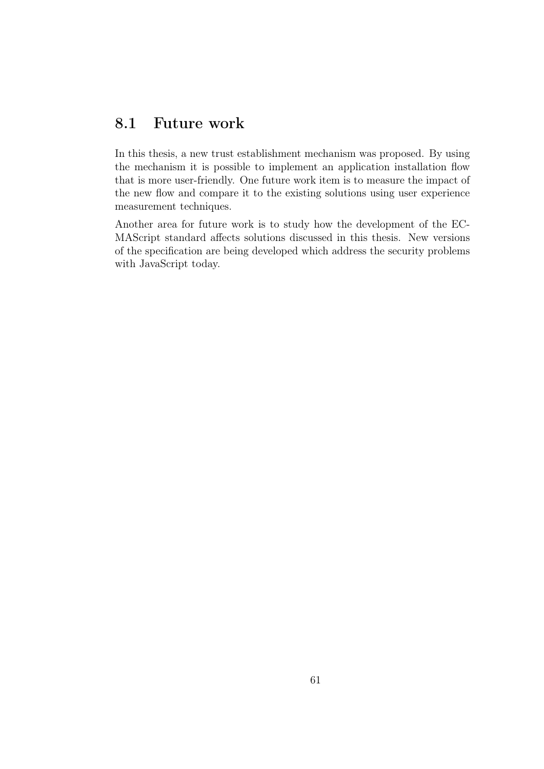# 8.1 Future work

In this thesis, a new trust establishment mechanism was proposed. By using the mechanism it is possible to implement an application installation flow that is more user-friendly. One future work item is to measure the impact of the new flow and compare it to the existing solutions using user experience measurement techniques.

Another area for future work is to study how the development of the EC-MAScript standard affects solutions discussed in this thesis. New versions of the specification are being developed which address the security problems with JavaScript today.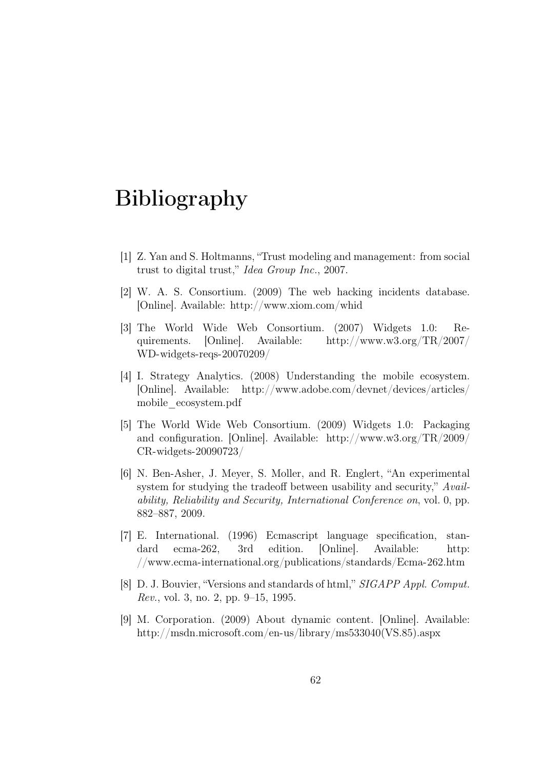# Bibliography

- <span id="page-71-0"></span>[1] Z. Yan and S. Holtmanns, "Trust modeling and management: from social trust to digital trust," Idea Group Inc., 2007.
- [2] W. A. S. Consortium. (2009) The web hacking incidents database. [Online]. Available: <http://www.xiom.com/whid>
- <span id="page-71-2"></span>[3] The World Wide Web Consortium. (2007) Widgets 1.0: Requirements. [Online]. Available: [http://www.w3.org/TR/2007/](http://www.w3.org/TR/2007/WD-widgets-reqs-20070209/) [WD-widgets-reqs-20070209/](http://www.w3.org/TR/2007/WD-widgets-reqs-20070209/)
- <span id="page-71-1"></span>[4] I. Strategy Analytics. (2008) Understanding the mobile ecosystem. [Online]. Available: [http://www.adobe.com/devnet/devices/articles/](http://www.adobe.com/devnet/devices/articles/mobile_ecosystem.pdf) [mobile\\_ecosystem.pdf](http://www.adobe.com/devnet/devices/articles/mobile_ecosystem.pdf)
- <span id="page-71-3"></span>[5] The World Wide Web Consortium. (2009) Widgets 1.0: Packaging and configuration. [Online]. Available: [http://www.w3.org/TR/2009/](http://www.w3.org/TR/2009/CR-widgets-20090723/) [CR-widgets-20090723/](http://www.w3.org/TR/2009/CR-widgets-20090723/)
- [6] N. Ben-Asher, J. Meyer, S. Moller, and R. Englert, "An experimental system for studying the tradeoff between usability and security," Availability, Reliability and Security, International Conference on, vol. 0, pp. 882–887, 2009.
- [7] E. International. (1996) Ecmascript language specification, standard ecma-262, 3rd edition. [Online]. Available: [http:](http://www.ecma-international.org/publications/standards/Ecma-262.htm) [//www.ecma-international.org/publications/standards/Ecma-262.htm](http://www.ecma-international.org/publications/standards/Ecma-262.htm)
- [8] D. J. Bouvier, "Versions and standards of html," SIGAPP Appl. Comput. Rev., vol. 3, no. 2, pp. 9–15, 1995.
- [9] M. Corporation. (2009) About dynamic content. [Online]. Available: [http://msdn.microsoft.com/en-us/library/ms533040\(VS.85\).aspx](http://msdn.microsoft.com/en-us/library/ms533040(VS.85).aspx)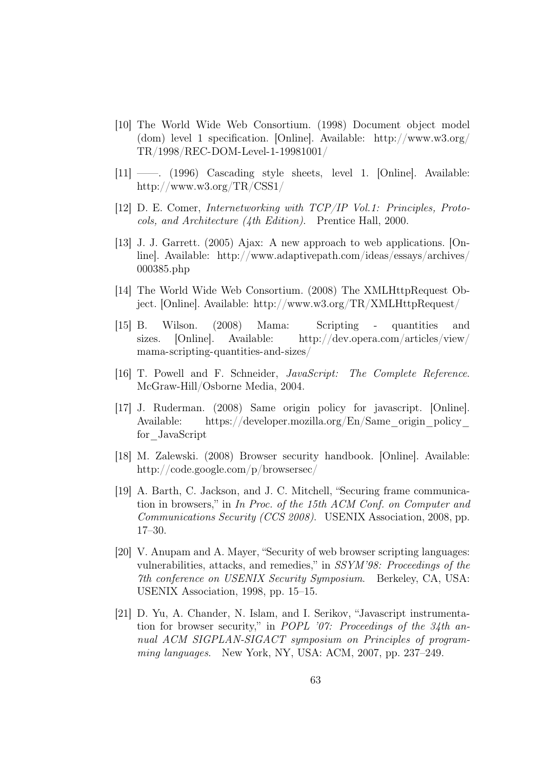- [10] The World Wide Web Consortium. (1998) Document object model (dom) level 1 specification. [Online]. Available: [http://www.w3.org/](http://www.w3.org/TR/1998/REC-DOM-Level-1-19981001/) [TR/1998/REC-DOM-Level-1-19981001/](http://www.w3.org/TR/1998/REC-DOM-Level-1-19981001/)
- [11] ——. (1996) Cascading style sheets, level 1. [Online]. Available: <http://www.w3.org/TR/CSS1/>
- [12] D. E. Comer, Internetworking with TCP/IP Vol.1: Principles, Protocols, and Architecture (4th Edition). Prentice Hall, 2000.
- [13] J. J. Garrett. (2005) Ajax: A new approach to web applications. [Online]. Available: [http://www.adaptivepath.com/ideas/essays/archives/](http://www.adaptivepath.com/ideas/essays/archives/000385.php) [000385.php](http://www.adaptivepath.com/ideas/essays/archives/000385.php)
- [14] The World Wide Web Consortium. (2008) The XMLHttpRequest Object. [Online]. Available: <http://www.w3.org/TR/XMLHttpRequest/>
- [15] B. Wilson. (2008) Mama: Scripting quantities and sizes. [Online]. Available: [http://dev.opera.com/articles/view/](http://dev.opera.com/articles/view/mama-scripting-quantities-and-sizes/) [mama-scripting-quantities-and-sizes/](http://dev.opera.com/articles/view/mama-scripting-quantities-and-sizes/)
- [16] T. Powell and F. Schneider, JavaScript: The Complete Reference. McGraw-Hill/Osborne Media, 2004.
- [17] J. Ruderman. (2008) Same origin policy for javascript. [Online]. Available: https://developer.mozilla.org/En/Same\_origin\_policy [for\\_JavaScript](https://developer.mozilla.org/En/Same_origin_policy_for_JavaScript)
- [18] M. Zalewski. (2008) Browser security handbook. [Online]. Available: <http://code.google.com/p/browsersec/>
- [19] A. Barth, C. Jackson, and J. C. Mitchell, "Securing frame communication in browsers," in In Proc. of the 15th ACM Conf. on Computer and Communications Security (CCS 2008). USENIX Association, 2008, pp. 17–30.
- [20] V. Anupam and A. Mayer, "Security of web browser scripting languages: vulnerabilities, attacks, and remedies," in SSYM'98: Proceedings of the 7th conference on USENIX Security Symposium. Berkeley, CA, USA: USENIX Association, 1998, pp. 15–15.
- [21] D. Yu, A. Chander, N. Islam, and I. Serikov, "Javascript instrumentation for browser security," in POPL '07: Proceedings of the 34th annual ACM SIGPLAN-SIGACT symposium on Principles of programming languages. New York, NY, USA: ACM, 2007, pp. 237–249.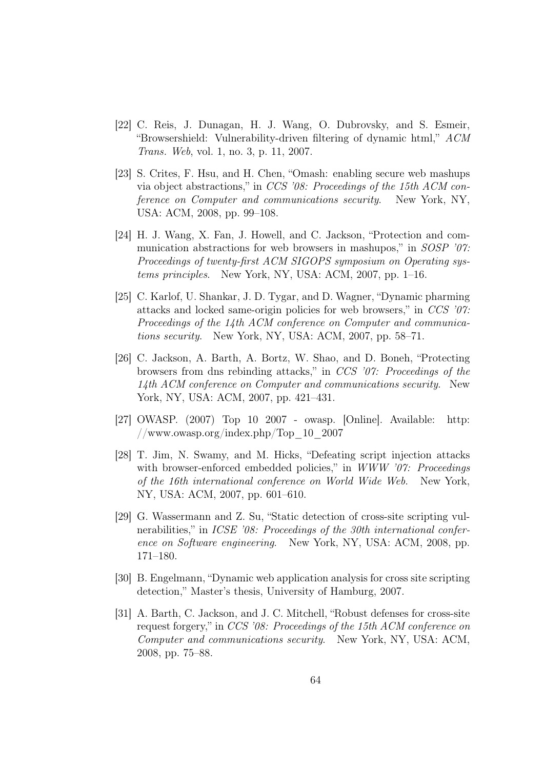- [22] C. Reis, J. Dunagan, H. J. Wang, O. Dubrovsky, and S. Esmeir, "Browsershield: Vulnerability-driven filtering of dynamic html," ACM Trans. Web, vol. 1, no. 3, p. 11, 2007.
- [23] S. Crites, F. Hsu, and H. Chen, "Omash: enabling secure web mashups via object abstractions," in CCS '08: Proceedings of the 15th ACM conference on Computer and communications security. New York, NY, USA: ACM, 2008, pp. 99–108.
- [24] H. J. Wang, X. Fan, J. Howell, and C. Jackson, "Protection and communication abstractions for web browsers in mashupos," in *SOSP* '07: Proceedings of twenty-first ACM SIGOPS symposium on Operating systems principles. New York, NY, USA: ACM, 2007, pp. 1–16.
- [25] C. Karlof, U. Shankar, J. D. Tygar, and D. Wagner, "Dynamic pharming attacks and locked same-origin policies for web browsers," in  $CCS$  '07: Proceedings of the 14th ACM conference on Computer and communications security. New York, NY, USA: ACM, 2007, pp. 58–71.
- [26] C. Jackson, A. Barth, A. Bortz, W. Shao, and D. Boneh, "Protecting browsers from dns rebinding attacks," in CCS '07: Proceedings of the 14th ACM conference on Computer and communications security. New York, NY, USA: ACM, 2007, pp. 421–431.
- [27] OWASP. (2007) Top 10 2007 owasp. [Online]. Available: [http:](http://www.owasp.org/index.php/Top_10_2007) [//www.owasp.org/index.php/Top\\_10\\_2007](http://www.owasp.org/index.php/Top_10_2007)
- [28] T. Jim, N. Swamy, and M. Hicks, "Defeating script injection attacks with browser-enforced embedded policies," in WWW '07: Proceedings of the 16th international conference on World Wide Web. New York, NY, USA: ACM, 2007, pp. 601–610.
- [29] G. Wassermann and Z. Su, "Static detection of cross-site scripting vulnerabilities," in ICSE '08: Proceedings of the 30th international conference on Software engineering. New York, NY, USA: ACM, 2008, pp. 171–180.
- [30] B. Engelmann, "Dynamic web application analysis for cross site scripting detection," Master's thesis, University of Hamburg, 2007.
- [31] A. Barth, C. Jackson, and J. C. Mitchell, "Robust defenses for cross-site request forgery," in CCS '08: Proceedings of the 15th ACM conference on Computer and communications security. New York, NY, USA: ACM, 2008, pp. 75–88.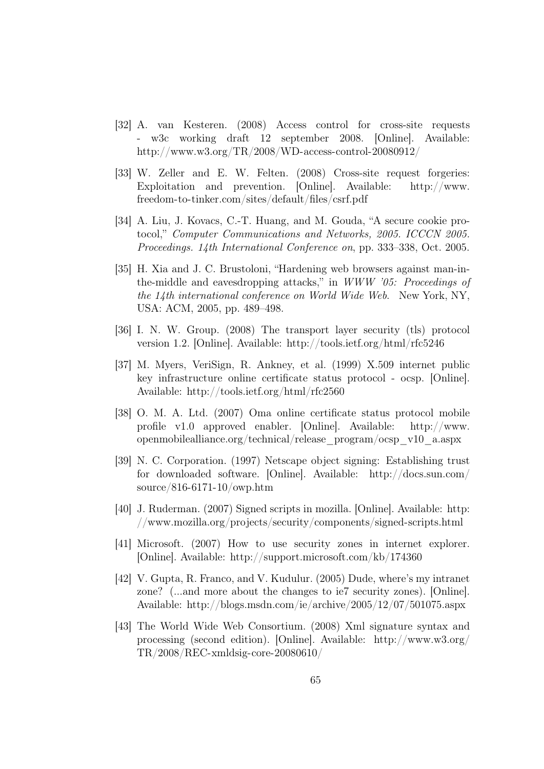- [32] A. van Kesteren. (2008) Access control for cross-site requests - w3c working draft 12 september 2008. [Online]. Available: <http://www.w3.org/TR/2008/WD-access-control-20080912/>
- [33] W. Zeller and E. W. Felten. (2008) Cross-site request forgeries: Exploitation and prevention. [Online]. Available: [http://www.](http://www.freedom-to-tinker.com/sites/default/files/csrf.pdf) [freedom-to-tinker.com/sites/default/files/csrf.pdf](http://www.freedom-to-tinker.com/sites/default/files/csrf.pdf)
- [34] A. Liu, J. Kovacs, C.-T. Huang, and M. Gouda, "A secure cookie protocol," Computer Communications and Networks, 2005. ICCCN 2005. Proceedings. 14th International Conference on, pp. 333–338, Oct. 2005.
- [35] H. Xia and J. C. Brustoloni, "Hardening web browsers against man-inthe-middle and eavesdropping attacks," in WWW '05: Proceedings of the 14th international conference on World Wide Web. New York, NY, USA: ACM, 2005, pp. 489–498.
- [36] I. N. W. Group. (2008) The transport layer security (tls) protocol version 1.2. [Online]. Available: <http://tools.ietf.org/html/rfc5246>
- [37] M. Myers, VeriSign, R. Ankney, et al. (1999) X.509 internet public key infrastructure online certificate status protocol - ocsp. [Online]. Available: <http://tools.ietf.org/html/rfc2560>
- [38] O. M. A. Ltd. (2007) Oma online certificate status protocol mobile profile v1.0 approved enabler. [Online]. Available: [http://www.](http://www.openmobilealliance.org/technical/release_program/ocsp_v10_a.aspx) [openmobilealliance.org/technical/release\\_program/ocsp\\_v10\\_a.aspx](http://www.openmobilealliance.org/technical/release_program/ocsp_v10_a.aspx)
- [39] N. C. Corporation. (1997) Netscape object signing: Establishing trust for downloaded software. [Online]. Available: [http://docs.sun.com/](http://docs.sun.com/source/816-6171-10/owp.htm) [source/816-6171-10/owp.htm](http://docs.sun.com/source/816-6171-10/owp.htm)
- [40] J. Ruderman. (2007) Signed scripts in mozilla. [Online]. Available: [http:](http://www.mozilla.org/projects/security/components/signed-scripts.html) [//www.mozilla.org/projects/security/components/signed-scripts.html](http://www.mozilla.org/projects/security/components/signed-scripts.html)
- [41] Microsoft. (2007) How to use security zones in internet explorer. [Online]. Available: <http://support.microsoft.com/kb/174360>
- [42] V. Gupta, R. Franco, and V. Kudulur. (2005) Dude, where's my intranet zone? (...and more about the changes to ie7 security zones). [Online]. Available: <http://blogs.msdn.com/ie/archive/2005/12/07/501075.aspx>
- [43] The World Wide Web Consortium. (2008) Xml signature syntax and processing (second edition). [Online]. Available: [http://www.w3.org/](http://www.w3.org/TR/2008/REC-xmldsig-core-20080610/) [TR/2008/REC-xmldsig-core-20080610/](http://www.w3.org/TR/2008/REC-xmldsig-core-20080610/)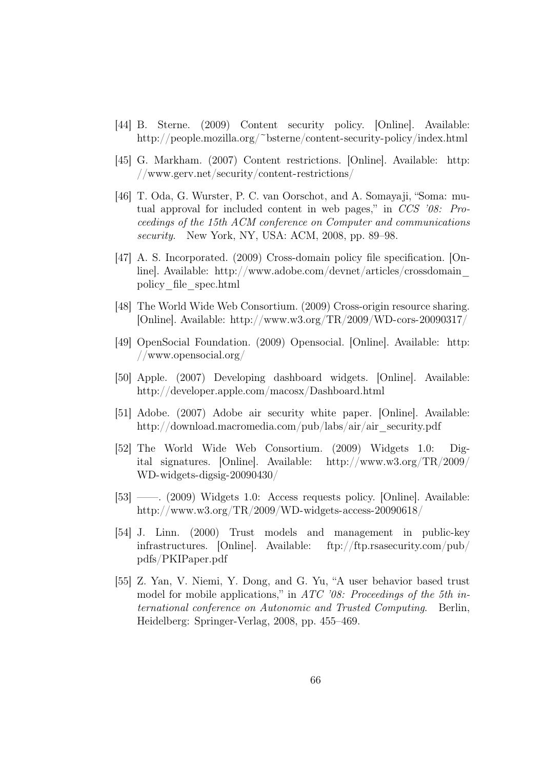- [44] B. Sterne. (2009) Content security policy. [Online]. Available: <http://people.mozilla.org/~bsterne/content-security-policy/index.html>
- [45] G. Markham. (2007) Content restrictions. [Online]. Available: [http:](http://www.gerv.net/security/content-restrictions/) [//www.gerv.net/security/content-restrictions/](http://www.gerv.net/security/content-restrictions/)
- [46] T. Oda, G. Wurster, P. C. van Oorschot, and A. Somayaji, "Soma: mutual approval for included content in web pages," in CCS '08: Proceedings of the 15th ACM conference on Computer and communications security. New York, NY, USA: ACM, 2008, pp. 89–98.
- [47] A. S. Incorporated. (2009) Cross-domain policy file specification. [Online]. Available: [http://www.adobe.com/devnet/articles/crossdomain\\_](http://www.adobe.com/devnet/articles/crossdomain_policy_file_spec.html) [policy\\_file\\_spec.html](http://www.adobe.com/devnet/articles/crossdomain_policy_file_spec.html)
- [48] The World Wide Web Consortium. (2009) Cross-origin resource sharing. [Online]. Available: <http://www.w3.org/TR/2009/WD-cors-20090317/>
- [49] OpenSocial Foundation. (2009) Opensocial. [Online]. Available: [http:](http://www.opensocial.org/) [//www.opensocial.org/](http://www.opensocial.org/)
- [50] Apple. (2007) Developing dashboard widgets. [Online]. Available: <http://developer.apple.com/macosx/Dashboard.html>
- [51] Adobe. (2007) Adobe air security white paper. [Online]. Available: [http://download.macromedia.com/pub/labs/air/air\\_security.pdf](http://download.macromedia.com/pub/labs/air/air_security.pdf)
- [52] The World Wide Web Consortium. (2009) Widgets 1.0: Digital signatures. [Online]. Available: [http://www.w3.org/TR/2009/](http://www.w3.org/TR/2009/WD-widgets-digsig-20090430/) [WD-widgets-digsig-20090430/](http://www.w3.org/TR/2009/WD-widgets-digsig-20090430/)
- [53] ——. (2009) Widgets 1.0: Access requests policy. [Online]. Available: <http://www.w3.org/TR/2009/WD-widgets-access-20090618/>
- [54] J. Linn. (2000) Trust models and management in public-key infrastructures. [Online]. Available: [ftp://ftp.rsasecurity.com/pub/](ftp://ftp.rsasecurity.com/pub/pdfs/PKIPaper.pdf) [pdfs/PKIPaper.pdf](ftp://ftp.rsasecurity.com/pub/pdfs/PKIPaper.pdf)
- [55] Z. Yan, V. Niemi, Y. Dong, and G. Yu, "A user behavior based trust model for mobile applications," in ATC '08: Proceedings of the 5th international conference on Autonomic and Trusted Computing. Berlin, Heidelberg: Springer-Verlag, 2008, pp. 455–469.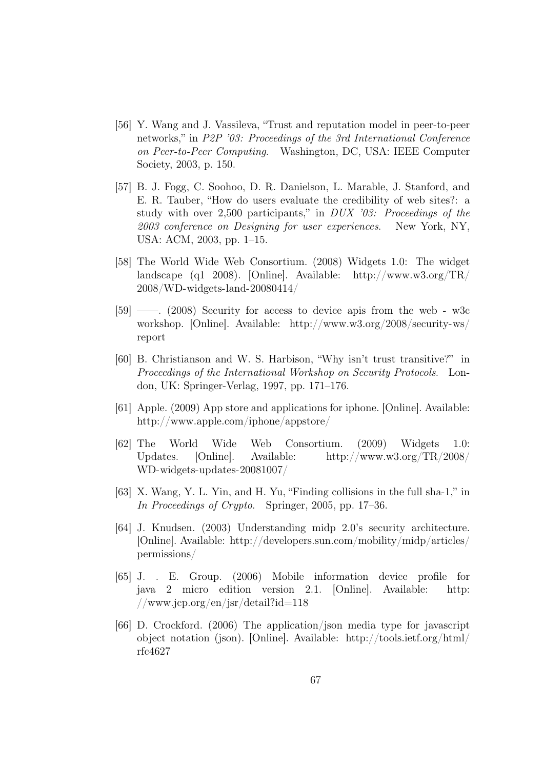- [56] Y. Wang and J. Vassileva, "Trust and reputation model in peer-to-peer networks," in P2P '03: Proceedings of the 3rd International Conference on Peer-to-Peer Computing. Washington, DC, USA: IEEE Computer Society, 2003, p. 150.
- [57] B. J. Fogg, C. Soohoo, D. R. Danielson, L. Marable, J. Stanford, and E. R. Tauber, "How do users evaluate the credibility of web sites?: a study with over 2,500 participants," in DUX '03: Proceedings of the 2003 conference on Designing for user experiences. New York, NY, USA: ACM, 2003, pp. 1–15.
- [58] The World Wide Web Consortium. (2008) Widgets 1.0: The widget landscape (q1 2008). [Online]. Available: [http://www.w3.org/TR/](http://www.w3.org/TR/2008/WD-widgets-land-20080414/) [2008/WD-widgets-land-20080414/](http://www.w3.org/TR/2008/WD-widgets-land-20080414/)
- [59] ——. (2008) Security for access to device apis from the web w3c workshop. [Online]. Available: [http://www.w3.org/2008/security-ws/](http://www.w3.org/2008/security-ws/report) [report](http://www.w3.org/2008/security-ws/report)
- [60] B. Christianson and W. S. Harbison, "Why isn't trust transitive?" in Proceedings of the International Workshop on Security Protocols. London, UK: Springer-Verlag, 1997, pp. 171–176.
- [61] Apple. (2009) App store and applications for iphone. [Online]. Available: <http://www.apple.com/iphone/appstore/>
- [62] The World Wide Web Consortium. (2009) Widgets 1.0: Updates. [Online]. Available: [http://www.w3.org/TR/2008/](http://www.w3.org/TR/2008/WD-widgets-updates-20081007/) [WD-widgets-updates-20081007/](http://www.w3.org/TR/2008/WD-widgets-updates-20081007/)
- [63] X. Wang, Y. L. Yin, and H. Yu, "Finding collisions in the full sha-1," in In Proceedings of Crypto. Springer, 2005, pp. 17–36.
- [64] J. Knudsen. (2003) Understanding midp 2.0's security architecture. [Online]. Available: [http://developers.sun.com/mobility/midp/articles/](http://developers.sun.com/mobility/midp/articles/permissions/) [permissions/](http://developers.sun.com/mobility/midp/articles/permissions/)
- [65] J. . E. Group. (2006) Mobile information device profile for java 2 micro edition version 2.1. [Online]. Available: [http:](http://www.jcp.org/en/jsr/detail?id=118)  $//www.jcp.org/en/jsr/detal?id=118$
- [66] D. Crockford. (2006) The application/json media type for javascript object notation (json). [Online]. Available: [http://tools.ietf.org/html/](http://tools.ietf.org/html/rfc4627) [rfc4627](http://tools.ietf.org/html/rfc4627)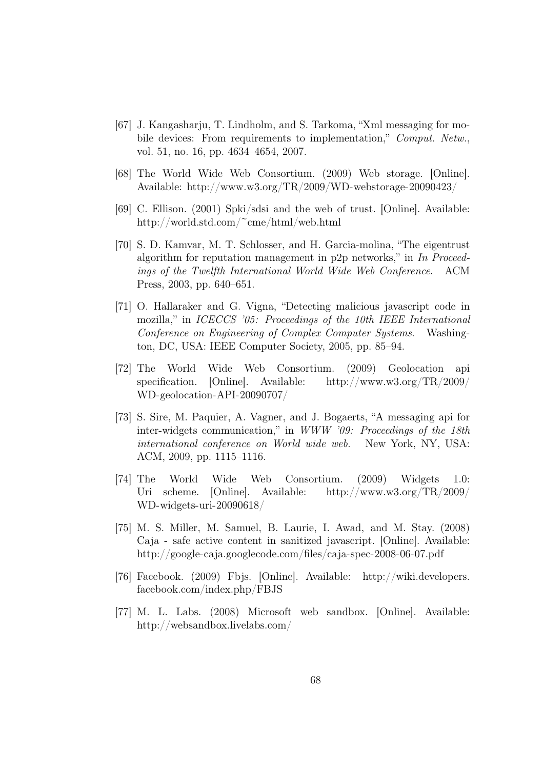- [67] J. Kangasharju, T. Lindholm, and S. Tarkoma, "Xml messaging for mobile devices: From requirements to implementation," Comput. Netw., vol. 51, no. 16, pp. 4634–4654, 2007.
- [68] The World Wide Web Consortium. (2009) Web storage. [Online]. Available: <http://www.w3.org/TR/2009/WD-webstorage-20090423/>
- [69] C. Ellison. (2001) Spki/sdsi and the web of trust. [Online]. Available: <http://world.std.com/~cme/html/web.html>
- [70] S. D. Kamvar, M. T. Schlosser, and H. Garcia-molina, "The eigentrust algorithm for reputation management in p2p networks," in  $In$  Proceedings of the Twelfth International World Wide Web Conference. ACM Press, 2003, pp. 640–651.
- [71] O. Hallaraker and G. Vigna, "Detecting malicious javascript code in mozilla," in ICECCS '05: Proceedings of the 10th IEEE International Conference on Engineering of Complex Computer Systems. Washington, DC, USA: IEEE Computer Society, 2005, pp. 85–94.
- [72] The World Wide Web Consortium. (2009) Geolocation api specification. [Online]. Available: [http://www.w3.org/TR/2009/](http://www.w3.org/TR/2009/WD-geolocation-API-20090707/) [WD-geolocation-API-20090707/](http://www.w3.org/TR/2009/WD-geolocation-API-20090707/)
- [73] S. Sire, M. Paquier, A. Vagner, and J. Bogaerts, "A messaging api for inter-widgets communication," in WWW '09: Proceedings of the 18th international conference on World wide web. New York, NY, USA: ACM, 2009, pp. 1115–1116.
- [74] The World Wide Web Consortium. (2009) Widgets 1.0: Uri scheme. [Online]. Available: [http://www.w3.org/TR/2009/](http://www.w3.org/TR/2009/WD-widgets-uri-20090618/) [WD-widgets-uri-20090618/](http://www.w3.org/TR/2009/WD-widgets-uri-20090618/)
- [75] M. S. Miller, M. Samuel, B. Laurie, I. Awad, and M. Stay. (2008) Caja - safe active content in sanitized javascript. [Online]. Available: <http://google-caja.googlecode.com/files/caja-spec-2008-06-07.pdf>
- [76] Facebook. (2009) Fbjs. [Online]. Available: [http://wiki.developers.](http://wiki.developers.facebook.com/index.php/FBJS) [facebook.com/index.php/FBJS](http://wiki.developers.facebook.com/index.php/FBJS)
- [77] M. L. Labs. (2008) Microsoft web sandbox. [Online]. Available: <http://websandbox.livelabs.com/>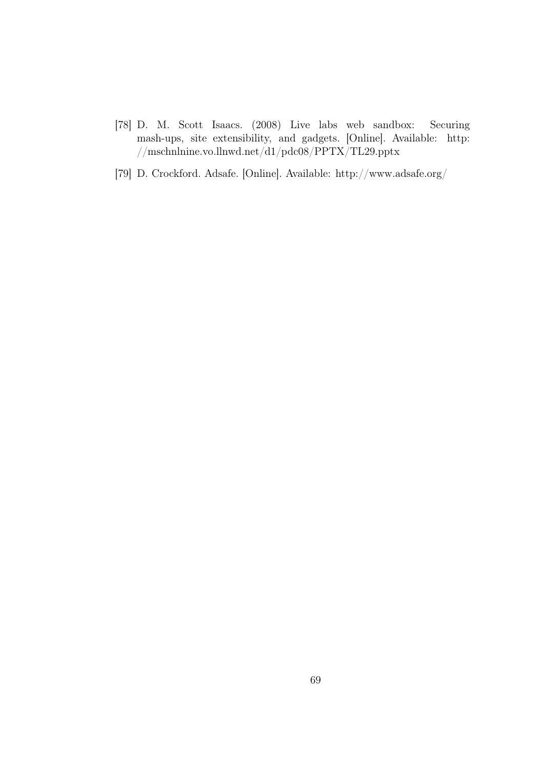- [78] D. M. Scott Isaacs. (2008) Live labs web sandbox: Securing mash-ups, site extensibility, and gadgets. [Online]. Available: [http:](http://mschnlnine.vo.llnwd.net/d1/pdc08/PPTX/TL29.pptx) [//mschnlnine.vo.llnwd.net/d1/pdc08/PPTX/TL29.pptx](http://mschnlnine.vo.llnwd.net/d1/pdc08/PPTX/TL29.pptx)
- [79] D. Crockford. Adsafe. [Online]. Available: <http://www.adsafe.org/>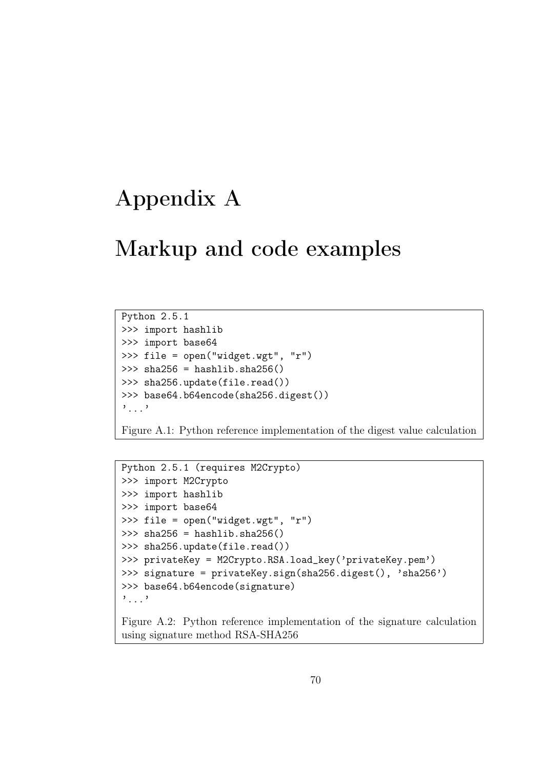## Appendix A

## Markup and code examples

Python 2.5.1 >>> import hashlib >>> import base64 >>> file = open("widget.wgt", "r")  $\gg$  sha256 = hashlib.sha256() >>> sha256.update(file.read()) >>> base64.b64encode(sha256.digest()) '...'

Figure A.1: Python reference implementation of the digest value calculation

```
Python 2.5.1 (requires M2Crypto)
>>> import M2Crypto
>>> import hashlib
>>> import base64
>>> file = open("widget.wgt", "r")
\gg sha256 = hashlib.sha256()
>>> sha256.update(file.read())
>>> privateKey = M2Crypto.RSA.load_key('privateKey.pem')
>>> signature = privateKey.sign(sha256.digest(), 'sha256')
>>> base64.b64encode(signature)
'...'
```
Figure A.2: Python reference implementation of the signature calculation using signature method RSA-SHA256